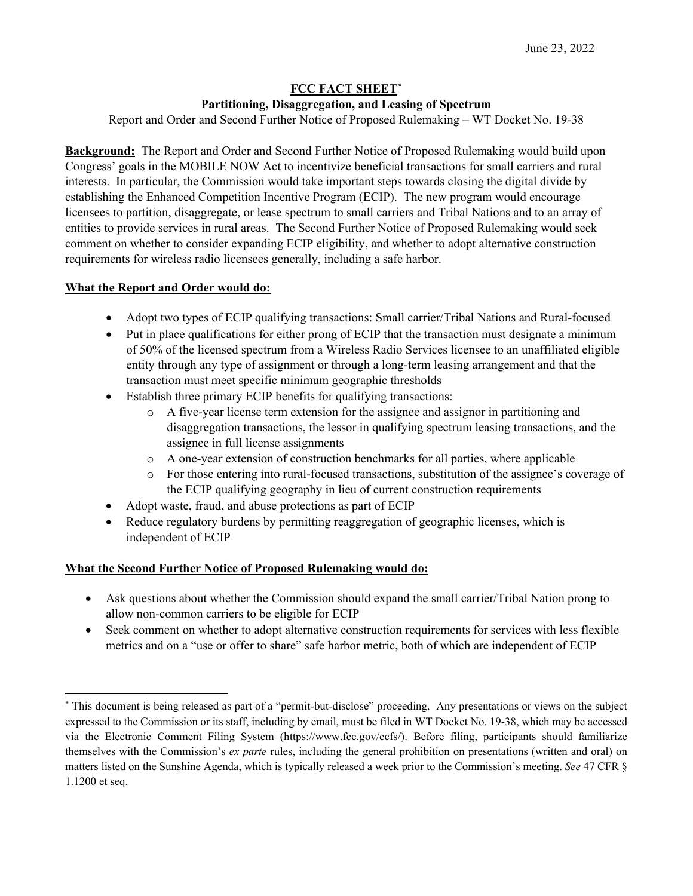## **FCC FACT SHEET[\\*](#page-0-0)**

## **Partitioning, Disaggregation, and Leasing of Spectrum**

Report and Order and Second Further Notice of Proposed Rulemaking – WT Docket No. 19-38

**Background:** The Report and Order and Second Further Notice of Proposed Rulemaking would build upon Congress' goals in the MOBILE NOW Act to incentivize beneficial transactions for small carriers and rural interests. In particular, the Commission would take important steps towards closing the digital divide by establishing the Enhanced Competition Incentive Program (ECIP). The new program would encourage licensees to partition, disaggregate, or lease spectrum to small carriers and Tribal Nations and to an array of entities to provide services in rural areas. The Second Further Notice of Proposed Rulemaking would seek comment on whether to consider expanding ECIP eligibility, and whether to adopt alternative construction requirements for wireless radio licensees generally, including a safe harbor.

## **What the Report and Order would do:**

- Adopt two types of ECIP qualifying transactions: Small carrier/Tribal Nations and Rural-focused
- Put in place qualifications for either prong of ECIP that the transaction must designate a minimum of 50% of the licensed spectrum from a Wireless Radio Services licensee to an unaffiliated eligible entity through any type of assignment or through a long-term leasing arrangement and that the transaction must meet specific minimum geographic thresholds
- Establish three primary ECIP benefits for qualifying transactions:
	- o A five-year license term extension for the assignee and assignor in partitioning and disaggregation transactions, the lessor in qualifying spectrum leasing transactions, and the assignee in full license assignments
	- $\circ$  A one-year extension of construction benchmarks for all parties, where applicable
	- For those entering into rural-focused transactions, substitution of the assignee's coverage of the ECIP qualifying geography in lieu of current construction requirements
- Adopt waste, fraud, and abuse protections as part of ECIP
- Reduce regulatory burdens by permitting reaggregation of geographic licenses, which is independent of ECIP

## **What the Second Further Notice of Proposed Rulemaking would do:**

- Ask questions about whether the Commission should expand the small carrier/Tribal Nation prong to allow non-common carriers to be eligible for ECIP
- Seek comment on whether to adopt alternative construction requirements for services with less flexible metrics and on a "use or offer to share" safe harbor metric, both of which are independent of ECIP

<span id="page-0-0"></span><sup>\*</sup> This document is being released as part of a "permit-but-disclose" proceeding. Any presentations or views on the subject expressed to the Commission or its staff, including by email, must be filed in WT Docket No. 19-38, which may be accessed via the Electronic Comment Filing System (https://www.fcc.gov/ecfs/). Before filing, participants should familiarize themselves with the Commission's *ex parte* rules, including the general prohibition on presentations (written and oral) on matters listed on the Sunshine Agenda, which is typically released a week prior to the Commission's meeting. *See* 47 CFR § 1.1200 et seq.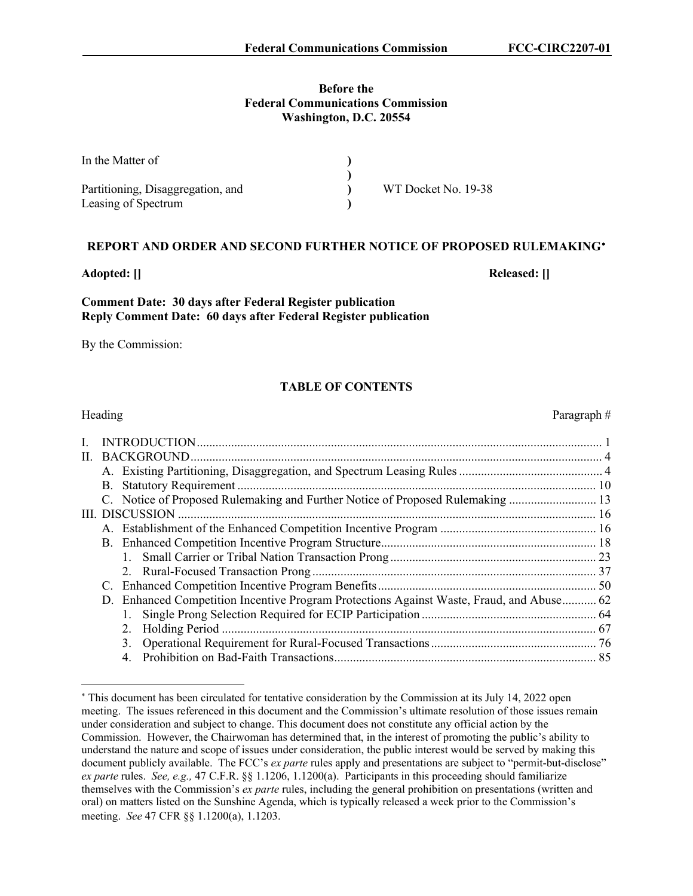#### **Before the Federal Communications Commission Washington, D.C. 20554**

| In the Matter of                  |                     |
|-----------------------------------|---------------------|
|                                   |                     |
| Partitioning, Disaggregation, and | WT Docket No. 19-38 |
| Leasing of Spectrum               |                     |

#### **REPORT AND ORDER AND SECOND FURTHER NOTICE OF PROPOSED RULEMAKING**[∗](#page-1-0)

#### **Comment Date: 30 days after Federal Register publication Reply Comment Date: 60 days after Federal Register publication**

By the Commission:

## **TABLE OF CONTENTS**

#### Heading Paragraph #

| П. |                                                                                          |  |
|----|------------------------------------------------------------------------------------------|--|
|    |                                                                                          |  |
|    |                                                                                          |  |
|    | C. Notice of Proposed Rulemaking and Further Notice of Proposed Rulemaking  13           |  |
|    |                                                                                          |  |
|    |                                                                                          |  |
|    |                                                                                          |  |
|    |                                                                                          |  |
|    |                                                                                          |  |
|    |                                                                                          |  |
|    | D. Enhanced Competition Incentive Program Protections Against Waste, Fraud, and Abuse 62 |  |
|    |                                                                                          |  |
|    | 2.                                                                                       |  |
|    | 3.                                                                                       |  |
|    |                                                                                          |  |

**Adopted: [] Released: []**

<span id="page-1-0"></span><sup>∗</sup> This document has been circulated for tentative consideration by the Commission at its July 14, 2022 open meeting. The issues referenced in this document and the Commission's ultimate resolution of those issues remain under consideration and subject to change. This document does not constitute any official action by the Commission. However, the Chairwoman has determined that, in the interest of promoting the public's ability to understand the nature and scope of issues under consideration, the public interest would be served by making this document publicly available. The FCC's *ex parte* rules apply and presentations are subject to "permit-but-disclose" *ex parte* rules. *See, e.g.,* 47 C.F.R. §§ 1.1206, 1.1200(a). Participants in this proceeding should familiarize themselves with the Commission's *ex parte* rules, including the general prohibition on presentations (written and oral) on matters listed on the Sunshine Agenda, which is typically released a week prior to the Commission's meeting. *See* 47 CFR §§ 1.1200(a), 1.1203.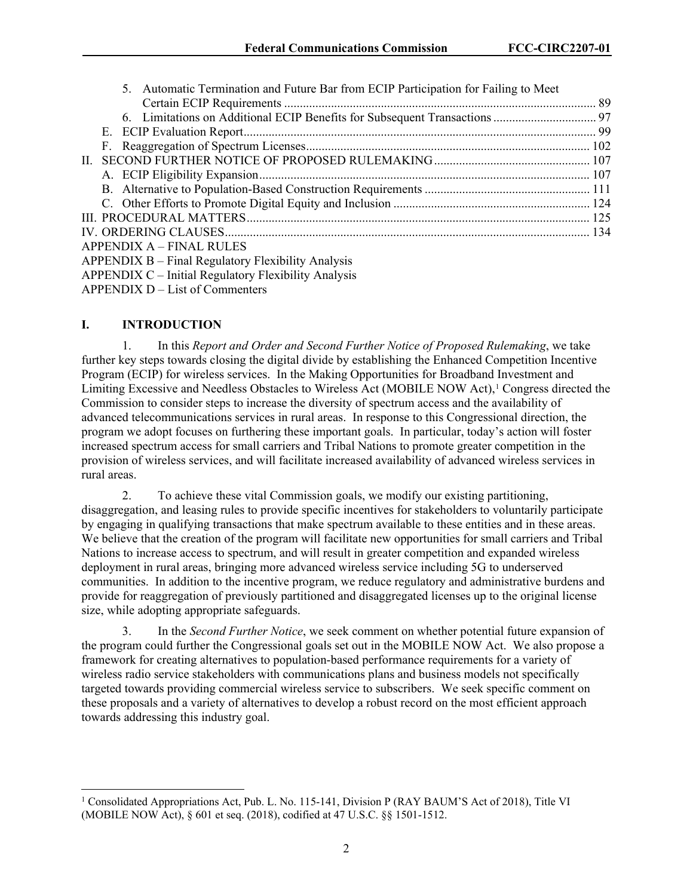|     |  | 5. Automatic Termination and Future Bar from ECIP Participation for Failing to Meet |  |
|-----|--|-------------------------------------------------------------------------------------|--|
|     |  |                                                                                     |  |
|     |  |                                                                                     |  |
|     |  |                                                                                     |  |
|     |  |                                                                                     |  |
| II. |  |                                                                                     |  |
|     |  |                                                                                     |  |
|     |  |                                                                                     |  |
|     |  |                                                                                     |  |
|     |  |                                                                                     |  |
|     |  |                                                                                     |  |
|     |  | APPENDIX A – FINAL RULES                                                            |  |
|     |  | APPENDIX B – Final Regulatory Flexibility Analysis                                  |  |
|     |  | APPENDIX C – Initial Regulatory Flexibility Analysis                                |  |
|     |  | $APPENDIX D - List of Comments$                                                     |  |

## **I. INTRODUCTION**

1. In this *Report and Order and Second Further Notice of Proposed Rulemaking*, we take further key steps towards closing the digital divide by establishing the Enhanced Competition Incentive Program (ECIP) for wireless services. In the Making Opportunities for Broadband Investment and Limiting Excessive and Needless Obstacles to Wireless Act (MOBILE NOW Act), $\frac{1}{1}$  $\frac{1}{1}$  $\frac{1}{1}$  Congress directed the Commission to consider steps to increase the diversity of spectrum access and the availability of advanced telecommunications services in rural areas. In response to this Congressional direction, the program we adopt focuses on furthering these important goals. In particular, today's action will foster increased spectrum access for small carriers and Tribal Nations to promote greater competition in the provision of wireless services, and will facilitate increased availability of advanced wireless services in rural areas.

2. To achieve these vital Commission goals, we modify our existing partitioning, disaggregation, and leasing rules to provide specific incentives for stakeholders to voluntarily participate by engaging in qualifying transactions that make spectrum available to these entities and in these areas. We believe that the creation of the program will facilitate new opportunities for small carriers and Tribal Nations to increase access to spectrum, and will result in greater competition and expanded wireless deployment in rural areas, bringing more advanced wireless service including 5G to underserved communities. In addition to the incentive program, we reduce regulatory and administrative burdens and provide for reaggregation of previously partitioned and disaggregated licenses up to the original license size, while adopting appropriate safeguards.

3. In the *Second Further Notice*, we seek comment on whether potential future expansion of the program could further the Congressional goals set out in the MOBILE NOW Act. We also propose a framework for creating alternatives to population-based performance requirements for a variety of wireless radio service stakeholders with communications plans and business models not specifically targeted towards providing commercial wireless service to subscribers. We seek specific comment on these proposals and a variety of alternatives to develop a robust record on the most efficient approach towards addressing this industry goal.

<span id="page-2-0"></span><sup>&</sup>lt;sup>1</sup> Consolidated Appropriations Act, Pub. L. No. 115-141, Division P (RAY BAUM'S Act of 2018), Title VI (MOBILE NOW Act), § 601 et seq. (2018), codified at 47 U.S.C. §§ 1501-1512.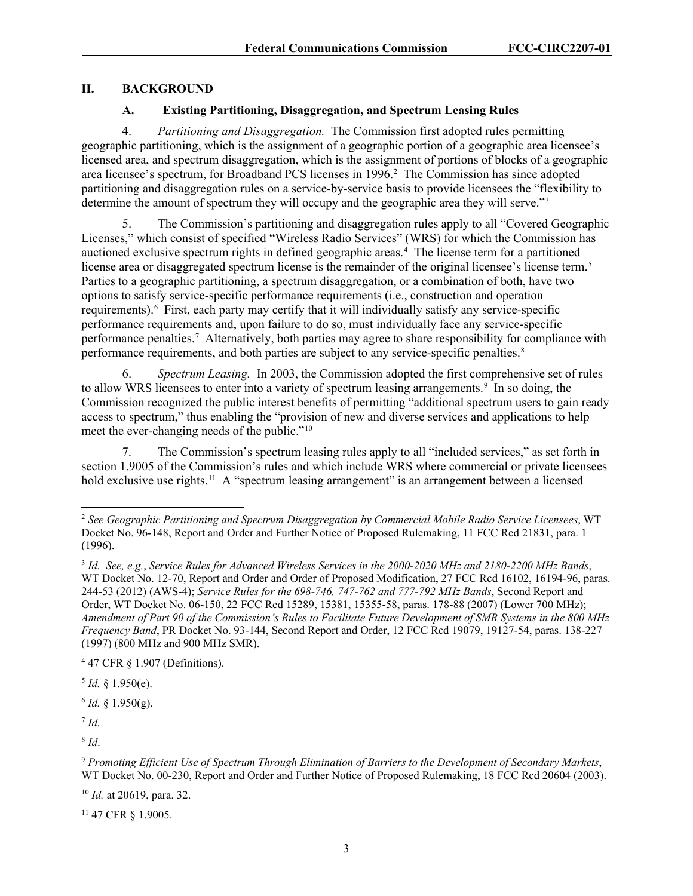## **II. BACKGROUND**

#### **A. Existing Partitioning, Disaggregation, and Spectrum Leasing Rules**

4. *Partitioning and Disaggregation.* The Commission first adopted rules permitting geographic partitioning, which is the assignment of a geographic portion of a geographic area licensee's licensed area, and spectrum disaggregation, which is the assignment of portions of blocks of a geographic area licensee's spectrum, for Broadband PCS licenses in 1996.<sup>[2](#page-3-0)</sup> The Commission has since adopted partitioning and disaggregation rules on a service-by-service basis to provide licensees the "flexibility to determine the amount of spectrum they will occupy and the geographic area they will serve."<sup>[3](#page-3-1)</sup>

5. The Commission's partitioning and disaggregation rules apply to all "Covered Geographic Licenses," which consist of specified "Wireless Radio Services" (WRS) for which the Commission has auctioned exclusive spectrum rights in defined geographic areas.<sup>[4](#page-3-2)</sup> The license term for a partitioned license area or disaggregated spectrum license is the remainder of the original licensee's license term.<sup>[5](#page-3-3)</sup> Parties to a geographic partitioning, a spectrum disaggregation, or a combination of both, have two options to satisfy service-specific performance requirements (i.e., construction and operation requirements).<sup>[6](#page-3-4)</sup> First, each party may certify that it will individually satisfy any service-specific performance requirements and, upon failure to do so, must individually face any service-specific performance penalties.[7](#page-3-5) Alternatively, both parties may agree to share responsibility for compliance with performance requirements, and both parties are subject to any service-specific penalties.<sup>[8](#page-3-6)</sup>

6. *Spectrum Leasing.* In 2003, the Commission adopted the first comprehensive set of rules to allow WRS licensees to enter into a variety of spectrum leasing arrangements.<sup>[9](#page-3-7)</sup> In so doing, the Commission recognized the public interest benefits of permitting "additional spectrum users to gain ready access to spectrum," thus enabling the "provision of new and diverse services and applications to help meet the ever-changing needs of the public."[10](#page-3-8)

7. The Commission's spectrum leasing rules apply to all "included services," as set forth in section 1.9005 of the Commission's rules and which include WRS where commercial or private licensees hold exclusive use rights.<sup>11</sup> A "spectrum leasing arrangement" is an arrangement between a licensed

<span id="page-3-5"></span><sup>7</sup> *Id.*

<span id="page-3-8"></span><sup>10</sup> *Id.* at 20619, para. 32.

<span id="page-3-9"></span><sup>11</sup> 47 CFR § 1.9005.

<span id="page-3-0"></span><sup>2</sup> *See Geographic Partitioning and Spectrum Disaggregation by Commercial Mobile Radio Service Licensees*, WT Docket No. 96-148, Report and Order and Further Notice of Proposed Rulemaking, 11 FCC Rcd 21831, para. 1 (1996).

<span id="page-3-1"></span><sup>3</sup> *Id. See, e.g.*, *Service Rules for Advanced Wireless Services in the 2000-2020 MHz and 2180-2200 MHz Bands*, WT Docket No. 12-70, Report and Order and Order of Proposed Modification, 27 FCC Rcd 16102, 16194-96, paras. 244-53 (2012) (AWS-4); *Service Rules for the 698-746, 747-762 and 777-792 MHz Bands*, Second Report and Order, WT Docket No. 06-150, 22 FCC Rcd 15289, 15381, 15355-58, paras. 178-88 (2007) (Lower 700 MHz); *Amendment of Part 90 of the Commission's Rules to Facilitate Future Development of SMR Systems in the 800 MHz Frequency Band*, PR Docket No. 93-144, Second Report and Order, 12 FCC Rcd 19079, 19127-54, paras. 138-227 (1997) (800 MHz and 900 MHz SMR).

<span id="page-3-2"></span><sup>4</sup> 47 CFR § 1.907 (Definitions).

<span id="page-3-3"></span> $5$  *Id.* § 1.950(e).

<span id="page-3-4"></span> $6$  *Id.* § 1.950(g).

<span id="page-3-6"></span><sup>8</sup> *Id*.

<span id="page-3-7"></span><sup>9</sup> *Promoting Efficient Use of Spectrum Through Elimination of Barriers to the Development of Secondary Markets*, WT Docket No. 00-230, Report and Order and Further Notice of Proposed Rulemaking, 18 FCC Rcd 20604 (2003).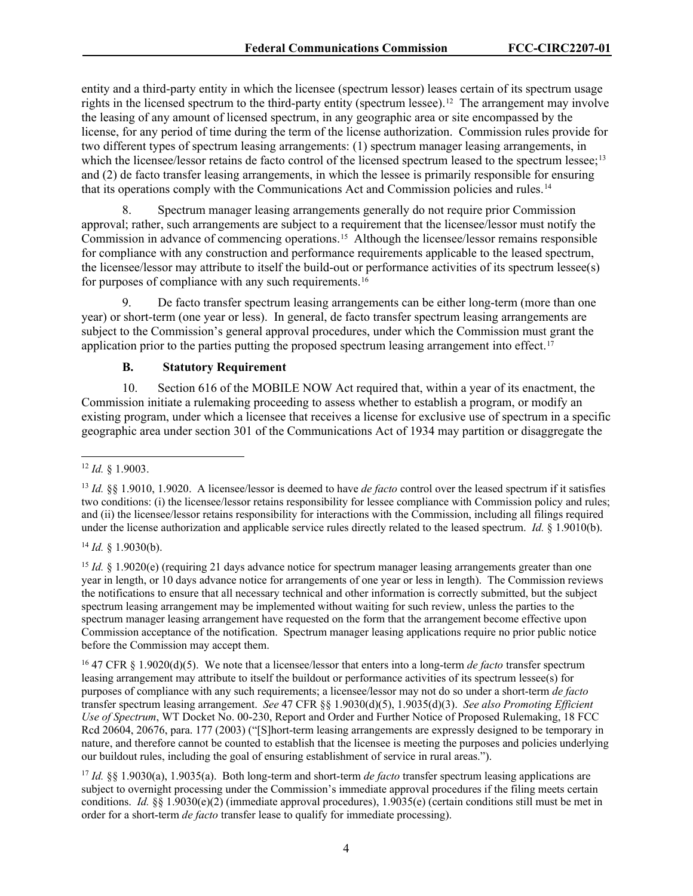entity and a third-party entity in which the licensee (spectrum lessor) leases certain of its spectrum usage rights in the licensed spectrum to the third-party entity (spectrum lessee).<sup>12</sup> The arrangement may involve the leasing of any amount of licensed spectrum, in any geographic area or site encompassed by the license, for any period of time during the term of the license authorization. Commission rules provide for two different types of spectrum leasing arrangements: (1) spectrum manager leasing arrangements, in which the licensee/lessor retains de facto control of the licensed spectrum leased to the spectrum lessee;<sup>13</sup> and (2) de facto transfer leasing arrangements, in which the lessee is primarily responsible for ensuring that its operations comply with the Communications Act and Commission policies and rules.[14](#page-4-2)

8. Spectrum manager leasing arrangements generally do not require prior Commission approval; rather, such arrangements are subject to a requirement that the licensee/lessor must notify the Commission in advance of commencing operations.<sup>15</sup> Although the licensee/lessor remains responsible for compliance with any construction and performance requirements applicable to the leased spectrum, the licensee/lessor may attribute to itself the build-out or performance activities of its spectrum lessee(s) for purposes of compliance with any such requirements.<sup>[16](#page-4-4)</sup>

9. De facto transfer spectrum leasing arrangements can be either long-term (more than one year) or short-term (one year or less). In general, de facto transfer spectrum leasing arrangements are subject to the Commission's general approval procedures, under which the Commission must grant the application prior to the parties putting the proposed spectrum leasing arrangement into effect.<sup>17</sup>

### **B. Statutory Requirement**

10. Section 616 of the MOBILE NOW Act required that, within a year of its enactment, the Commission initiate a rulemaking proceeding to assess whether to establish a program, or modify an existing program, under which a licensee that receives a license for exclusive use of spectrum in a specific geographic area under section 301 of the Communications Act of 1934 may partition or disaggregate the

<span id="page-4-2"></span><sup>14</sup> *Id.* § 1.9030(b).

<span id="page-4-3"></span><sup>15</sup> *Id.* § 1.9020(e) (requiring 21 days advance notice for spectrum manager leasing arrangements greater than one year in length, or 10 days advance notice for arrangements of one year or less in length). The Commission reviews the notifications to ensure that all necessary technical and other information is correctly submitted, but the subject spectrum leasing arrangement may be implemented without waiting for such review, unless the parties to the spectrum manager leasing arrangement have requested on the form that the arrangement become effective upon Commission acceptance of the notification. Spectrum manager leasing applications require no prior public notice before the Commission may accept them.

<span id="page-4-4"></span><sup>16</sup> 47 CFR § 1.9020(d)(5). We note that a licensee/lessor that enters into a long-term *de facto* transfer spectrum leasing arrangement may attribute to itself the buildout or performance activities of its spectrum lessee(s) for purposes of compliance with any such requirements; a licensee/lessor may not do so under a short-term *de facto* transfer spectrum leasing arrangement. *See* 47 CFR §§ 1.9030(d)(5), 1.9035(d)(3). *See also Promoting Efficient Use of Spectrum*, WT Docket No. 00-230, Report and Order and Further Notice of Proposed Rulemaking, 18 FCC Rcd 20604, 20676, para. 177 (2003) ("[S]hort-term leasing arrangements are expressly designed to be temporary in nature, and therefore cannot be counted to establish that the licensee is meeting the purposes and policies underlying our buildout rules, including the goal of ensuring establishment of service in rural areas.").

<span id="page-4-5"></span><sup>17</sup> *Id.* §§ 1.9030(a), 1.9035(a). Both long-term and short-term *de facto* transfer spectrum leasing applications are subject to overnight processing under the Commission's immediate approval procedures if the filing meets certain conditions. *Id.* §§ 1.9030(e)(2) (immediate approval procedures), 1.9035(e) (certain conditions still must be met in order for a short-term *de facto* transfer lease to qualify for immediate processing).

<span id="page-4-0"></span><sup>12</sup> *Id.* § 1.9003.

<span id="page-4-1"></span><sup>13</sup> *Id.* §§ 1.9010, 1.9020. A licensee/lessor is deemed to have *de facto* control over the leased spectrum if it satisfies two conditions: (i) the licensee/lessor retains responsibility for lessee compliance with Commission policy and rules; and (ii) the licensee/lessor retains responsibility for interactions with the Commission, including all filings required under the license authorization and applicable service rules directly related to the leased spectrum. *Id.* § 1.9010(b).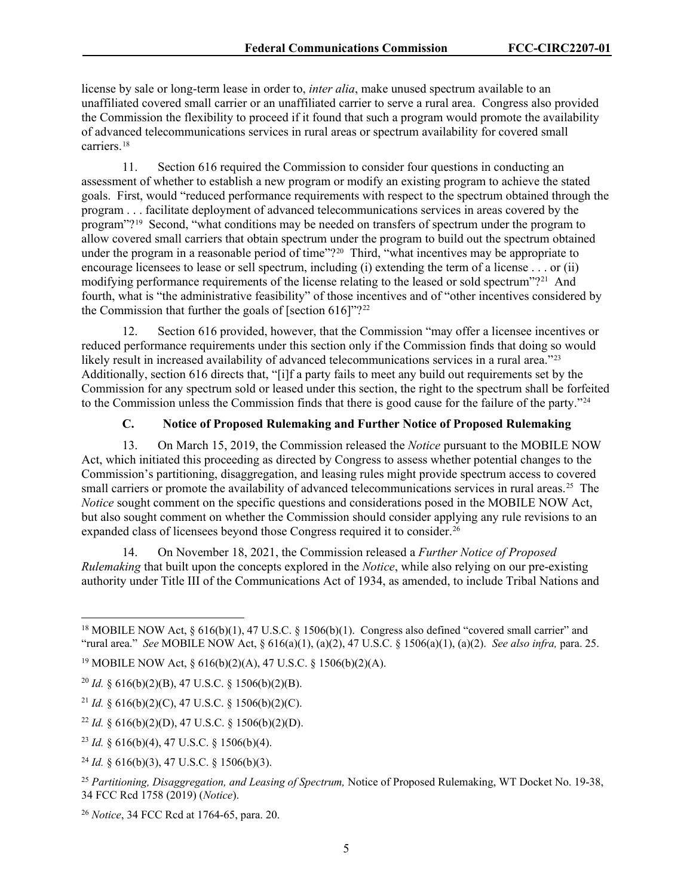license by sale or long-term lease in order to, *inter alia*, make unused spectrum available to an unaffiliated covered small carrier or an unaffiliated carrier to serve a rural area. Congress also provided the Commission the flexibility to proceed if it found that such a program would promote the availability of advanced telecommunications services in rural areas or spectrum availability for covered small carriers.[18](#page-5-0)

11. Section 616 required the Commission to consider four questions in conducting an assessment of whether to establish a new program or modify an existing program to achieve the stated goals. First, would "reduced performance requirements with respect to the spectrum obtained through the program . . . facilitate deployment of advanced telecommunications services in areas covered by the program"?[19](#page-5-1) Second, "what conditions may be needed on transfers of spectrum under the program to allow covered small carriers that obtain spectrum under the program to build out the spectrum obtained under the program in a reasonable period of time"?<sup>20</sup> Third, "what incentives may be appropriate to encourage licensees to lease or sell spectrum, including (i) extending the term of a license . . . or (ii) modifying performance requirements of the license relating to the leased or sold spectrum"?<sup>21</sup> And fourth, what is "the administrative feasibility" of those incentives and of "other incentives considered by the Commission that further the goals of [section 616]"?<sup>[22](#page-5-4)</sup>

Section 616 provided, however, that the Commission "may offer a licensee incentives or reduced performance requirements under this section only if the Commission finds that doing so would likely result in increased availability of advanced telecommunications services in a rural area."<sup>23</sup> Additionally, section 616 directs that, "[i]f a party fails to meet any build out requirements set by the Commission for any spectrum sold or leased under this section, the right to the spectrum shall be forfeited to the Commission unless the Commission finds that there is good cause for the failure of the party."[24](#page-5-6)

# **C. Notice of Proposed Rulemaking and Further Notice of Proposed Rulemaking**

13. On March 15, 2019, the Commission released the *Notice* pursuant to the MOBILE NOW Act, which initiated this proceeding as directed by Congress to assess whether potential changes to the Commission's partitioning, disaggregation, and leasing rules might provide spectrum access to covered small carriers or promote the availability of advanced telecommunications services in rural areas.<sup>25</sup> The *Notice* sought comment on the specific questions and considerations posed in the MOBILE NOW Act, but also sought comment on whether the Commission should consider applying any rule revisions to an expanded class of licensees beyond those Congress required it to consider.<sup>[26](#page-5-8)</sup>

14. On November 18, 2021, the Commission released a *Further Notice of Proposed Rulemaking* that built upon the concepts explored in the *Notice*, while also relying on our pre-existing authority under Title III of the Communications Act of 1934, as amended, to include Tribal Nations and

<span id="page-5-4"></span><sup>22</sup> *Id.* § 616(b)(2)(D), 47 U.S.C. § 1506(b)(2)(D).

<span id="page-5-5"></span><sup>23</sup> *Id.* § 616(b)(4), 47 U.S.C. § 1506(b)(4).

<span id="page-5-6"></span><sup>24</sup> *Id.* § 616(b)(3), 47 U.S.C. § 1506(b)(3).

<span id="page-5-0"></span><sup>18</sup> MOBILE NOW Act, § 616(b)(1), 47 U.S.C. § 1506(b)(1). Congress also defined "covered small carrier" and "rural area." *See* MOBILE NOW Act, § 616(a)(1), (a)(2), 47 U.S.C. § 1506(a)(1), (a)(2). *See also infra,* para. 25.

<span id="page-5-1"></span><sup>19</sup> MOBILE NOW Act, § 616(b)(2)(A), 47 U.S.C. § 1506(b)(2)(A).

<span id="page-5-2"></span><sup>20</sup> *Id.* § 616(b)(2)(B), 47 U.S.C. § 1506(b)(2)(B).

<span id="page-5-3"></span><sup>&</sup>lt;sup>21</sup> *Id.* § 616(b)(2)(C), 47 U.S.C. § 1506(b)(2)(C).

<span id="page-5-7"></span><sup>&</sup>lt;sup>25</sup> Partitioning, Disaggregation, and Leasing of Spectrum, Notice of Proposed Rulemaking, WT Docket No. 19-38, 34 FCC Rcd 1758 (2019) (*Notice*).

<span id="page-5-8"></span><sup>26</sup> *Notice*, 34 FCC Rcd at 1764-65, para. 20.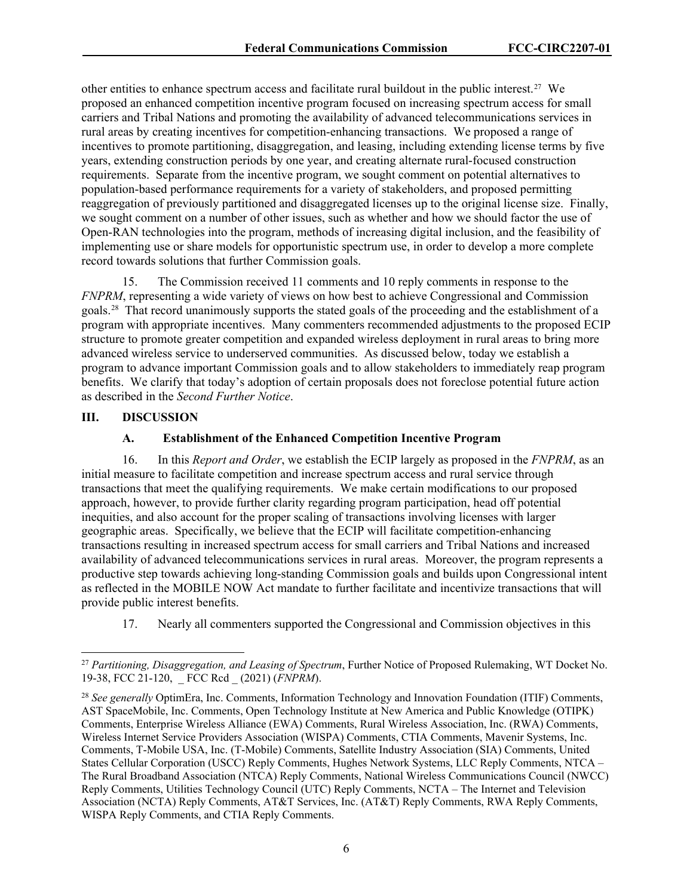other entities to enhance spectrum access and facilitate rural buildout in the public interest.<sup>27</sup> We proposed an enhanced competition incentive program focused on increasing spectrum access for small carriers and Tribal Nations and promoting the availability of advanced telecommunications services in rural areas by creating incentives for competition-enhancing transactions. We proposed a range of incentives to promote partitioning, disaggregation, and leasing, including extending license terms by five years, extending construction periods by one year, and creating alternate rural-focused construction requirements. Separate from the incentive program, we sought comment on potential alternatives to population-based performance requirements for a variety of stakeholders, and proposed permitting reaggregation of previously partitioned and disaggregated licenses up to the original license size. Finally, we sought comment on a number of other issues, such as whether and how we should factor the use of Open-RAN technologies into the program, methods of increasing digital inclusion, and the feasibility of implementing use or share models for opportunistic spectrum use, in order to develop a more complete record towards solutions that further Commission goals.

15. The Commission received 11 comments and 10 reply comments in response to the *FNPRM*, representing a wide variety of views on how best to achieve Congressional and Commission goals.[28](#page-6-1) That record unanimously supports the stated goals of the proceeding and the establishment of a program with appropriate incentives. Many commenters recommended adjustments to the proposed ECIP structure to promote greater competition and expanded wireless deployment in rural areas to bring more advanced wireless service to underserved communities. As discussed below, today we establish a program to advance important Commission goals and to allow stakeholders to immediately reap program benefits. We clarify that today's adoption of certain proposals does not foreclose potential future action as described in the *Second Further Notice*.

## **III. DISCUSSION**

#### **A. Establishment of the Enhanced Competition Incentive Program**

16. In this *Report and Order*, we establish the ECIP largely as proposed in the *FNPRM*, as an initial measure to facilitate competition and increase spectrum access and rural service through transactions that meet the qualifying requirements. We make certain modifications to our proposed approach, however, to provide further clarity regarding program participation, head off potential inequities, and also account for the proper scaling of transactions involving licenses with larger geographic areas. Specifically, we believe that the ECIP will facilitate competition-enhancing transactions resulting in increased spectrum access for small carriers and Tribal Nations and increased availability of advanced telecommunications services in rural areas. Moreover, the program represents a productive step towards achieving long-standing Commission goals and builds upon Congressional intent as reflected in the MOBILE NOW Act mandate to further facilitate and incentivize transactions that will provide public interest benefits.

17. Nearly all commenters supported the Congressional and Commission objectives in this

<span id="page-6-0"></span><sup>27</sup> *Partitioning, Disaggregation, and Leasing of Spectrum*, Further Notice of Proposed Rulemaking, WT Docket No. 19-38, FCC 21-120, \_ FCC Rcd \_ (2021) (*FNPRM*).

<span id="page-6-1"></span><sup>&</sup>lt;sup>28</sup> *See generally* OptimEra, Inc. Comments, Information Technology and Innovation Foundation (ITIF) Comments, AST SpaceMobile, Inc. Comments, Open Technology Institute at New America and Public Knowledge (OTIPK) Comments, Enterprise Wireless Alliance (EWA) Comments, Rural Wireless Association, Inc. (RWA) Comments, Wireless Internet Service Providers Association (WISPA) Comments, CTIA Comments, Mavenir Systems, Inc. Comments, T-Mobile USA, Inc. (T-Mobile) Comments, Satellite Industry Association (SIA) Comments, United States Cellular Corporation (USCC) Reply Comments, Hughes Network Systems, LLC Reply Comments, NTCA – The Rural Broadband Association (NTCA) Reply Comments, National Wireless Communications Council (NWCC) Reply Comments, Utilities Technology Council (UTC) Reply Comments, NCTA – The Internet and Television Association (NCTA) Reply Comments, AT&T Services, Inc. (AT&T) Reply Comments, RWA Reply Comments, WISPA Reply Comments, and CTIA Reply Comments.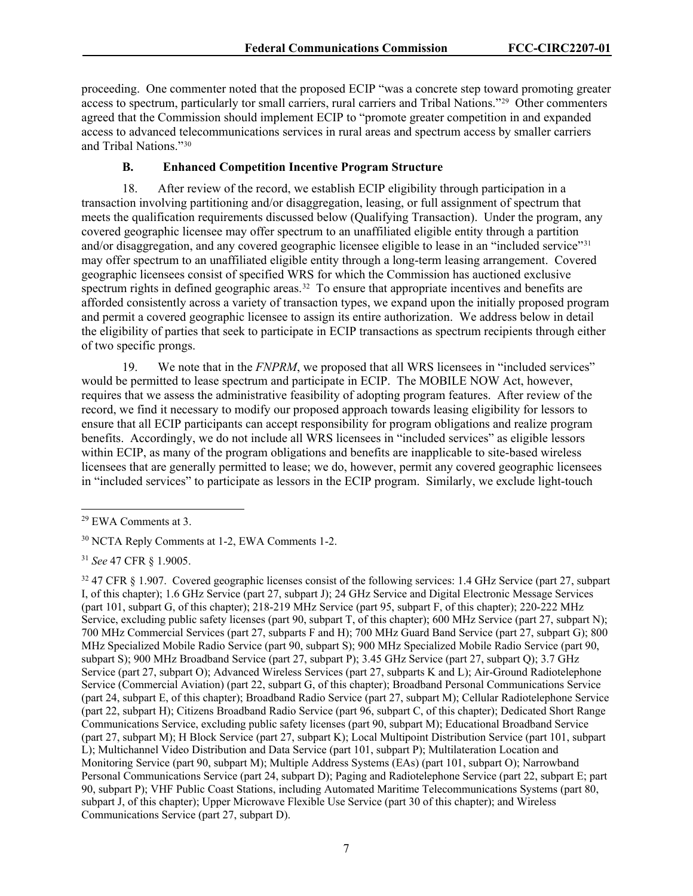proceeding. One commenter noted that the proposed ECIP "was a concrete step toward promoting greater access to spectrum, particularly tor small carriers, rural carriers and Tribal Nations."[29](#page-7-0) Other commenters agreed that the Commission should implement ECIP to "promote greater competition in and expanded access to advanced telecommunications services in rural areas and spectrum access by smaller carriers and Tribal Nations."[30](#page-7-1)

## **B. Enhanced Competition Incentive Program Structure**

18. After review of the record, we establish ECIP eligibility through participation in a transaction involving partitioning and/or disaggregation, leasing, or full assignment of spectrum that meets the qualification requirements discussed below (Qualifying Transaction). Under the program, any covered geographic licensee may offer spectrum to an unaffiliated eligible entity through a partition and/or disaggregation, and any covered geographic licensee eligible to lease in an "included service"<sup>[31](#page-7-2)</sup> may offer spectrum to an unaffiliated eligible entity through a long-term leasing arrangement. Covered geographic licensees consist of specified WRS for which the Commission has auctioned exclusive spectrum rights in defined geographic areas.<sup>32</sup> To ensure that appropriate incentives and benefits are afforded consistently across a variety of transaction types, we expand upon the initially proposed program and permit a covered geographic licensee to assign its entire authorization. We address below in detail the eligibility of parties that seek to participate in ECIP transactions as spectrum recipients through either of two specific prongs.

19. We note that in the *FNPRM*, we proposed that all WRS licensees in "included services" would be permitted to lease spectrum and participate in ECIP. The MOBILE NOW Act, however, requires that we assess the administrative feasibility of adopting program features. After review of the record, we find it necessary to modify our proposed approach towards leasing eligibility for lessors to ensure that all ECIP participants can accept responsibility for program obligations and realize program benefits. Accordingly, we do not include all WRS licensees in "included services" as eligible lessors within ECIP, as many of the program obligations and benefits are inapplicable to site-based wireless licensees that are generally permitted to lease; we do, however, permit any covered geographic licensees in "included services" to participate as lessors in the ECIP program. Similarly, we exclude light-touch

<span id="page-7-0"></span><sup>29</sup> EWA Comments at 3.

<span id="page-7-1"></span><sup>30</sup> NCTA Reply Comments at 1-2, EWA Comments 1-2.

<span id="page-7-2"></span><sup>31</sup> *See* 47 CFR § 1.9005.

<span id="page-7-3"></span><sup>32</sup> 47 CFR § 1.907. Covered geographic licenses consist of the following services: 1.4 GHz Service (part 27, subpart I, of this chapter); 1.6 GHz Service (part 27, subpart J); 24 GHz Service and Digital Electronic Message Services (part 101, subpart G, of this chapter); 218-219 MHz Service (part 95, subpart F, of this chapter); 220-222 MHz Service, excluding public safety licenses (part 90, subpart T, of this chapter); 600 MHz Service (part 27, subpart N); 700 MHz Commercial Services (part 27, subparts F and H); 700 MHz Guard Band Service (part 27, subpart G); 800 MHz Specialized Mobile Radio Service (part 90, subpart S); 900 MHz Specialized Mobile Radio Service (part 90, subpart S); 900 MHz Broadband Service (part 27, subpart P); 3.45 GHz Service (part 27, subpart Q); 3.7 GHz Service (part 27, subpart O); Advanced Wireless Services (part 27, subparts K and L); Air-Ground Radiotelephone Service (Commercial Aviation) (part 22, subpart G, of this chapter); Broadband Personal Communications Service (part 24, subpart E, of this chapter); Broadband Radio Service (part 27, subpart M); Cellular Radiotelephone Service (part 22, subpart H); Citizens Broadband Radio Service (part 96, subpart C, of this chapter); Dedicated Short Range Communications Service, excluding public safety licenses (part 90, subpart M); Educational Broadband Service (part 27, subpart M); H Block Service (part 27, subpart K); Local Multipoint Distribution Service (part 101, subpart L); Multichannel Video Distribution and Data Service (part 101, subpart P); Multilateration Location and Monitoring Service (part 90, subpart M); Multiple Address Systems (EAs) (part 101, subpart O); Narrowband Personal Communications Service (part 24, subpart D); Paging and Radiotelephone Service (part 22, subpart E; part 90, subpart P); VHF Public Coast Stations, including Automated Maritime Telecommunications Systems (part 80, subpart J, of this chapter); Upper Microwave Flexible Use Service (part 30 of this chapter); and Wireless Communications Service (part 27, subpart D).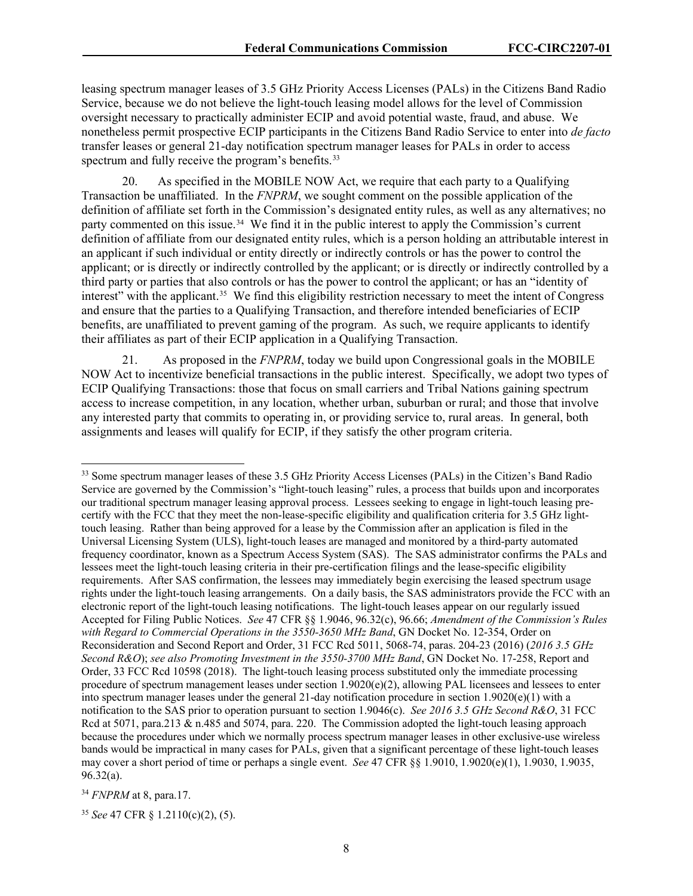leasing spectrum manager leases of 3.5 GHz Priority Access Licenses (PALs) in the Citizens Band Radio Service, because we do not believe the light-touch leasing model allows for the level of Commission oversight necessary to practically administer ECIP and avoid potential waste, fraud, and abuse. We nonetheless permit prospective ECIP participants in the Citizens Band Radio Service to enter into *de facto* transfer leases or general 21-day notification spectrum manager leases for PALs in order to access spectrum and fully receive the program's benefits.<sup>[33](#page-8-0)</sup>

20. As specified in the MOBILE NOW Act, we require that each party to a Qualifying Transaction be unaffiliated. In the *FNPRM*, we sought comment on the possible application of the definition of affiliate set forth in the Commission's designated entity rules, as well as any alternatives; no party commented on this issue.<sup>34</sup> We find it in the public interest to apply the Commission's current definition of affiliate from our designated entity rules, which is a person holding an attributable interest in an applicant if such individual or entity directly or indirectly controls or has the power to control the applicant; or is directly or indirectly controlled by the applicant; or is directly or indirectly controlled by a third party or parties that also controls or has the power to control the applicant; or has an "identity of interest" with the applicant.<sup>35</sup> We find this eligibility restriction necessary to meet the intent of Congress and ensure that the parties to a Qualifying Transaction, and therefore intended beneficiaries of ECIP benefits, are unaffiliated to prevent gaming of the program. As such, we require applicants to identify their affiliates as part of their ECIP application in a Qualifying Transaction.

21. As proposed in the *FNPRM*, today we build upon Congressional goals in the MOBILE NOW Act to incentivize beneficial transactions in the public interest. Specifically, we adopt two types of ECIP Qualifying Transactions: those that focus on small carriers and Tribal Nations gaining spectrum access to increase competition, in any location, whether urban, suburban or rural; and those that involve any interested party that commits to operating in, or providing service to, rural areas. In general, both assignments and leases will qualify for ECIP, if they satisfy the other program criteria.

<span id="page-8-0"></span><sup>&</sup>lt;sup>33</sup> Some spectrum manager leases of these 3.5 GHz Priority Access Licenses (PALs) in the Citizen's Band Radio Service are governed by the Commission's "light-touch leasing" rules, a process that builds upon and incorporates our traditional spectrum manager leasing approval process. Lessees seeking to engage in light-touch leasing precertify with the FCC that they meet the non-lease-specific eligibility and qualification criteria for 3.5 GHz lighttouch leasing. Rather than being approved for a lease by the Commission after an application is filed in the Universal Licensing System (ULS), light-touch leases are managed and monitored by a third-party automated frequency coordinator, known as a Spectrum Access System (SAS). The SAS administrator confirms the PALs and lessees meet the light-touch leasing criteria in their pre-certification filings and the lease-specific eligibility requirements. After SAS confirmation, the lessees may immediately begin exercising the leased spectrum usage rights under the light-touch leasing arrangements. On a daily basis, the SAS administrators provide the FCC with an electronic report of the light-touch leasing notifications. The light-touch leases appear on our regularly issued Accepted for Filing Public Notices. *See* 47 CFR §§ 1.9046, 96.32(c), 96.66; *Amendment of the Commission's Rules with Regard to Commercial Operations in the 3550-3650 MHz Band*, GN Docket No. 12-354, Order on Reconsideration and Second Report and Order, 31 FCC Rcd 5011, 5068-74, paras. 204-23 (2016) (*2016 3.5 GHz Second R&O*); *see also Promoting Investment in the 3550-3700 MHz Band*, GN Docket No. 17-258, Report and Order, 33 FCC Rcd 10598 (2018). The light-touch leasing process substituted only the immediate processing procedure of spectrum management leases under section  $1.9020(e)(2)$ , allowing PAL licensees and lessees to enter into spectrum manager leases under the general 21-day notification procedure in section  $1.9020(e)(1)$  with a notification to the SAS prior to operation pursuant to section 1.9046(c). *See 2016 3.5 GHz Second R&O*, 31 FCC Rcd at 5071, para.213 & n.485 and 5074, para. 220. The Commission adopted the light-touch leasing approach because the procedures under which we normally process spectrum manager leases in other exclusive-use wireless bands would be impractical in many cases for PALs, given that a significant percentage of these light-touch leases may cover a short period of time or perhaps a single event. *See* 47 CFR §§ 1.9010, 1.9020(e)(1), 1.9030, 1.9035, 96.32(a).

<span id="page-8-1"></span><sup>34</sup> *FNPRM* at 8, para.17.

<span id="page-8-2"></span><sup>35</sup> *See* 47 CFR § 1.2110(c)(2), (5).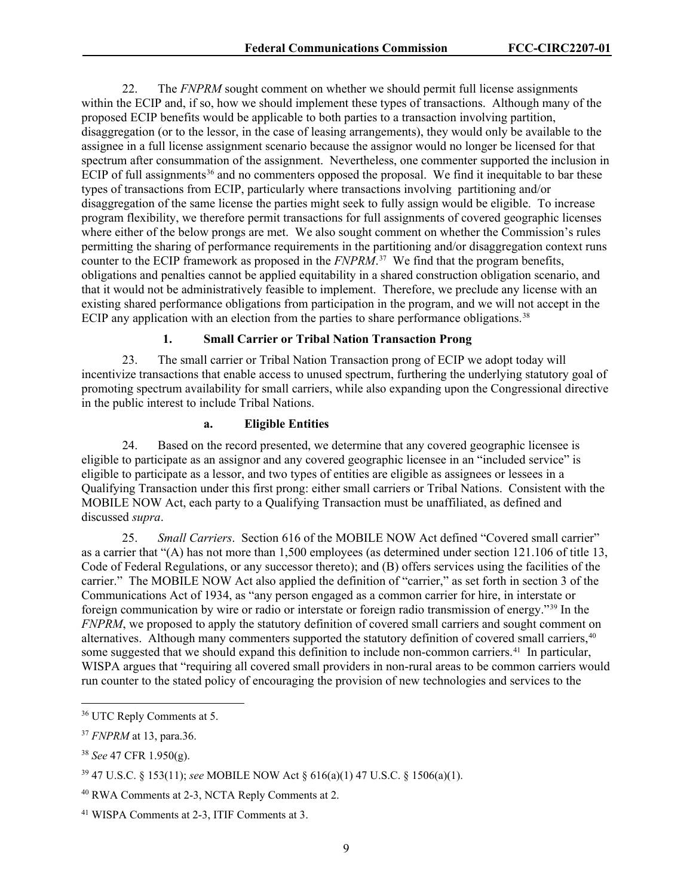22. The *FNPRM* sought comment on whether we should permit full license assignments within the ECIP and, if so, how we should implement these types of transactions. Although many of the proposed ECIP benefits would be applicable to both parties to a transaction involving partition, disaggregation (or to the lessor, in the case of leasing arrangements), they would only be available to the assignee in a full license assignment scenario because the assignor would no longer be licensed for that spectrum after consummation of the assignment. Nevertheless, one commenter supported the inclusion in ECIP of full assignments<sup>[36](#page-9-0)</sup> and no commenters opposed the proposal. We find it inequitable to bar these types of transactions from ECIP, particularly where transactions involving partitioning and/or disaggregation of the same license the parties might seek to fully assign would be eligible. To increase program flexibility, we therefore permit transactions for full assignments of covered geographic licenses where either of the below prongs are met. We also sought comment on whether the Commission's rules permitting the sharing of performance requirements in the partitioning and/or disaggregation context runs counter to the ECIP framework as proposed in the *FNPRM*. [37](#page-9-1) We find that the program benefits, obligations and penalties cannot be applied equitability in a shared construction obligation scenario, and that it would not be administratively feasible to implement. Therefore, we preclude any license with an existing shared performance obligations from participation in the program, and we will not accept in the ECIP any application with an election from the parties to share performance obligations.<sup>[38](#page-9-2)</sup>

## **1. Small Carrier or Tribal Nation Transaction Prong**

23. The small carrier or Tribal Nation Transaction prong of ECIP we adopt today will incentivize transactions that enable access to unused spectrum, furthering the underlying statutory goal of promoting spectrum availability for small carriers, while also expanding upon the Congressional directive in the public interest to include Tribal Nations.

## **a. Eligible Entities**

24. Based on the record presented, we determine that any covered geographic licensee is eligible to participate as an assignor and any covered geographic licensee in an "included service" is eligible to participate as a lessor, and two types of entities are eligible as assignees or lessees in a Qualifying Transaction under this first prong: either small carriers or Tribal Nations. Consistent with the MOBILE NOW Act, each party to a Qualifying Transaction must be unaffiliated, as defined and discussed *supra*.

25. *Small Carriers*. Section 616 of the MOBILE NOW Act defined "Covered small carrier" as a carrier that "(A) has not more than 1,500 employees (as determined under section 121.106 of title 13, Code of Federal Regulations, or any successor thereto); and (B) offers services using the facilities of the carrier." The MOBILE NOW Act also applied the definition of "carrier," as set forth in section 3 of the Communications Act of 1934, as "any person engaged as a common carrier for hire, in interstate or foreign communication by wire or radio or interstate or foreign radio transmission of energy."[39](#page-9-3) In the *FNPRM*, we proposed to apply the statutory definition of covered small carriers and sought comment on alternatives. Although many commenters supported the statutory definition of covered small carriers,<sup>[40](#page-9-4)</sup> some suggested that we should expand this definition to include non-common carriers.<sup>[41](#page-9-5)</sup> In particular, WISPA argues that "requiring all covered small providers in non-rural areas to be common carriers would run counter to the stated policy of encouraging the provision of new technologies and services to the

<span id="page-9-0"></span><sup>36</sup> UTC Reply Comments at 5.

<span id="page-9-1"></span><sup>37</sup> *FNPRM* at 13, para.36.

<span id="page-9-2"></span><sup>38</sup> *See* 47 CFR 1.950(g).

<span id="page-9-3"></span><sup>39</sup> 47 U.S.C. § 153(11); *see* MOBILE NOW Act § 616(a)(1) 47 U.S.C. § 1506(a)(1).

<span id="page-9-4"></span><sup>40</sup> RWA Comments at 2-3, NCTA Reply Comments at 2.

<span id="page-9-5"></span><sup>41</sup> WISPA Comments at 2-3, ITIF Comments at 3.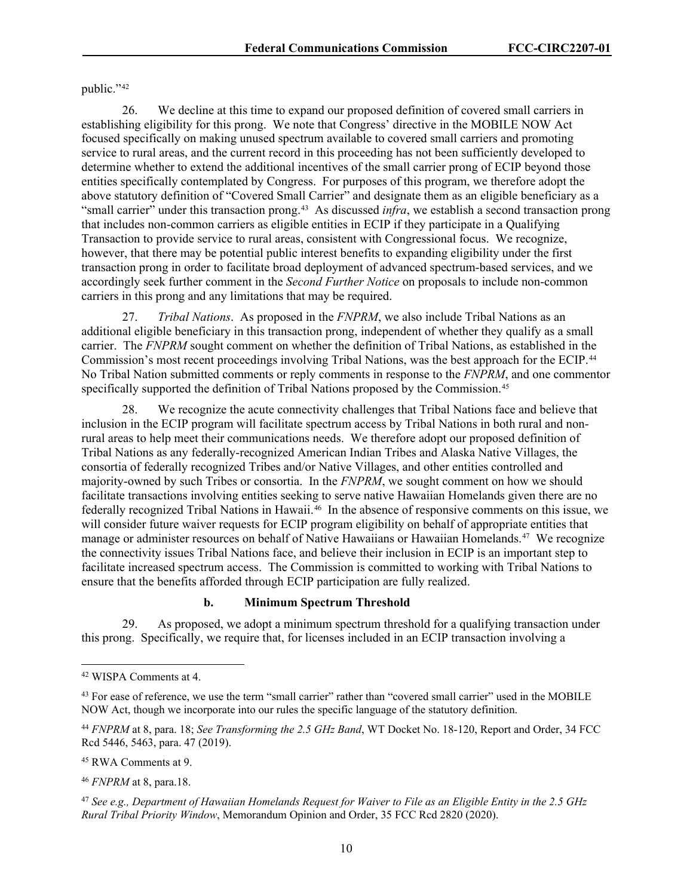public."<sup>[42](#page-10-0)</sup>

26. We decline at this time to expand our proposed definition of covered small carriers in establishing eligibility for this prong. We note that Congress' directive in the MOBILE NOW Act focused specifically on making unused spectrum available to covered small carriers and promoting service to rural areas, and the current record in this proceeding has not been sufficiently developed to determine whether to extend the additional incentives of the small carrier prong of ECIP beyond those entities specifically contemplated by Congress. For purposes of this program, we therefore adopt the above statutory definition of "Covered Small Carrier" and designate them as an eligible beneficiary as a "small carrier" under this transaction prong.<sup>43</sup> As discussed *infra*, we establish a second transaction prong that includes non-common carriers as eligible entities in ECIP if they participate in a Qualifying Transaction to provide service to rural areas, consistent with Congressional focus. We recognize, however, that there may be potential public interest benefits to expanding eligibility under the first transaction prong in order to facilitate broad deployment of advanced spectrum-based services, and we accordingly seek further comment in the *Second Further Notice* on proposals to include non-common carriers in this prong and any limitations that may be required.

27. *Tribal Nations*. As proposed in the *FNPRM*, we also include Tribal Nations as an additional eligible beneficiary in this transaction prong, independent of whether they qualify as a small carrier. The *FNPRM* sought comment on whether the definition of Tribal Nations, as established in the Commission's most recent proceedings involving Tribal Nations, was the best approach for the ECIP.[44](#page-10-2) No Tribal Nation submitted comments or reply comments in response to the *FNPRM*, and one commentor specifically supported the definition of Tribal Nations proposed by the Commission.<sup>[45](#page-10-3)</sup>

28. We recognize the acute connectivity challenges that Tribal Nations face and believe that inclusion in the ECIP program will facilitate spectrum access by Tribal Nations in both rural and nonrural areas to help meet their communications needs. We therefore adopt our proposed definition of Tribal Nations as any federally-recognized American Indian Tribes and Alaska Native Villages, the consortia of federally recognized Tribes and/or Native Villages, and other entities controlled and majority-owned by such Tribes or consortia. In the *FNPRM*, we sought comment on how we should facilitate transactions involving entities seeking to serve native Hawaiian Homelands given there are no federally recognized Tribal Nations in Hawaii.<sup>[46](#page-10-4)</sup> In the absence of responsive comments on this issue, we will consider future waiver requests for ECIP program eligibility on behalf of appropriate entities that manage or administer resources on behalf of Native Hawaiians or Hawaiian Homelands.<sup>[47](#page-10-5)</sup> We recognize the connectivity issues Tribal Nations face, and believe their inclusion in ECIP is an important step to facilitate increased spectrum access. The Commission is committed to working with Tribal Nations to ensure that the benefits afforded through ECIP participation are fully realized.

#### **b. Minimum Spectrum Threshold**

29. As proposed, we adopt a minimum spectrum threshold for a qualifying transaction under this prong. Specifically, we require that, for licenses included in an ECIP transaction involving a

<span id="page-10-3"></span><sup>45</sup> RWA Comments at 9.

<span id="page-10-4"></span><sup>46</sup> *FNPRM* at 8, para.18.

<span id="page-10-0"></span><sup>42</sup> WISPA Comments at 4.

<span id="page-10-1"></span><sup>&</sup>lt;sup>43</sup> For ease of reference, we use the term "small carrier" rather than "covered small carrier" used in the MOBILE NOW Act, though we incorporate into our rules the specific language of the statutory definition.

<span id="page-10-2"></span><sup>44</sup> *FNPRM* at 8, para. 18; *See Transforming the 2.5 GHz Band*, WT Docket No. 18-120, Report and Order, 34 FCC Rcd 5446, 5463, para. 47 (2019).

<span id="page-10-5"></span><sup>47</sup> *See e.g., Department of Hawaiian Homelands Request for Waiver to File as an Eligible Entity in the 2.5 GHz Rural Tribal Priority Window*, Memorandum Opinion and Order, 35 FCC Rcd 2820 (2020).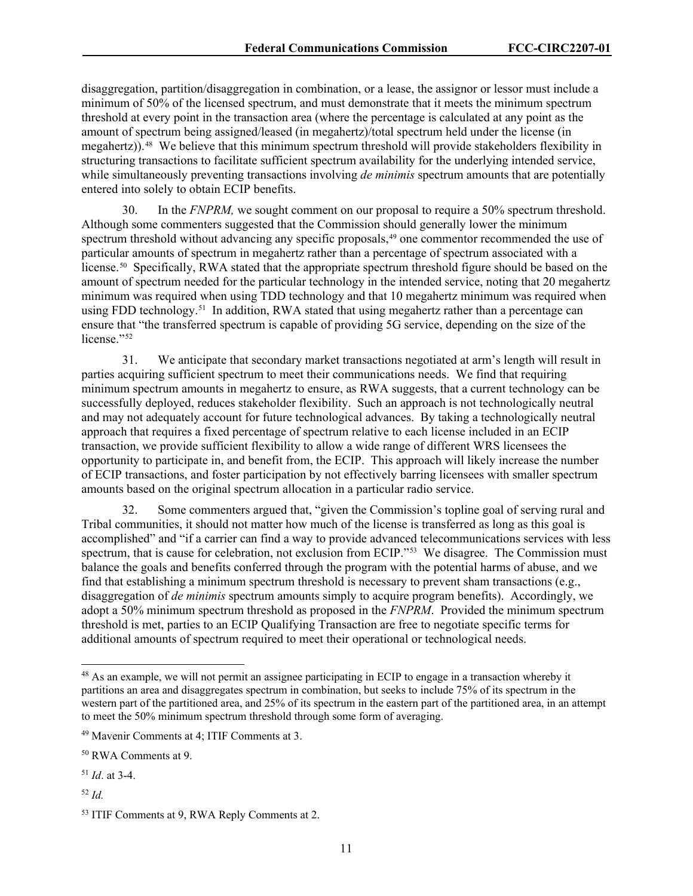disaggregation, partition/disaggregation in combination, or a lease, the assignor or lessor must include a minimum of 50% of the licensed spectrum, and must demonstrate that it meets the minimum spectrum threshold at every point in the transaction area (where the percentage is calculated at any point as the amount of spectrum being assigned/leased (in megahertz)/total spectrum held under the license (in megahertz)).[48](#page-11-0) We believe that this minimum spectrum threshold will provide stakeholders flexibility in structuring transactions to facilitate sufficient spectrum availability for the underlying intended service, while simultaneously preventing transactions involving *de minimis* spectrum amounts that are potentially entered into solely to obtain ECIP benefits.

30. In the *FNPRM,* we sought comment on our proposal to require a 50% spectrum threshold. Although some commenters suggested that the Commission should generally lower the minimum spectrum threshold without advancing any specific proposals,<sup>[49](#page-11-1)</sup> one commentor recommended the use of particular amounts of spectrum in megahertz rather than a percentage of spectrum associated with a license.<sup>[50](#page-11-2)</sup> Specifically, RWA stated that the appropriate spectrum threshold figure should be based on the amount of spectrum needed for the particular technology in the intended service, noting that 20 megahertz minimum was required when using TDD technology and that 10 megahertz minimum was required when using FDD technology.<sup>51</sup> In addition, RWA stated that using megahertz rather than a percentage can ensure that "the transferred spectrum is capable of providing 5G service, depending on the size of the license."<sup>[52](#page-11-4)</sup>

31. We anticipate that secondary market transactions negotiated at arm's length will result in parties acquiring sufficient spectrum to meet their communications needs. We find that requiring minimum spectrum amounts in megahertz to ensure, as RWA suggests, that a current technology can be successfully deployed, reduces stakeholder flexibility. Such an approach is not technologically neutral and may not adequately account for future technological advances. By taking a technologically neutral approach that requires a fixed percentage of spectrum relative to each license included in an ECIP transaction, we provide sufficient flexibility to allow a wide range of different WRS licensees the opportunity to participate in, and benefit from, the ECIP. This approach will likely increase the number of ECIP transactions, and foster participation by not effectively barring licensees with smaller spectrum amounts based on the original spectrum allocation in a particular radio service.

32. Some commenters argued that, "given the Commission's topline goal of serving rural and Tribal communities, it should not matter how much of the license is transferred as long as this goal is accomplished" and "if a carrier can find a way to provide advanced telecommunications services with less spectrum, that is cause for celebration, not exclusion from ECIP."<sup>53</sup> We disagree. The Commission must balance the goals and benefits conferred through the program with the potential harms of abuse, and we find that establishing a minimum spectrum threshold is necessary to prevent sham transactions (e.g., disaggregation of *de minimis* spectrum amounts simply to acquire program benefits). Accordingly, we adopt a 50% minimum spectrum threshold as proposed in the *FNPRM*. Provided the minimum spectrum threshold is met, parties to an ECIP Qualifying Transaction are free to negotiate specific terms for additional amounts of spectrum required to meet their operational or technological needs.

<span id="page-11-4"></span><sup>52</sup> *Id.*

<span id="page-11-0"></span><sup>&</sup>lt;sup>48</sup> As an example, we will not permit an assignee participating in ECIP to engage in a transaction whereby it partitions an area and disaggregates spectrum in combination, but seeks to include 75% of its spectrum in the western part of the partitioned area, and 25% of its spectrum in the eastern part of the partitioned area, in an attempt to meet the 50% minimum spectrum threshold through some form of averaging.

<span id="page-11-1"></span><sup>49</sup> Mavenir Comments at 4; ITIF Comments at 3.

<span id="page-11-2"></span><sup>50</sup> RWA Comments at 9.

<span id="page-11-3"></span><sup>51</sup> *Id*. at 3-4.

<span id="page-11-5"></span><sup>53</sup> ITIF Comments at 9, RWA Reply Comments at 2.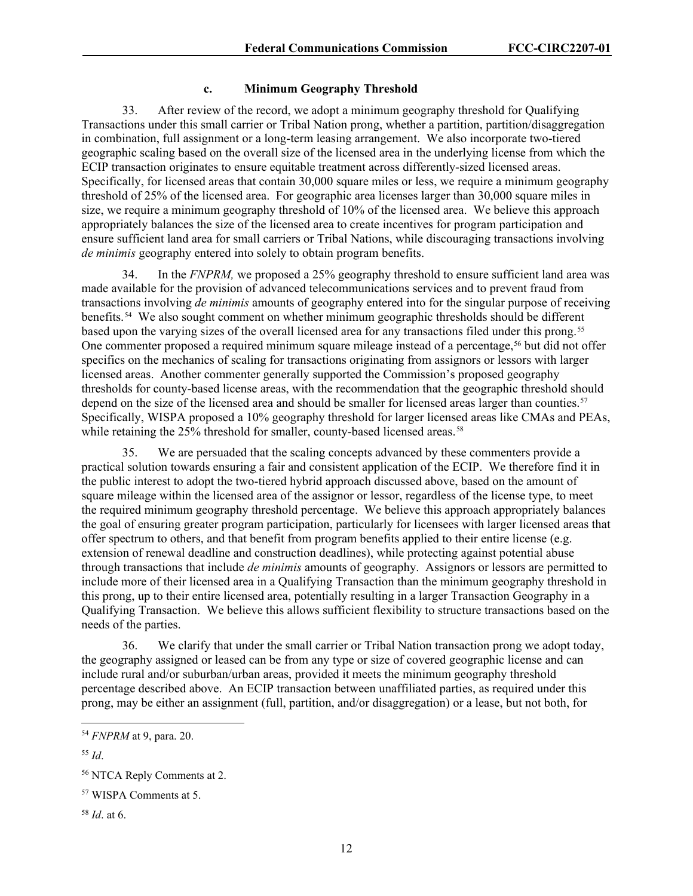## **c. Minimum Geography Threshold**

33. After review of the record, we adopt a minimum geography threshold for Qualifying Transactions under this small carrier or Tribal Nation prong, whether a partition, partition/disaggregation in combination, full assignment or a long-term leasing arrangement. We also incorporate two-tiered geographic scaling based on the overall size of the licensed area in the underlying license from which the ECIP transaction originates to ensure equitable treatment across differently-sized licensed areas. Specifically, for licensed areas that contain 30,000 square miles or less, we require a minimum geography threshold of 25% of the licensed area. For geographic area licenses larger than 30,000 square miles in size, we require a minimum geography threshold of 10% of the licensed area. We believe this approach appropriately balances the size of the licensed area to create incentives for program participation and ensure sufficient land area for small carriers or Tribal Nations, while discouraging transactions involving *de minimis* geography entered into solely to obtain program benefits.

34. In the *FNPRM,* we proposed a 25% geography threshold to ensure sufficient land area was made available for the provision of advanced telecommunications services and to prevent fraud from transactions involving *de minimis* amounts of geography entered into for the singular purpose of receiving benefits.<sup>54</sup> We also sought comment on whether minimum geographic thresholds should be different based upon the varying sizes of the overall licensed area for any transactions filed under this prong.[55](#page-12-1)  One commenter proposed a required minimum square mileage instead of a percentage,<sup>[56](#page-12-2)</sup> but did not offer specifics on the mechanics of scaling for transactions originating from assignors or lessors with larger licensed areas. Another commenter generally supported the Commission's proposed geography thresholds for county-based license areas, with the recommendation that the geographic threshold should depend on the size of the licensed area and should be smaller for licensed areas larger than counties.<sup>[57](#page-12-3)</sup> Specifically, WISPA proposed a 10% geography threshold for larger licensed areas like CMAs and PEAs, while retaining the 25% threshold for smaller, county-based licensed areas.<sup>[58](#page-12-4)</sup>

35. We are persuaded that the scaling concepts advanced by these commenters provide a practical solution towards ensuring a fair and consistent application of the ECIP. We therefore find it in the public interest to adopt the two-tiered hybrid approach discussed above, based on the amount of square mileage within the licensed area of the assignor or lessor, regardless of the license type, to meet the required minimum geography threshold percentage. We believe this approach appropriately balances the goal of ensuring greater program participation, particularly for licensees with larger licensed areas that offer spectrum to others, and that benefit from program benefits applied to their entire license (e.g. extension of renewal deadline and construction deadlines), while protecting against potential abuse through transactions that include *de minimis* amounts of geography. Assignors or lessors are permitted to include more of their licensed area in a Qualifying Transaction than the minimum geography threshold in this prong, up to their entire licensed area, potentially resulting in a larger Transaction Geography in a Qualifying Transaction. We believe this allows sufficient flexibility to structure transactions based on the needs of the parties.

36. We clarify that under the small carrier or Tribal Nation transaction prong we adopt today, the geography assigned or leased can be from any type or size of covered geographic license and can include rural and/or suburban/urban areas, provided it meets the minimum geography threshold percentage described above. An ECIP transaction between unaffiliated parties, as required under this prong, may be either an assignment (full, partition, and/or disaggregation) or a lease, but not both, for

<span id="page-12-0"></span><sup>54</sup> *FNPRM* at 9, para. 20.

<span id="page-12-1"></span><sup>55</sup> *Id*.

<span id="page-12-2"></span><sup>56</sup> NTCA Reply Comments at 2.

<span id="page-12-3"></span><sup>57</sup> WISPA Comments at 5.

<span id="page-12-4"></span><sup>58</sup> *Id*. at 6.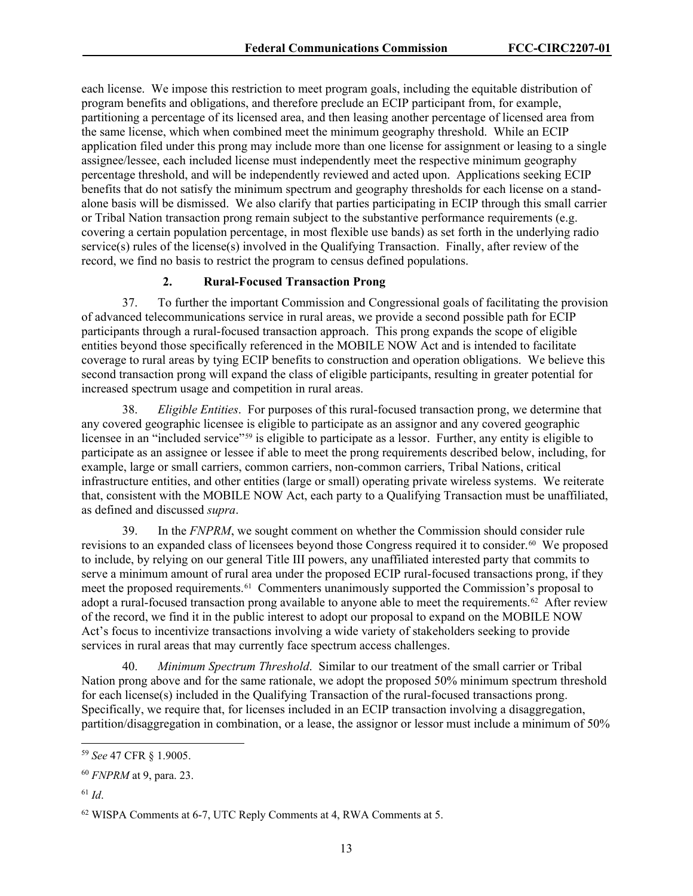each license. We impose this restriction to meet program goals, including the equitable distribution of program benefits and obligations, and therefore preclude an ECIP participant from, for example, partitioning a percentage of its licensed area, and then leasing another percentage of licensed area from the same license, which when combined meet the minimum geography threshold. While an ECIP application filed under this prong may include more than one license for assignment or leasing to a single assignee/lessee, each included license must independently meet the respective minimum geography percentage threshold, and will be independently reviewed and acted upon. Applications seeking ECIP benefits that do not satisfy the minimum spectrum and geography thresholds for each license on a standalone basis will be dismissed. We also clarify that parties participating in ECIP through this small carrier or Tribal Nation transaction prong remain subject to the substantive performance requirements (e.g. covering a certain population percentage, in most flexible use bands) as set forth in the underlying radio service(s) rules of the license(s) involved in the Qualifying Transaction. Finally, after review of the record, we find no basis to restrict the program to census defined populations.

## **2. Rural-Focused Transaction Prong**

37. To further the important Commission and Congressional goals of facilitating the provision of advanced telecommunications service in rural areas, we provide a second possible path for ECIP participants through a rural-focused transaction approach. This prong expands the scope of eligible entities beyond those specifically referenced in the MOBILE NOW Act and is intended to facilitate coverage to rural areas by tying ECIP benefits to construction and operation obligations. We believe this second transaction prong will expand the class of eligible participants, resulting in greater potential for increased spectrum usage and competition in rural areas.

38. *Eligible Entities*. For purposes of this rural-focused transaction prong, we determine that any covered geographic licensee is eligible to participate as an assignor and any covered geographic licensee in an "included service"[59](#page-13-0) is eligible to participate as a lessor. Further, any entity is eligible to participate as an assignee or lessee if able to meet the prong requirements described below, including, for example, large or small carriers, common carriers, non-common carriers, Tribal Nations, critical infrastructure entities, and other entities (large or small) operating private wireless systems. We reiterate that, consistent with the MOBILE NOW Act, each party to a Qualifying Transaction must be unaffiliated, as defined and discussed *supra*.

39. In the *FNPRM*, we sought comment on whether the Commission should consider rule revisions to an expanded class of licensees beyond those Congress required it to consider.<sup>60</sup> We proposed to include, by relying on our general Title III powers, any unaffiliated interested party that commits to serve a minimum amount of rural area under the proposed ECIP rural-focused transactions prong, if they meet the proposed requirements.[61](#page-13-2) Commenters unanimously supported the Commission's proposal to adopt a rural-focused transaction prong available to anyone able to meet the requirements.<sup>62</sup> After review of the record, we find it in the public interest to adopt our proposal to expand on the MOBILE NOW Act's focus to incentivize transactions involving a wide variety of stakeholders seeking to provide services in rural areas that may currently face spectrum access challenges.

40. *Minimum Spectrum Threshold*. Similar to our treatment of the small carrier or Tribal Nation prong above and for the same rationale, we adopt the proposed 50% minimum spectrum threshold for each license(s) included in the Qualifying Transaction of the rural-focused transactions prong. Specifically, we require that, for licenses included in an ECIP transaction involving a disaggregation, partition/disaggregation in combination, or a lease, the assignor or lessor must include a minimum of 50%

<span id="page-13-2"></span><sup>61</sup> *Id*.

<span id="page-13-0"></span><sup>59</sup> *See* 47 CFR § 1.9005.

<span id="page-13-1"></span><sup>60</sup> *FNPRM* at 9, para. 23.

<span id="page-13-3"></span><sup>62</sup> WISPA Comments at 6-7, UTC Reply Comments at 4, RWA Comments at 5.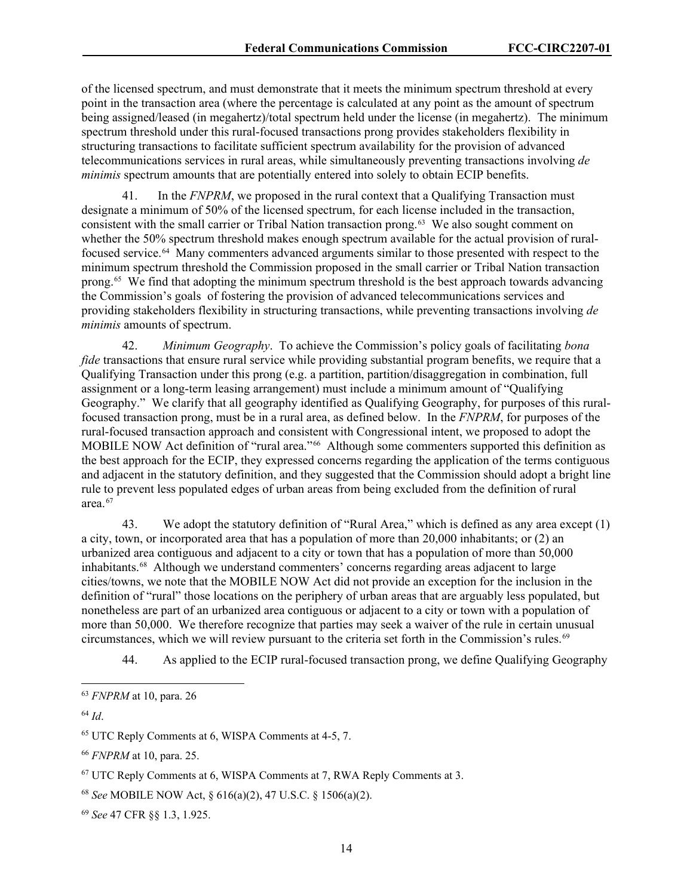of the licensed spectrum, and must demonstrate that it meets the minimum spectrum threshold at every point in the transaction area (where the percentage is calculated at any point as the amount of spectrum being assigned/leased (in megahertz)/total spectrum held under the license (in megahertz). The minimum spectrum threshold under this rural-focused transactions prong provides stakeholders flexibility in structuring transactions to facilitate sufficient spectrum availability for the provision of advanced telecommunications services in rural areas, while simultaneously preventing transactions involving *de minimis* spectrum amounts that are potentially entered into solely to obtain ECIP benefits.

41. In the *FNPRM*, we proposed in the rural context that a Qualifying Transaction must designate a minimum of 50% of the licensed spectrum, for each license included in the transaction, consistent with the small carrier or Tribal Nation transaction prong.[63](#page-14-0) We also sought comment on whether the 50% spectrum threshold makes enough spectrum available for the actual provision of ruralfocused service.[64](#page-14-1) Many commenters advanced arguments similar to those presented with respect to the minimum spectrum threshold the Commission proposed in the small carrier or Tribal Nation transaction prong.[65](#page-14-2) We find that adopting the minimum spectrum threshold is the best approach towards advancing the Commission's goals of fostering the provision of advanced telecommunications services and providing stakeholders flexibility in structuring transactions, while preventing transactions involving *de minimis* amounts of spectrum.

42. *Minimum Geography*. To achieve the Commission's policy goals of facilitating *bona fide* transactions that ensure rural service while providing substantial program benefits, we require that a Qualifying Transaction under this prong (e.g. a partition, partition/disaggregation in combination, full assignment or a long-term leasing arrangement) must include a minimum amount of "Qualifying Geography." We clarify that all geography identified as Qualifying Geography, for purposes of this ruralfocused transaction prong, must be in a rural area, as defined below. In the *FNPRM*, for purposes of the rural-focused transaction approach and consistent with Congressional intent, we proposed to adopt the MOBILE NOW Act definition of "rural area."<sup>[66](#page-14-3)</sup> Although some commenters supported this definition as the best approach for the ECIP, they expressed concerns regarding the application of the terms contiguous and adjacent in the statutory definition, and they suggested that the Commission should adopt a bright line rule to prevent less populated edges of urban areas from being excluded from the definition of rural area.[67](#page-14-4)

43. We adopt the statutory definition of "Rural Area," which is defined as any area except (1) a city, town, or incorporated area that has a population of more than 20,000 inhabitants; or (2) an urbanized area contiguous and adjacent to a city or town that has a population of more than 50,000 inhabitants.[68](#page-14-5) Although we understand commenters' concerns regarding areas adjacent to large cities/towns, we note that the MOBILE NOW Act did not provide an exception for the inclusion in the definition of "rural" those locations on the periphery of urban areas that are arguably less populated, but nonetheless are part of an urbanized area contiguous or adjacent to a city or town with a population of more than 50,000. We therefore recognize that parties may seek a waiver of the rule in certain unusual circumstances, which we will review pursuant to the criteria set forth in the Commission's rules.<sup>69</sup>

44. As applied to the ECIP rural-focused transaction prong, we define Qualifying Geography

<span id="page-14-0"></span><sup>63</sup> *FNPRM* at 10, para. 26

<span id="page-14-1"></span><sup>64</sup> *Id*.

<span id="page-14-2"></span><sup>65</sup> UTC Reply Comments at 6, WISPA Comments at 4-5, 7.

<span id="page-14-3"></span><sup>66</sup> *FNPRM* at 10, para. 25.

<span id="page-14-4"></span> $67$  UTC Reply Comments at 6, WISPA Comments at 7, RWA Reply Comments at 3.

<span id="page-14-5"></span><sup>68</sup> *See* MOBILE NOW Act, § 616(a)(2), 47 U.S.C. § 1506(a)(2).

<span id="page-14-6"></span><sup>69</sup> *See* 47 CFR §§ 1.3, 1.925.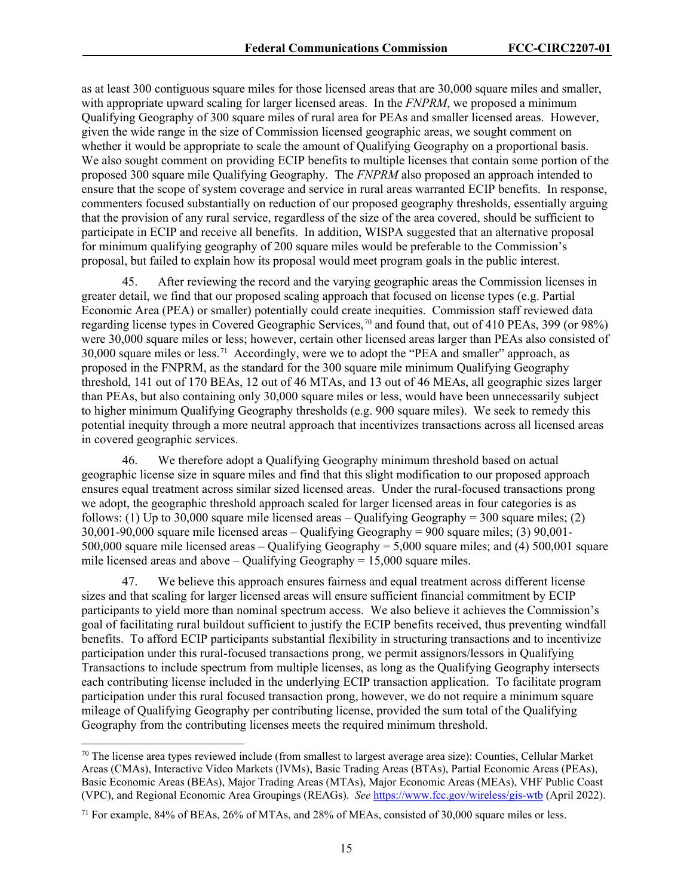as at least 300 contiguous square miles for those licensed areas that are 30,000 square miles and smaller, with appropriate upward scaling for larger licensed areas. In the *FNPRM*, we proposed a minimum Qualifying Geography of 300 square miles of rural area for PEAs and smaller licensed areas. However, given the wide range in the size of Commission licensed geographic areas, we sought comment on whether it would be appropriate to scale the amount of Qualifying Geography on a proportional basis. We also sought comment on providing ECIP benefits to multiple licenses that contain some portion of the proposed 300 square mile Qualifying Geography. The *FNPRM* also proposed an approach intended to ensure that the scope of system coverage and service in rural areas warranted ECIP benefits. In response, commenters focused substantially on reduction of our proposed geography thresholds, essentially arguing that the provision of any rural service, regardless of the size of the area covered, should be sufficient to participate in ECIP and receive all benefits. In addition, WISPA suggested that an alternative proposal for minimum qualifying geography of 200 square miles would be preferable to the Commission's proposal, but failed to explain how its proposal would meet program goals in the public interest.

45. After reviewing the record and the varying geographic areas the Commission licenses in greater detail, we find that our proposed scaling approach that focused on license types (e.g. Partial Economic Area (PEA) or smaller) potentially could create inequities. Commission staff reviewed data regarding license types in Covered Geographic Services,<sup>[70](#page-15-0)</sup> and found that, out of 410 PEAs, 399 (or 98%) were 30,000 square miles or less; however, certain other licensed areas larger than PEAs also consisted of 30,000 square miles or less.[71](#page-15-1) Accordingly, were we to adopt the "PEA and smaller" approach, as proposed in the FNPRM, as the standard for the 300 square mile minimum Qualifying Geography threshold, 141 out of 170 BEAs, 12 out of 46 MTAs, and 13 out of 46 MEAs, all geographic sizes larger than PEAs, but also containing only 30,000 square miles or less, would have been unnecessarily subject to higher minimum Qualifying Geography thresholds (e.g. 900 square miles). We seek to remedy this potential inequity through a more neutral approach that incentivizes transactions across all licensed areas in covered geographic services.

46. We therefore adopt a Qualifying Geography minimum threshold based on actual geographic license size in square miles and find that this slight modification to our proposed approach ensures equal treatment across similar sized licensed areas. Under the rural-focused transactions prong we adopt, the geographic threshold approach scaled for larger licensed areas in four categories is as follows: (1) Up to 30,000 square mile licensed areas – Qualifying Geography = 300 square miles; (2) 30,001-90,000 square mile licensed areas – Qualifying Geography = 900 square miles; (3) 90,001- 500,000 square mile licensed areas – Qualifying Geography = 5,000 square miles; and (4) 500,001 square mile licensed areas and above – Qualifying Geography =  $15,000$  square miles.

47. We believe this approach ensures fairness and equal treatment across different license sizes and that scaling for larger licensed areas will ensure sufficient financial commitment by ECIP participants to yield more than nominal spectrum access. We also believe it achieves the Commission's goal of facilitating rural buildout sufficient to justify the ECIP benefits received, thus preventing windfall benefits. To afford ECIP participants substantial flexibility in structuring transactions and to incentivize participation under this rural-focused transactions prong, we permit assignors/lessors in Qualifying Transactions to include spectrum from multiple licenses, as long as the Qualifying Geography intersects each contributing license included in the underlying ECIP transaction application. To facilitate program participation under this rural focused transaction prong, however, we do not require a minimum square mileage of Qualifying Geography per contributing license, provided the sum total of the Qualifying Geography from the contributing licenses meets the required minimum threshold.

<span id="page-15-0"></span><sup>&</sup>lt;sup>70</sup> The license area types reviewed include (from smallest to largest average area size): Counties, Cellular Market Areas (CMAs), Interactive Video Markets (IVMs), Basic Trading Areas (BTAs), Partial Economic Areas (PEAs), Basic Economic Areas (BEAs), Major Trading Areas (MTAs), Major Economic Areas (MEAs), VHF Public Coast (VPC), and Regional Economic Area Groupings (REAGs). *See* <https://www.fcc.gov/wireless/gis-wtb> (April 2022).

<span id="page-15-1"></span><sup>&</sup>lt;sup>71</sup> For example, 84% of BEAs, 26% of MTAs, and 28% of MEAs, consisted of 30,000 square miles or less.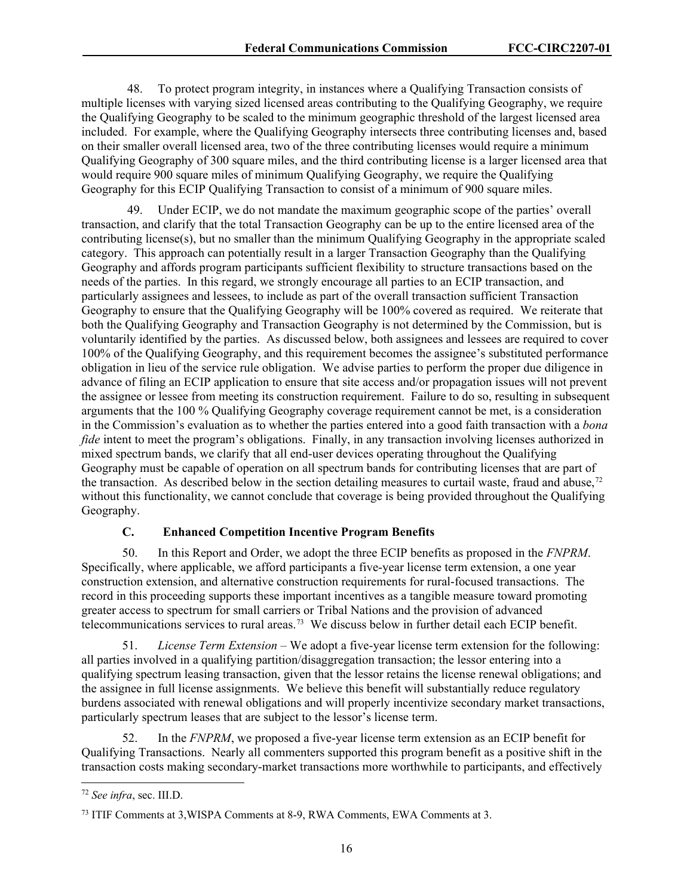48. To protect program integrity, in instances where a Qualifying Transaction consists of multiple licenses with varying sized licensed areas contributing to the Qualifying Geography, we require the Qualifying Geography to be scaled to the minimum geographic threshold of the largest licensed area included. For example, where the Qualifying Geography intersects three contributing licenses and, based on their smaller overall licensed area, two of the three contributing licenses would require a minimum Qualifying Geography of 300 square miles, and the third contributing license is a larger licensed area that would require 900 square miles of minimum Qualifying Geography, we require the Qualifying Geography for this ECIP Qualifying Transaction to consist of a minimum of 900 square miles.

Under ECIP, we do not mandate the maximum geographic scope of the parties' overall transaction, and clarify that the total Transaction Geography can be up to the entire licensed area of the contributing license(s), but no smaller than the minimum Qualifying Geography in the appropriate scaled category. This approach can potentially result in a larger Transaction Geography than the Qualifying Geography and affords program participants sufficient flexibility to structure transactions based on the needs of the parties. In this regard, we strongly encourage all parties to an ECIP transaction, and particularly assignees and lessees, to include as part of the overall transaction sufficient Transaction Geography to ensure that the Qualifying Geography will be 100% covered as required. We reiterate that both the Qualifying Geography and Transaction Geography is not determined by the Commission, but is voluntarily identified by the parties. As discussed below, both assignees and lessees are required to cover 100% of the Qualifying Geography, and this requirement becomes the assignee's substituted performance obligation in lieu of the service rule obligation. We advise parties to perform the proper due diligence in advance of filing an ECIP application to ensure that site access and/or propagation issues will not prevent the assignee or lessee from meeting its construction requirement. Failure to do so, resulting in subsequent arguments that the 100 % Qualifying Geography coverage requirement cannot be met, is a consideration in the Commission's evaluation as to whether the parties entered into a good faith transaction with a *bona fide* intent to meet the program's obligations. Finally, in any transaction involving licenses authorized in mixed spectrum bands, we clarify that all end-user devices operating throughout the Qualifying Geography must be capable of operation on all spectrum bands for contributing licenses that are part of the transaction. As described below in the section detailing measures to curtail waste, fraud and abuse, $7<sup>2</sup>$ without this functionality, we cannot conclude that coverage is being provided throughout the Qualifying Geography.

# **C. Enhanced Competition Incentive Program Benefits**

50. In this Report and Order, we adopt the three ECIP benefits as proposed in the *FNPRM*. Specifically, where applicable, we afford participants a five-year license term extension, a one year construction extension, and alternative construction requirements for rural-focused transactions. The record in this proceeding supports these important incentives as a tangible measure toward promoting greater access to spectrum for small carriers or Tribal Nations and the provision of advanced telecommunications services to rural areas.[73](#page-16-1) We discuss below in further detail each ECIP benefit.

51. *License Term Extension* – We adopt a five-year license term extension for the following: all parties involved in a qualifying partition/disaggregation transaction; the lessor entering into a qualifying spectrum leasing transaction, given that the lessor retains the license renewal obligations; and the assignee in full license assignments. We believe this benefit will substantially reduce regulatory burdens associated with renewal obligations and will properly incentivize secondary market transactions, particularly spectrum leases that are subject to the lessor's license term.

52. In the *FNPRM*, we proposed a five-year license term extension as an ECIP benefit for Qualifying Transactions. Nearly all commenters supported this program benefit as a positive shift in the transaction costs making secondary-market transactions more worthwhile to participants, and effectively

<span id="page-16-0"></span><sup>72</sup> *See infra*, sec. III.D.

<span id="page-16-1"></span><sup>73</sup> ITIF Comments at 3,WISPA Comments at 8-9, RWA Comments, EWA Comments at 3.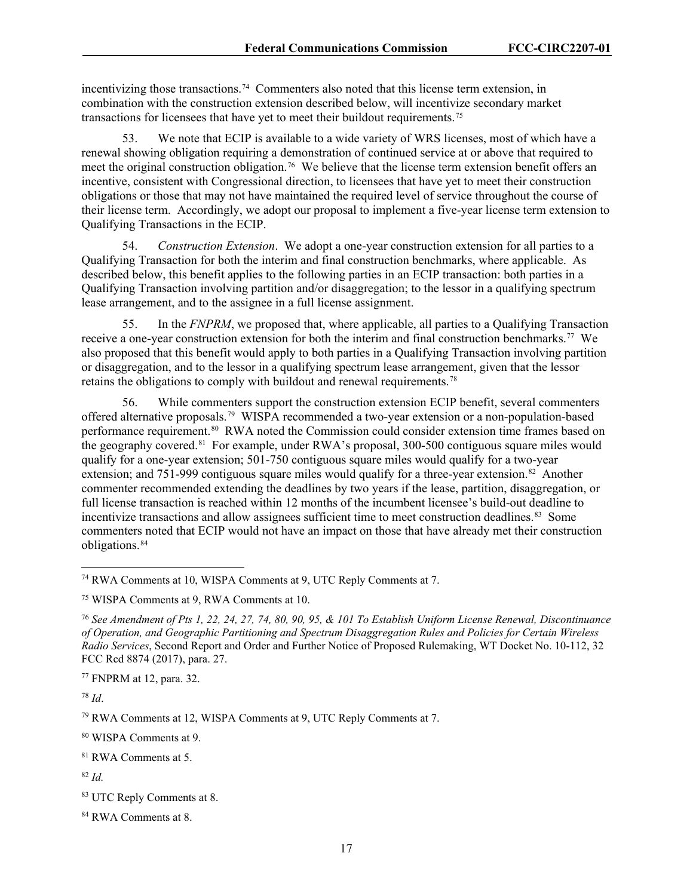incentivizing those transactions.<sup>[74](#page-17-0)</sup> Commenters also noted that this license term extension, in combination with the construction extension described below, will incentivize secondary market transactions for licensees that have yet to meet their buildout requirements.[75](#page-17-1)

53. We note that ECIP is available to a wide variety of WRS licenses, most of which have a renewal showing obligation requiring a demonstration of continued service at or above that required to meet the original construction obligation.<sup>76</sup> We believe that the license term extension benefit offers an incentive, consistent with Congressional direction, to licensees that have yet to meet their construction obligations or those that may not have maintained the required level of service throughout the course of their license term. Accordingly, we adopt our proposal to implement a five-year license term extension to Qualifying Transactions in the ECIP.

54. *Construction Extension*. We adopt a one-year construction extension for all parties to a Qualifying Transaction for both the interim and final construction benchmarks, where applicable. As described below, this benefit applies to the following parties in an ECIP transaction: both parties in a Qualifying Transaction involving partition and/or disaggregation; to the lessor in a qualifying spectrum lease arrangement, and to the assignee in a full license assignment.

55. In the *FNPRM*, we proposed that, where applicable, all parties to a Qualifying Transaction receive a one-year construction extension for both the interim and final construction benchmarks.[77](#page-17-3) We also proposed that this benefit would apply to both parties in a Qualifying Transaction involving partition or disaggregation, and to the lessor in a qualifying spectrum lease arrangement, given that the lessor retains the obligations to comply with buildout and renewal requirements.[78](#page-17-4)

56. While commenters support the construction extension ECIP benefit, several commenters offered alternative proposals.[79](#page-17-5) WISPA recommended a two-year extension or a non-population-based performance requirement.<sup>[80](#page-17-6)</sup> RWA noted the Commission could consider extension time frames based on the geography covered.<sup>81</sup> For example, under RWA's proposal, 300-500 contiguous square miles would qualify for a one-year extension; 501-750 contiguous square miles would qualify for a two-year extension; and 751-999 contiguous square miles would qualify for a three-year extension.<sup>82</sup> Another commenter recommended extending the deadlines by two years if the lease, partition, disaggregation, or full license transaction is reached within 12 months of the incumbent licensee's build-out deadline to incentivize transactions and allow assignees sufficient time to meet construction deadlines.<sup>83</sup> Some commenters noted that ECIP would not have an impact on those that have already met their construction obligations.[84](#page-17-10)

<span id="page-17-3"></span><sup>77</sup> FNPRM at 12, para. 32.

<span id="page-17-4"></span><sup>78</sup> *Id*.

<span id="page-17-6"></span><sup>80</sup> WISPA Comments at 9.

<span id="page-17-0"></span><sup>74</sup> RWA Comments at 10, WISPA Comments at 9, UTC Reply Comments at 7.

<span id="page-17-1"></span><sup>75</sup> WISPA Comments at 9, RWA Comments at 10.

<span id="page-17-2"></span><sup>76</sup> *See Amendment of Pts 1, 22, 24, 27, 74, 80, 90, 95, & 101 To Establish Uniform License Renewal, Discontinuance of Operation, and Geographic Partitioning and Spectrum Disaggregation Rules and Policies for Certain Wireless Radio Services*, Second Report and Order and Further Notice of Proposed Rulemaking, WT Docket No. 10-112, 32 FCC Rcd 8874 (2017), para. 27.

<span id="page-17-5"></span><sup>79</sup> RWA Comments at 12, WISPA Comments at 9, UTC Reply Comments at 7.

<span id="page-17-7"></span><sup>81</sup> RWA Comments at 5.

<span id="page-17-8"></span><sup>82</sup> *Id.*

<span id="page-17-9"></span><sup>83</sup> UTC Reply Comments at 8.

<span id="page-17-10"></span><sup>84</sup> RWA Comments at 8.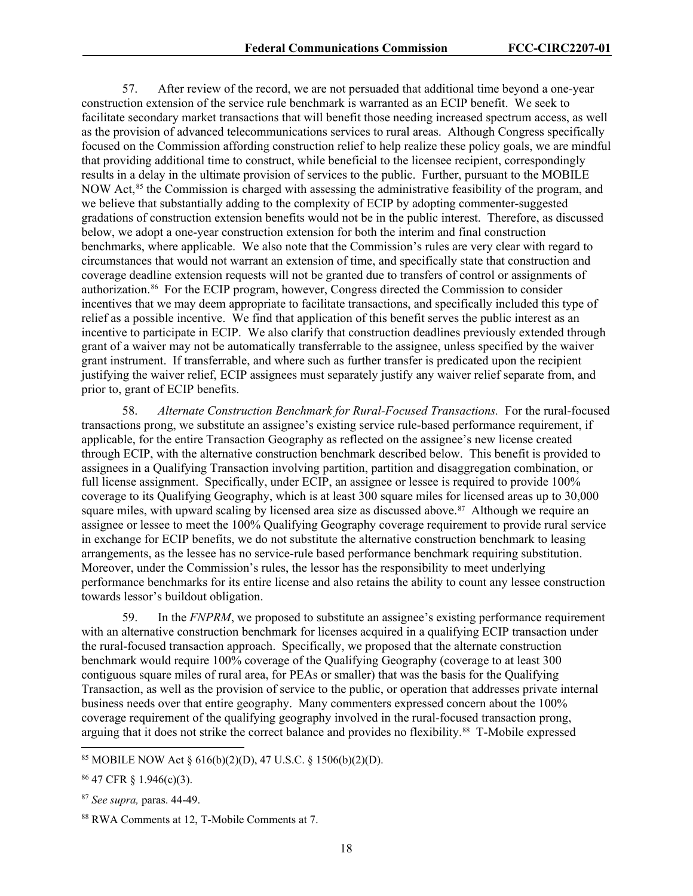57. After review of the record, we are not persuaded that additional time beyond a one-year construction extension of the service rule benchmark is warranted as an ECIP benefit. We seek to facilitate secondary market transactions that will benefit those needing increased spectrum access, as well as the provision of advanced telecommunications services to rural areas. Although Congress specifically focused on the Commission affording construction relief to help realize these policy goals, we are mindful that providing additional time to construct, while beneficial to the licensee recipient, correspondingly results in a delay in the ultimate provision of services to the public. Further, pursuant to the MOBILE NOW Act,<sup>[85](#page-18-0)</sup> the Commission is charged with assessing the administrative feasibility of the program, and we believe that substantially adding to the complexity of ECIP by adopting commenter-suggested gradations of construction extension benefits would not be in the public interest. Therefore, as discussed below, we adopt a one-year construction extension for both the interim and final construction benchmarks, where applicable. We also note that the Commission's rules are very clear with regard to circumstances that would not warrant an extension of time, and specifically state that construction and coverage deadline extension requests will not be granted due to transfers of control or assignments of authorization.[86](#page-18-1) For the ECIP program, however, Congress directed the Commission to consider incentives that we may deem appropriate to facilitate transactions, and specifically included this type of relief as a possible incentive. We find that application of this benefit serves the public interest as an incentive to participate in ECIP. We also clarify that construction deadlines previously extended through grant of a waiver may not be automatically transferrable to the assignee, unless specified by the waiver grant instrument. If transferrable, and where such as further transfer is predicated upon the recipient justifying the waiver relief, ECIP assignees must separately justify any waiver relief separate from, and prior to, grant of ECIP benefits.

58. *Alternate Construction Benchmark for Rural-Focused Transactions.* For the rural-focused transactions prong, we substitute an assignee's existing service rule-based performance requirement, if applicable, for the entire Transaction Geography as reflected on the assignee's new license created through ECIP, with the alternative construction benchmark described below. This benefit is provided to assignees in a Qualifying Transaction involving partition, partition and disaggregation combination, or full license assignment. Specifically, under ECIP, an assignee or lessee is required to provide 100% coverage to its Qualifying Geography, which is at least 300 square miles for licensed areas up to 30,000 square miles, with upward scaling by licensed area size as discussed above.<sup>[87](#page-18-2)</sup> Although we require an assignee or lessee to meet the 100% Qualifying Geography coverage requirement to provide rural service in exchange for ECIP benefits, we do not substitute the alternative construction benchmark to leasing arrangements, as the lessee has no service-rule based performance benchmark requiring substitution. Moreover, under the Commission's rules, the lessor has the responsibility to meet underlying performance benchmarks for its entire license and also retains the ability to count any lessee construction towards lessor's buildout obligation.

59. In the *FNPRM*, we proposed to substitute an assignee's existing performance requirement with an alternative construction benchmark for licenses acquired in a qualifying ECIP transaction under the rural-focused transaction approach. Specifically, we proposed that the alternate construction benchmark would require 100% coverage of the Qualifying Geography (coverage to at least 300 contiguous square miles of rural area, for PEAs or smaller) that was the basis for the Qualifying Transaction, as well as the provision of service to the public, or operation that addresses private internal business needs over that entire geography. Many commenters expressed concern about the 100% coverage requirement of the qualifying geography involved in the rural-focused transaction prong, arguing that it does not strike the correct balance and provides no flexibility.[88](#page-18-3) T-Mobile expressed

<span id="page-18-0"></span><sup>85</sup> MOBILE NOW Act § 616(b)(2)(D), 47 U.S.C. § 1506(b)(2)(D).

<span id="page-18-1"></span><sup>86</sup> 47 CFR § 1.946(c)(3).

<span id="page-18-2"></span><sup>87</sup> *See supra,* paras. 44-49.

<span id="page-18-3"></span><sup>88</sup> RWA Comments at 12, T-Mobile Comments at 7.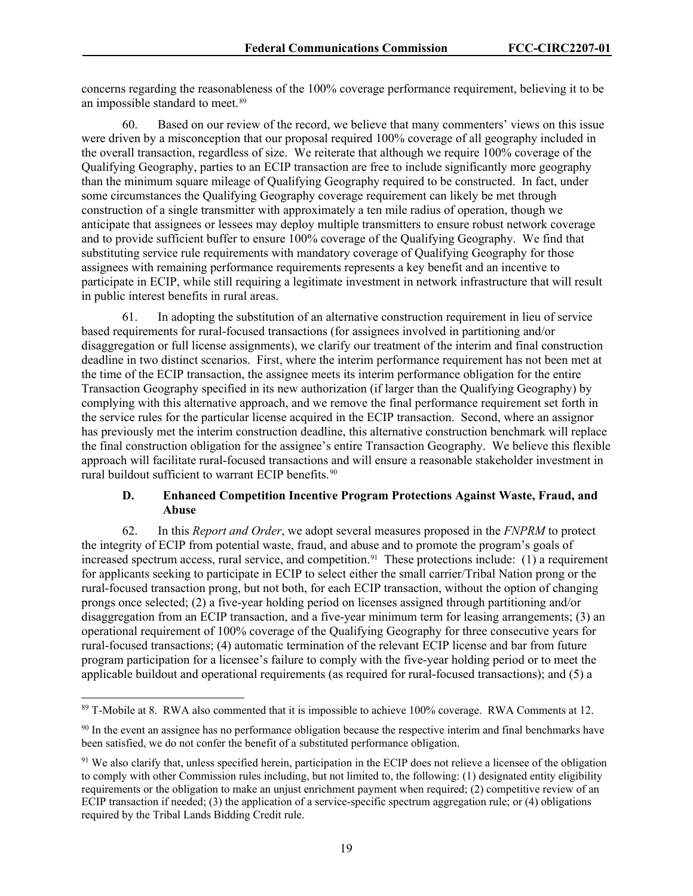concerns regarding the reasonableness of the 100% coverage performance requirement, believing it to be an impossible standard to meet.[89](#page-19-0) 

60. Based on our review of the record, we believe that many commenters' views on this issue were driven by a misconception that our proposal required 100% coverage of all geography included in the overall transaction, regardless of size. We reiterate that although we require 100% coverage of the Qualifying Geography, parties to an ECIP transaction are free to include significantly more geography than the minimum square mileage of Qualifying Geography required to be constructed. In fact, under some circumstances the Qualifying Geography coverage requirement can likely be met through construction of a single transmitter with approximately a ten mile radius of operation, though we anticipate that assignees or lessees may deploy multiple transmitters to ensure robust network coverage and to provide sufficient buffer to ensure 100% coverage of the Qualifying Geography. We find that substituting service rule requirements with mandatory coverage of Qualifying Geography for those assignees with remaining performance requirements represents a key benefit and an incentive to participate in ECIP, while still requiring a legitimate investment in network infrastructure that will result in public interest benefits in rural areas.

61. In adopting the substitution of an alternative construction requirement in lieu of service based requirements for rural-focused transactions (for assignees involved in partitioning and/or disaggregation or full license assignments), we clarify our treatment of the interim and final construction deadline in two distinct scenarios. First, where the interim performance requirement has not been met at the time of the ECIP transaction, the assignee meets its interim performance obligation for the entire Transaction Geography specified in its new authorization (if larger than the Qualifying Geography) by complying with this alternative approach, and we remove the final performance requirement set forth in the service rules for the particular license acquired in the ECIP transaction. Second, where an assignor has previously met the interim construction deadline, this alternative construction benchmark will replace the final construction obligation for the assignee's entire Transaction Geography. We believe this flexible approach will facilitate rural-focused transactions and will ensure a reasonable stakeholder investment in rural buildout sufficient to warrant ECIP benefits.<sup>[90](#page-19-1)</sup>

## **D. Enhanced Competition Incentive Program Protections Against Waste, Fraud, and Abuse**

62. In this *Report and Order*, we adopt several measures proposed in the *FNPRM* to protect the integrity of ECIP from potential waste, fraud, and abuse and to promote the program's goals of increased spectrum access, rural service, and competition.<sup>[91](#page-19-2)</sup> These protections include: (1) a requirement for applicants seeking to participate in ECIP to select either the small carrier/Tribal Nation prong or the rural-focused transaction prong, but not both, for each ECIP transaction, without the option of changing prongs once selected; (2) a five-year holding period on licenses assigned through partitioning and/or disaggregation from an ECIP transaction, and a five-year minimum term for leasing arrangements; (3) an operational requirement of 100% coverage of the Qualifying Geography for three consecutive years for rural-focused transactions; (4) automatic termination of the relevant ECIP license and bar from future program participation for a licensee's failure to comply with the five-year holding period or to meet the applicable buildout and operational requirements (as required for rural-focused transactions); and (5) a

<span id="page-19-0"></span><sup>89</sup> T-Mobile at 8. RWA also commented that it is impossible to achieve 100% coverage. RWA Comments at 12.

<span id="page-19-1"></span><sup>&</sup>lt;sup>90</sup> In the event an assignee has no performance obligation because the respective interim and final benchmarks have been satisfied, we do not confer the benefit of a substituted performance obligation.

<span id="page-19-2"></span><sup>&</sup>lt;sup>91</sup> We also clarify that, unless specified herein, participation in the ECIP does not relieve a licensee of the obligation to comply with other Commission rules including, but not limited to, the following: (1) designated entity eligibility requirements or the obligation to make an unjust enrichment payment when required; (2) competitive review of an ECIP transaction if needed; (3) the application of a service-specific spectrum aggregation rule; or (4) obligations required by the Tribal Lands Bidding Credit rule.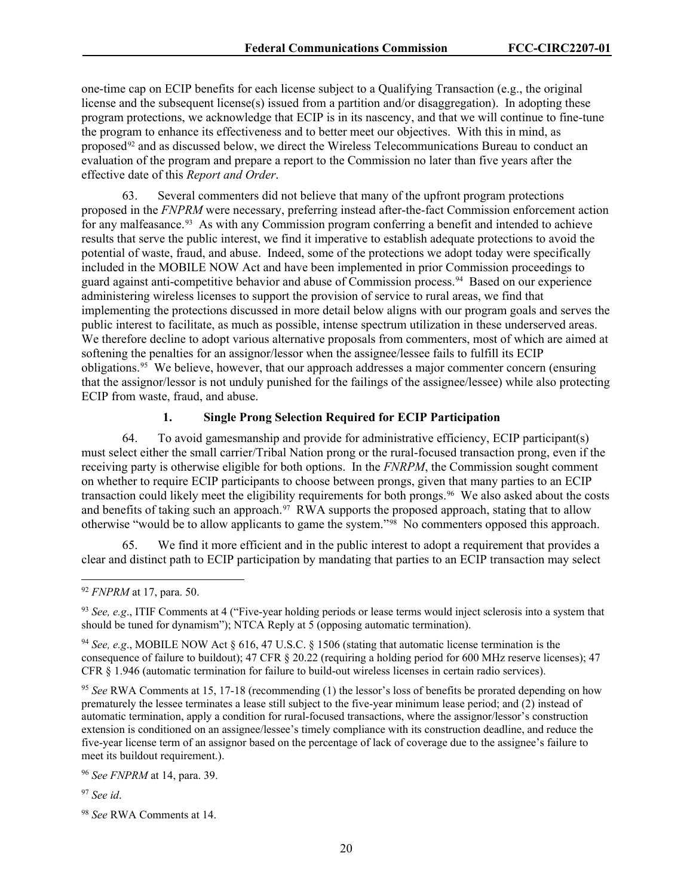one-time cap on ECIP benefits for each license subject to a Qualifying Transaction (e.g., the original license and the subsequent license(s) issued from a partition and/or disaggregation). In adopting these program protections, we acknowledge that ECIP is in its nascency, and that we will continue to fine-tune the program to enhance its effectiveness and to better meet our objectives. With this in mind, as proposed[92](#page-20-0) and as discussed below, we direct the Wireless Telecommunications Bureau to conduct an evaluation of the program and prepare a report to the Commission no later than five years after the effective date of this *Report and Order*.

63. Several commenters did not believe that many of the upfront program protections proposed in the *FNPRM* were necessary, preferring instead after-the-fact Commission enforcement action for any malfeasance.<sup>[93](#page-20-1)</sup> As with any Commission program conferring a benefit and intended to achieve results that serve the public interest, we find it imperative to establish adequate protections to avoid the potential of waste, fraud, and abuse. Indeed, some of the protections we adopt today were specifically included in the MOBILE NOW Act and have been implemented in prior Commission proceedings to guard against anti-competitive behavior and abuse of Commission process.<sup>[94](#page-20-2)</sup> Based on our experience administering wireless licenses to support the provision of service to rural areas, we find that implementing the protections discussed in more detail below aligns with our program goals and serves the public interest to facilitate, as much as possible, intense spectrum utilization in these underserved areas. We therefore decline to adopt various alternative proposals from commenters, most of which are aimed at softening the penalties for an assignor/lessor when the assignee/lessee fails to fulfill its ECIP obligations.[95](#page-20-3) We believe, however, that our approach addresses a major commenter concern (ensuring that the assignor/lessor is not unduly punished for the failings of the assignee/lessee) while also protecting ECIP from waste, fraud, and abuse.

## **1. Single Prong Selection Required for ECIP Participation**

64. To avoid gamesmanship and provide for administrative efficiency, ECIP participant(s) must select either the small carrier/Tribal Nation prong or the rural-focused transaction prong, even if the receiving party is otherwise eligible for both options. In the *FNRPM*, the Commission sought comment on whether to require ECIP participants to choose between prongs, given that many parties to an ECIP transaction could likely meet the eligibility requirements for both prongs.<sup>96</sup> We also asked about the costs and benefits of taking such an approach.<sup>[97](#page-20-5)</sup> RWA supports the proposed approach, stating that to allow otherwise "would be to allow applicants to game the system."[98](#page-20-6) No commenters opposed this approach.

65. We find it more efficient and in the public interest to adopt a requirement that provides a clear and distinct path to ECIP participation by mandating that parties to an ECIP transaction may select

<span id="page-20-3"></span><sup>95</sup> See RWA Comments at 15, 17-18 (recommending (1) the lessor's loss of benefits be prorated depending on how prematurely the lessee terminates a lease still subject to the five-year minimum lease period; and (2) instead of automatic termination, apply a condition for rural-focused transactions, where the assignor/lessor's construction extension is conditioned on an assignee/lessee's timely compliance with its construction deadline, and reduce the five-year license term of an assignor based on the percentage of lack of coverage due to the assignee's failure to meet its buildout requirement.).

<span id="page-20-4"></span><sup>96</sup> *See FNPRM* at 14, para. 39.

<span id="page-20-5"></span><sup>97</sup> *See id*.

<span id="page-20-0"></span><sup>92</sup> *FNPRM* at 17, para. 50.

<span id="page-20-1"></span><sup>&</sup>lt;sup>93</sup> *See, e.g.*, ITIF Comments at 4 ("Five-year holding periods or lease terms would inject sclerosis into a system that should be tuned for dynamism"); NTCA Reply at 5 (opposing automatic termination).

<span id="page-20-2"></span><sup>94</sup> *See, e.g*., MOBILE NOW Act § 616, 47 U.S.C. § 1506 (stating that automatic license termination is the consequence of failure to buildout); 47 CFR § 20.22 (requiring a holding period for 600 MHz reserve licenses); 47 CFR § 1.946 (automatic termination for failure to build-out wireless licenses in certain radio services).

<span id="page-20-6"></span><sup>98</sup> *See* RWA Comments at 14.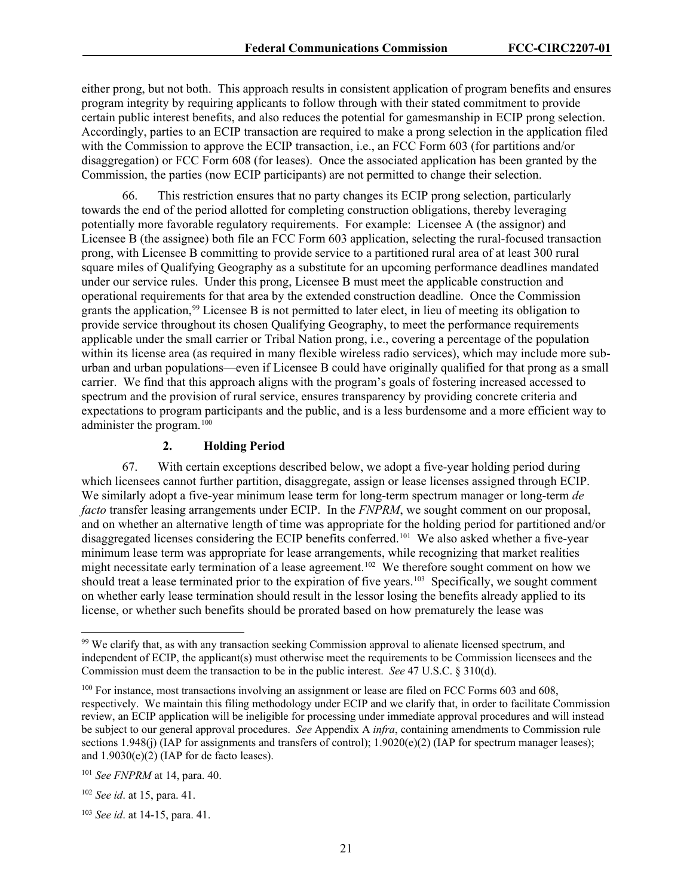either prong, but not both. This approach results in consistent application of program benefits and ensures program integrity by requiring applicants to follow through with their stated commitment to provide certain public interest benefits, and also reduces the potential for gamesmanship in ECIP prong selection. Accordingly, parties to an ECIP transaction are required to make a prong selection in the application filed with the Commission to approve the ECIP transaction, i.e., an FCC Form 603 (for partitions and/or disaggregation) or FCC Form 608 (for leases). Once the associated application has been granted by the Commission, the parties (now ECIP participants) are not permitted to change their selection.

66. This restriction ensures that no party changes its ECIP prong selection, particularly towards the end of the period allotted for completing construction obligations, thereby leveraging potentially more favorable regulatory requirements. For example: Licensee A (the assignor) and Licensee B (the assignee) both file an FCC Form 603 application, selecting the rural-focused transaction prong, with Licensee B committing to provide service to a partitioned rural area of at least 300 rural square miles of Qualifying Geography as a substitute for an upcoming performance deadlines mandated under our service rules. Under this prong, Licensee B must meet the applicable construction and operational requirements for that area by the extended construction deadline. Once the Commission grants the application,<sup>[99](#page-21-0)</sup> Licensee B is not permitted to later elect, in lieu of meeting its obligation to provide service throughout its chosen Qualifying Geography, to meet the performance requirements applicable under the small carrier or Tribal Nation prong, i.e., covering a percentage of the population within its license area (as required in many flexible wireless radio services), which may include more suburban and urban populations—even if Licensee B could have originally qualified for that prong as a small carrier. We find that this approach aligns with the program's goals of fostering increased accessed to spectrum and the provision of rural service, ensures transparency by providing concrete criteria and expectations to program participants and the public, and is a less burdensome and a more efficient way to administer the program.[100](#page-21-1)

## **2. Holding Period**

67. With certain exceptions described below, we adopt a five-year holding period during which licensees cannot further partition, disaggregate, assign or lease licenses assigned through ECIP. We similarly adopt a five-year minimum lease term for long-term spectrum manager or long-term *de facto* transfer leasing arrangements under ECIP. In the *FNPRM*, we sought comment on our proposal, and on whether an alternative length of time was appropriate for the holding period for partitioned and/or disaggregated licenses considering the ECIP benefits conferred.<sup>101</sup> We also asked whether a five-year minimum lease term was appropriate for lease arrangements, while recognizing that market realities might necessitate early termination of a lease agreement.<sup>[102](#page-21-3)</sup> We therefore sought comment on how we should treat a lease terminated prior to the expiration of five years.<sup>[103](#page-21-4)</sup> Specifically, we sought comment on whether early lease termination should result in the lessor losing the benefits already applied to its license, or whether such benefits should be prorated based on how prematurely the lease was

<span id="page-21-0"></span><sup>&</sup>lt;sup>99</sup> We clarify that, as with any transaction seeking Commission approval to alienate licensed spectrum, and independent of ECIP, the applicant(s) must otherwise meet the requirements to be Commission licensees and the Commission must deem the transaction to be in the public interest. *See* 47 U.S.C. § 310(d).

<span id="page-21-1"></span><sup>100</sup> For instance, most transactions involving an assignment or lease are filed on FCC Forms 603 and 608, respectively. We maintain this filing methodology under ECIP and we clarify that, in order to facilitate Commission review, an ECIP application will be ineligible for processing under immediate approval procedures and will instead be subject to our general approval procedures. *See* Appendix A *infra*, containing amendments to Commission rule sections 1.948(j) (IAP for assignments and transfers of control);  $1.9020(e)(2)$  (IAP for spectrum manager leases); and 1.9030(e)(2) (IAP for de facto leases).

<span id="page-21-2"></span><sup>101</sup> *See FNPRM* at 14, para. 40.

<span id="page-21-3"></span><sup>102</sup> *See id*. at 15, para. 41.

<span id="page-21-4"></span><sup>103</sup> *See id*. at 14-15, para. 41.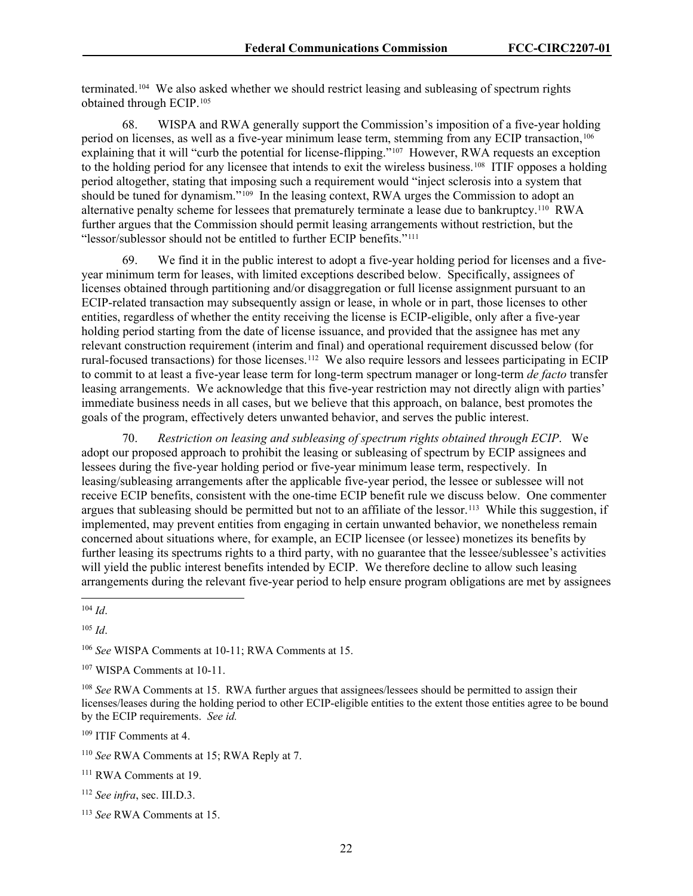terminated.[104](#page-22-0) We also asked whether we should restrict leasing and subleasing of spectrum rights obtained through ECIP.[105](#page-22-1)

68. WISPA and RWA generally support the Commission's imposition of a five-year holding period on licenses, as well as a five-year minimum lease term, stemming from any ECIP transaction,<sup>[106](#page-22-2)</sup> explaining that it will "curb the potential for license-flipping."<sup>[107](#page-22-3)</sup> However, RWA requests an exception to the holding period for any licensee that intends to exit the wireless business.[108](#page-22-4) ITIF opposes a holding period altogether, stating that imposing such a requirement would "inject sclerosis into a system that should be tuned for dynamism."<sup>109</sup> In the leasing context, RWA urges the Commission to adopt an alternative penalty scheme for lessees that prematurely terminate a lease due to bankruptcy.<sup>[110](#page-22-6)</sup> RWA further argues that the Commission should permit leasing arrangements without restriction, but the "lessor/sublessor should not be entitled to further ECIP benefits."[111](#page-22-7)

We find it in the public interest to adopt a five-year holding period for licenses and a fiveyear minimum term for leases, with limited exceptions described below. Specifically, assignees of licenses obtained through partitioning and/or disaggregation or full license assignment pursuant to an ECIP-related transaction may subsequently assign or lease, in whole or in part, those licenses to other entities, regardless of whether the entity receiving the license is ECIP-eligible, only after a five-year holding period starting from the date of license issuance, and provided that the assignee has met any relevant construction requirement (interim and final) and operational requirement discussed below (for rural-focused transactions) for those licenses.<sup>112</sup> We also require lessors and lessees participating in ECIP to commit to at least a five-year lease term for long-term spectrum manager or long-term *de facto* transfer leasing arrangements. We acknowledge that this five-year restriction may not directly align with parties' immediate business needs in all cases, but we believe that this approach, on balance, best promotes the goals of the program, effectively deters unwanted behavior, and serves the public interest.

70. *Restriction on leasing and subleasing of spectrum rights obtained through ECIP*. We adopt our proposed approach to prohibit the leasing or subleasing of spectrum by ECIP assignees and lessees during the five-year holding period or five-year minimum lease term, respectively. In leasing/subleasing arrangements after the applicable five-year period, the lessee or sublessee will not receive ECIP benefits, consistent with the one-time ECIP benefit rule we discuss below. One commenter argues that subleasing should be permitted but not to an affiliate of the lessor.<sup>113</sup> While this suggestion, if implemented, may prevent entities from engaging in certain unwanted behavior, we nonetheless remain concerned about situations where, for example, an ECIP licensee (or lessee) monetizes its benefits by further leasing its spectrums rights to a third party, with no guarantee that the lessee/sublessee's activities will yield the public interest benefits intended by ECIP. We therefore decline to allow such leasing arrangements during the relevant five-year period to help ensure program obligations are met by assignees

<span id="page-22-9"></span><sup>113</sup> *See* RWA Comments at 15.

<span id="page-22-0"></span> $104$  *Id.* 

<span id="page-22-1"></span><sup>105</sup> *Id*.

<span id="page-22-2"></span><sup>106</sup> *See* WISPA Comments at 10-11; RWA Comments at 15.

<span id="page-22-3"></span><sup>107</sup> WISPA Comments at 10-11.

<span id="page-22-4"></span><sup>108</sup> *See* RWA Comments at 15. RWA further argues that assignees/lessees should be permitted to assign their licenses/leases during the holding period to other ECIP-eligible entities to the extent those entities agree to be bound by the ECIP requirements. *See id.*

<span id="page-22-5"></span><sup>109</sup> ITIF Comments at 4.

<span id="page-22-6"></span><sup>110</sup> *See* RWA Comments at 15; RWA Reply at 7.

<span id="page-22-7"></span><sup>111</sup> RWA Comments at 19.

<span id="page-22-8"></span><sup>112</sup> *See infra*, sec. III.D.3.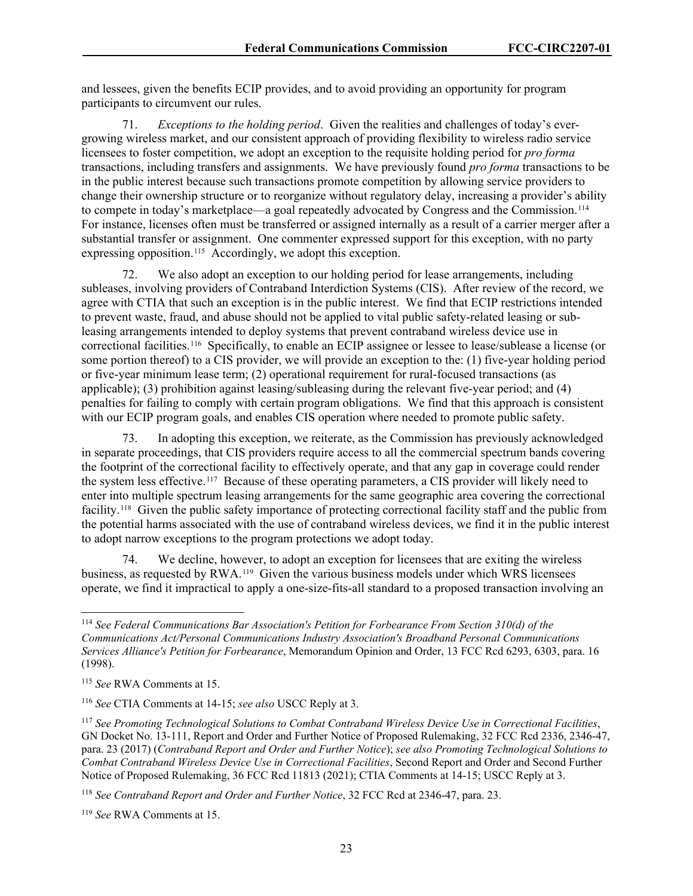and lessees, given the benefits ECIP provides, and to avoid providing an opportunity for program participants to circumvent our rules.

71. *Exceptions to the holding period*. Given the realities and challenges of today's evergrowing wireless market, and our consistent approach of providing flexibility to wireless radio service licensees to foster competition, we adopt an exception to the requisite holding period for *pro forma* transactions, including transfers and assignments. We have previously found *pro forma* transactions to be in the public interest because such transactions promote competition by allowing service providers to change their ownership structure or to reorganize without regulatory delay, increasing a provider's ability to compete in today's marketplace—a goal repeatedly advocated by Congress and the Commission.[114](#page-23-0)  For instance, licenses often must be transferred or assigned internally as a result of a carrier merger after a substantial transfer or assignment. One commenter expressed support for this exception, with no party expressing opposition.<sup>115</sup> Accordingly, we adopt this exception.

72. We also adopt an exception to our holding period for lease arrangements, including subleases, involving providers of Contraband Interdiction Systems (CIS). After review of the record, we agree with CTIA that such an exception is in the public interest. We find that ECIP restrictions intended to prevent waste, fraud, and abuse should not be applied to vital public safety-related leasing or subleasing arrangements intended to deploy systems that prevent contraband wireless device use in correctional facilities.[116](#page-23-2) Specifically, to enable an ECIP assignee or lessee to lease/sublease a license (or some portion thereof) to a CIS provider, we will provide an exception to the: (1) five-year holding period or five-year minimum lease term; (2) operational requirement for rural-focused transactions (as applicable); (3) prohibition against leasing/subleasing during the relevant five-year period; and (4) penalties for failing to comply with certain program obligations. We find that this approach is consistent with our ECIP program goals, and enables CIS operation where needed to promote public safety.

73. In adopting this exception, we reiterate, as the Commission has previously acknowledged in separate proceedings, that CIS providers require access to all the commercial spectrum bands covering the footprint of the correctional facility to effectively operate, and that any gap in coverage could render the system less effective.[117](#page-23-3) Because of these operating parameters, a CIS provider will likely need to enter into multiple spectrum leasing arrangements for the same geographic area covering the correctional facility.[118](#page-23-4) Given the public safety importance of protecting correctional facility staff and the public from the potential harms associated with the use of contraband wireless devices, we find it in the public interest to adopt narrow exceptions to the program protections we adopt today.

74. We decline, however, to adopt an exception for licensees that are exiting the wireless business, as requested by RWA.<sup>119</sup> Given the various business models under which WRS licensees operate, we find it impractical to apply a one-size-fits-all standard to a proposed transaction involving an

<span id="page-23-0"></span><sup>114</sup> *See Federal Communications Bar Association's Petition for Forbearance From Section 310(d) of the Communications Act/Personal Communications Industry Association's Broadband Personal Communications Services Alliance's Petition for Forbearance*, Memorandum Opinion and Order, 13 FCC Rcd 6293, 6303, para. 16 (1998).

<span id="page-23-1"></span><sup>115</sup> *See* RWA Comments at 15.

<span id="page-23-2"></span><sup>116</sup> *See* CTIA Comments at 14-15; *see also* USCC Reply at 3.

<span id="page-23-3"></span><sup>117</sup> *See Promoting Technological Solutions to Combat Contraband Wireless Device Use in Correctional Facilities*, GN Docket No. 13-111, Report and Order and Further Notice of Proposed Rulemaking, 32 FCC Rcd 2336, 2346-47, para. 23 (2017) (*Contraband Report and Order and Further Notice*); *see also Promoting Technological Solutions to Combat Contraband Wireless Device Use in Correctional Facilities*, Second Report and Order and Second Further Notice of Proposed Rulemaking, 36 FCC Rcd 11813 (2021); CTIA Comments at 14-15; USCC Reply at 3.

<span id="page-23-4"></span><sup>118</sup> *See Contraband Report and Order and Further Notice*, 32 FCC Rcd at 2346-47, para. 23.

<span id="page-23-5"></span><sup>119</sup> *See* RWA Comments at 15.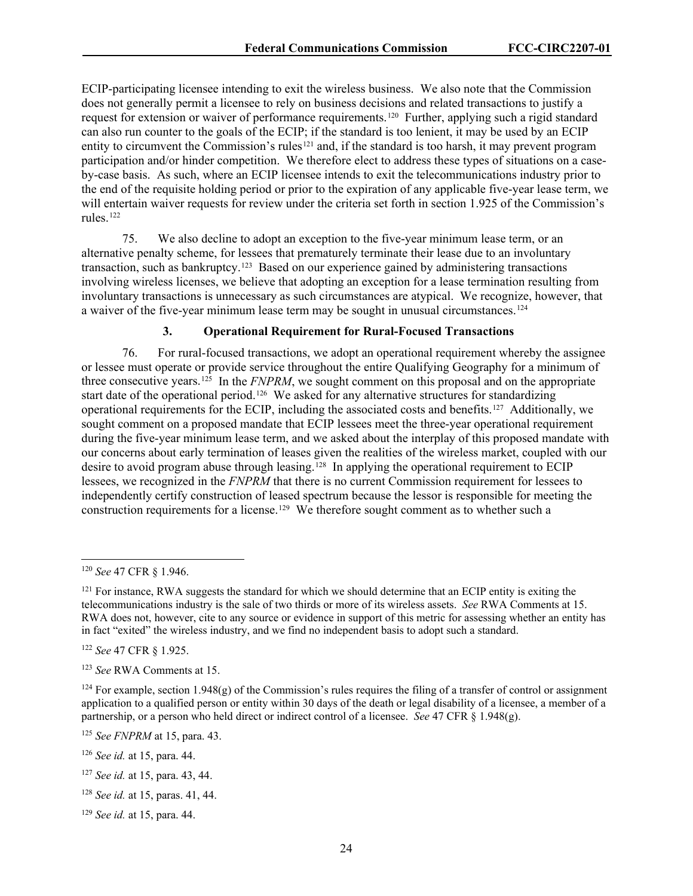ECIP-participating licensee intending to exit the wireless business. We also note that the Commission does not generally permit a licensee to rely on business decisions and related transactions to justify a request for extension or waiver of performance requirements.<sup>[120](#page-24-0)</sup> Further, applying such a rigid standard can also run counter to the goals of the ECIP; if the standard is too lenient, it may be used by an ECIP entity to circumvent the Commission's rules<sup>[121](#page-24-1)</sup> and, if the standard is too harsh, it may prevent program participation and/or hinder competition. We therefore elect to address these types of situations on a caseby-case basis. As such, where an ECIP licensee intends to exit the telecommunications industry prior to the end of the requisite holding period or prior to the expiration of any applicable five-year lease term, we will entertain waiver requests for review under the criteria set forth in section 1.925 of the Commission's rules.[122](#page-24-2)

75. We also decline to adopt an exception to the five-year minimum lease term, or an alternative penalty scheme, for lessees that prematurely terminate their lease due to an involuntary transaction, such as bankruptcy.[123](#page-24-3) Based on our experience gained by administering transactions involving wireless licenses, we believe that adopting an exception for a lease termination resulting from involuntary transactions is unnecessary as such circumstances are atypical. We recognize, however, that a waiver of the five-year minimum lease term may be sought in unusual circumstances.[124](#page-24-4)

## **3. Operational Requirement for Rural-Focused Transactions**

76. For rural-focused transactions, we adopt an operational requirement whereby the assignee or lessee must operate or provide service throughout the entire Qualifying Geography for a minimum of three consecutive years. [125](#page-24-5) In the *FNPRM*, we sought comment on this proposal and on the appropriate start date of the operational period.<sup>126</sup> We asked for any alternative structures for standardizing operational requirements for the ECIP, including the associated costs and benefits.[127](#page-24-7) Additionally, we sought comment on a proposed mandate that ECIP lessees meet the three-year operational requirement during the five-year minimum lease term, and we asked about the interplay of this proposed mandate with our concerns about early termination of leases given the realities of the wireless market, coupled with our desire to avoid program abuse through leasing.<sup>[128](#page-24-8)</sup> In applying the operational requirement to ECIP lessees, we recognized in the *FNPRM* that there is no current Commission requirement for lessees to independently certify construction of leased spectrum because the lessor is responsible for meeting the construction requirements for a license.[129](#page-24-9) We therefore sought comment as to whether such a

<span id="page-24-0"></span><sup>120</sup> *See* 47 CFR § 1.946.

<span id="page-24-1"></span><sup>&</sup>lt;sup>121</sup> For instance, RWA suggests the standard for which we should determine that an ECIP entity is exiting the telecommunications industry is the sale of two thirds or more of its wireless assets. *See* RWA Comments at 15. RWA does not, however, cite to any source or evidence in support of this metric for assessing whether an entity has in fact "exited" the wireless industry, and we find no independent basis to adopt such a standard.

<span id="page-24-2"></span><sup>122</sup> *See* 47 CFR § 1.925.

<span id="page-24-3"></span><sup>123</sup> *See* RWA Comments at 15.

<span id="page-24-4"></span> $124$  For example, section 1.948(g) of the Commission's rules requires the filing of a transfer of control or assignment application to a qualified person or entity within 30 days of the death or legal disability of a licensee, a member of a partnership, or a person who held direct or indirect control of a licensee. *See* 47 CFR § 1.948(g).

<span id="page-24-5"></span><sup>125</sup> *See FNPRM* at 15, para. 43.

<span id="page-24-6"></span><sup>126</sup> *See id.* at 15, para. 44.

<span id="page-24-7"></span><sup>127</sup> *See id.* at 15, para. 43, 44.

<span id="page-24-8"></span><sup>128</sup> *See id.* at 15, paras. 41, 44.

<span id="page-24-9"></span><sup>129</sup> *See id.* at 15, para. 44.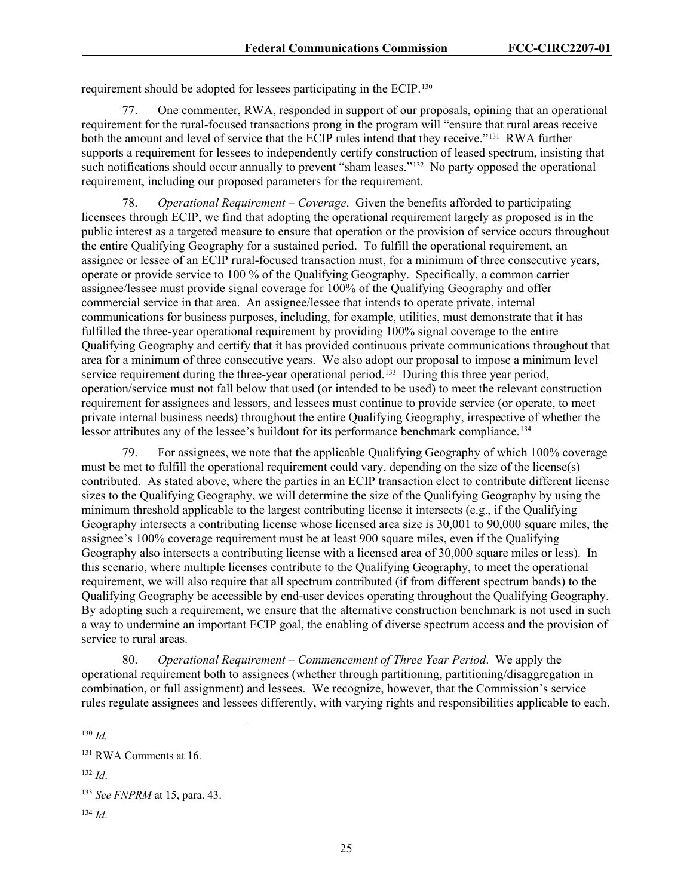requirement should be adopted for lessees participating in the ECIP.[130](#page-25-0)

77. One commenter, RWA, responded in support of our proposals, opining that an operational requirement for the rural-focused transactions prong in the program will "ensure that rural areas receive both the amount and level of service that the ECIP rules intend that they receive."[131](#page-25-1) RWA further supports a requirement for lessees to independently certify construction of leased spectrum, insisting that such notifications should occur annually to prevent "sham leases."<sup>132</sup> No party opposed the operational requirement, including our proposed parameters for the requirement.

78. *Operational Requirement – Coverage*. Given the benefits afforded to participating licensees through ECIP, we find that adopting the operational requirement largely as proposed is in the public interest as a targeted measure to ensure that operation or the provision of service occurs throughout the entire Qualifying Geography for a sustained period. To fulfill the operational requirement, an assignee or lessee of an ECIP rural-focused transaction must, for a minimum of three consecutive years, operate or provide service to 100 % of the Qualifying Geography. Specifically, a common carrier assignee/lessee must provide signal coverage for 100% of the Qualifying Geography and offer commercial service in that area. An assignee/lessee that intends to operate private, internal communications for business purposes, including, for example, utilities, must demonstrate that it has fulfilled the three-year operational requirement by providing 100% signal coverage to the entire Qualifying Geography and certify that it has provided continuous private communications throughout that area for a minimum of three consecutive years. We also adopt our proposal to impose a minimum level service requirement during the three-year operational period.<sup>[133](#page-25-3)</sup> During this three year period, operation/service must not fall below that used (or intended to be used) to meet the relevant construction requirement for assignees and lessors, and lessees must continue to provide service (or operate, to meet private internal business needs) throughout the entire Qualifying Geography, irrespective of whether the lessor attributes any of the lessee's buildout for its performance benchmark compliance.[134](#page-25-4) 

79. For assignees, we note that the applicable Qualifying Geography of which 100% coverage must be met to fulfill the operational requirement could vary, depending on the size of the license(s) contributed. As stated above, where the parties in an ECIP transaction elect to contribute different license sizes to the Qualifying Geography, we will determine the size of the Qualifying Geography by using the minimum threshold applicable to the largest contributing license it intersects (e.g., if the Qualifying Geography intersects a contributing license whose licensed area size is 30,001 to 90,000 square miles, the assignee's 100% coverage requirement must be at least 900 square miles, even if the Qualifying Geography also intersects a contributing license with a licensed area of 30,000 square miles or less). In this scenario, where multiple licenses contribute to the Qualifying Geography, to meet the operational requirement, we will also require that all spectrum contributed (if from different spectrum bands) to the Qualifying Geography be accessible by end-user devices operating throughout the Qualifying Geography. By adopting such a requirement, we ensure that the alternative construction benchmark is not used in such a way to undermine an important ECIP goal, the enabling of diverse spectrum access and the provision of service to rural areas.

80. *Operational Requirement – Commencement of Three Year Period*. We apply the operational requirement both to assignees (whether through partitioning, partitioning/disaggregation in combination, or full assignment) and lessees. We recognize, however, that the Commission's service rules regulate assignees and lessees differently, with varying rights and responsibilities applicable to each.

<span id="page-25-0"></span><sup>130</sup> *Id.*

<span id="page-25-1"></span><sup>131</sup> RWA Comments at 16.

<span id="page-25-2"></span><sup>132</sup> *Id*.

<span id="page-25-3"></span><sup>133</sup> *See FNPRM* at 15, para. 43.

<span id="page-25-4"></span><sup>134</sup> *Id*.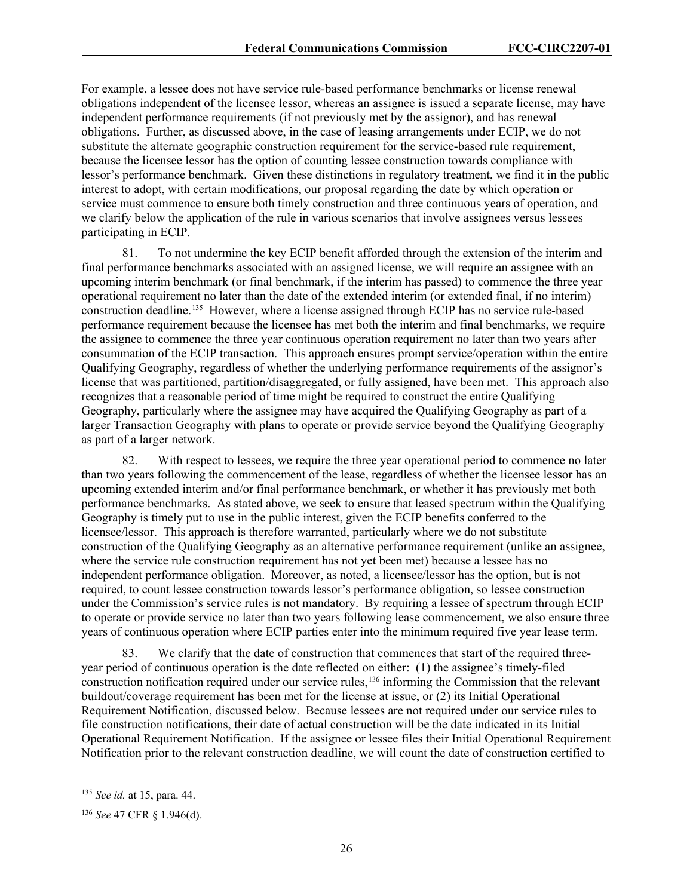For example, a lessee does not have service rule-based performance benchmarks or license renewal obligations independent of the licensee lessor, whereas an assignee is issued a separate license, may have independent performance requirements (if not previously met by the assignor), and has renewal obligations. Further, as discussed above, in the case of leasing arrangements under ECIP, we do not substitute the alternate geographic construction requirement for the service-based rule requirement, because the licensee lessor has the option of counting lessee construction towards compliance with lessor's performance benchmark. Given these distinctions in regulatory treatment, we find it in the public interest to adopt, with certain modifications, our proposal regarding the date by which operation or service must commence to ensure both timely construction and three continuous years of operation, and we clarify below the application of the rule in various scenarios that involve assignees versus lessees participating in ECIP.

81. To not undermine the key ECIP benefit afforded through the extension of the interim and final performance benchmarks associated with an assigned license, we will require an assignee with an upcoming interim benchmark (or final benchmark, if the interim has passed) to commence the three year operational requirement no later than the date of the extended interim (or extended final, if no interim) construction deadline.[135](#page-26-0) However, where a license assigned through ECIP has no service rule-based performance requirement because the licensee has met both the interim and final benchmarks, we require the assignee to commence the three year continuous operation requirement no later than two years after consummation of the ECIP transaction. This approach ensures prompt service/operation within the entire Qualifying Geography, regardless of whether the underlying performance requirements of the assignor's license that was partitioned, partition/disaggregated, or fully assigned, have been met. This approach also recognizes that a reasonable period of time might be required to construct the entire Qualifying Geography, particularly where the assignee may have acquired the Qualifying Geography as part of a larger Transaction Geography with plans to operate or provide service beyond the Qualifying Geography as part of a larger network.

82. With respect to lessees, we require the three year operational period to commence no later than two years following the commencement of the lease, regardless of whether the licensee lessor has an upcoming extended interim and/or final performance benchmark, or whether it has previously met both performance benchmarks. As stated above, we seek to ensure that leased spectrum within the Qualifying Geography is timely put to use in the public interest, given the ECIP benefits conferred to the licensee/lessor. This approach is therefore warranted, particularly where we do not substitute construction of the Qualifying Geography as an alternative performance requirement (unlike an assignee, where the service rule construction requirement has not yet been met) because a lessee has no independent performance obligation. Moreover, as noted, a licensee/lessor has the option, but is not required, to count lessee construction towards lessor's performance obligation, so lessee construction under the Commission's service rules is not mandatory. By requiring a lessee of spectrum through ECIP to operate or provide service no later than two years following lease commencement, we also ensure three years of continuous operation where ECIP parties enter into the minimum required five year lease term.

83. We clarify that the date of construction that commences that start of the required threeyear period of continuous operation is the date reflected on either: (1) the assignee's timely-filed construction notification required under our service rules,<sup>[136](#page-26-1)</sup> informing the Commission that the relevant buildout/coverage requirement has been met for the license at issue, or (2) its Initial Operational Requirement Notification, discussed below. Because lessees are not required under our service rules to file construction notifications, their date of actual construction will be the date indicated in its Initial Operational Requirement Notification. If the assignee or lessee files their Initial Operational Requirement Notification prior to the relevant construction deadline, we will count the date of construction certified to

<span id="page-26-0"></span><sup>135</sup> *See id.* at 15, para. 44.

<span id="page-26-1"></span><sup>136</sup> *See* 47 CFR § 1.946(d).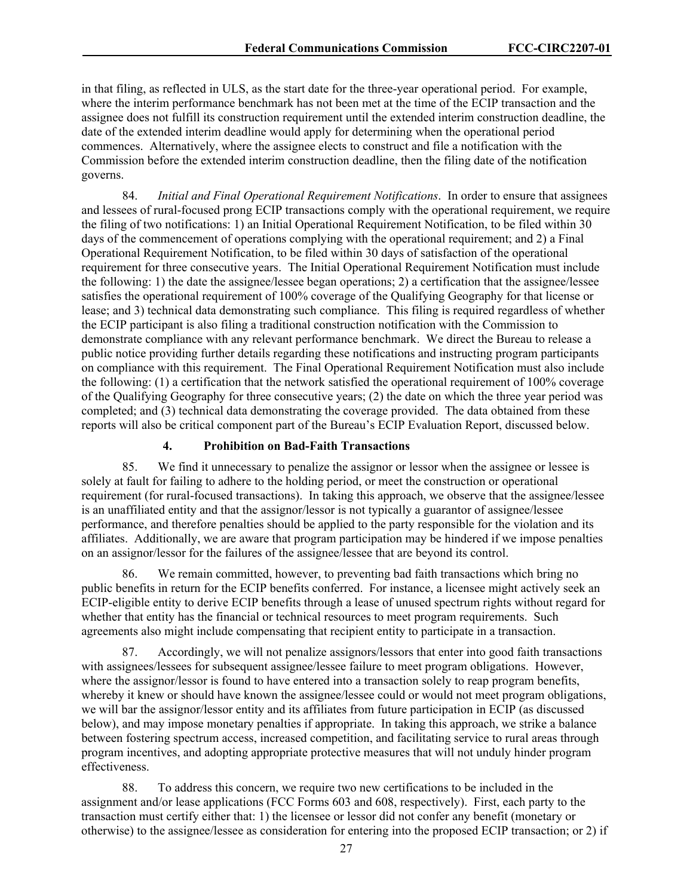in that filing, as reflected in ULS, as the start date for the three-year operational period. For example, where the interim performance benchmark has not been met at the time of the ECIP transaction and the assignee does not fulfill its construction requirement until the extended interim construction deadline, the date of the extended interim deadline would apply for determining when the operational period commences. Alternatively, where the assignee elects to construct and file a notification with the Commission before the extended interim construction deadline, then the filing date of the notification governs.

84. *Initial and Final Operational Requirement Notifications*. In order to ensure that assignees and lessees of rural-focused prong ECIP transactions comply with the operational requirement, we require the filing of two notifications: 1) an Initial Operational Requirement Notification, to be filed within 30 days of the commencement of operations complying with the operational requirement; and 2) a Final Operational Requirement Notification, to be filed within 30 days of satisfaction of the operational requirement for three consecutive years. The Initial Operational Requirement Notification must include the following: 1) the date the assignee/lessee began operations; 2) a certification that the assignee/lessee satisfies the operational requirement of 100% coverage of the Qualifying Geography for that license or lease; and 3) technical data demonstrating such compliance. This filing is required regardless of whether the ECIP participant is also filing a traditional construction notification with the Commission to demonstrate compliance with any relevant performance benchmark. We direct the Bureau to release a public notice providing further details regarding these notifications and instructing program participants on compliance with this requirement. The Final Operational Requirement Notification must also include the following: (1) a certification that the network satisfied the operational requirement of 100% coverage of the Qualifying Geography for three consecutive years; (2) the date on which the three year period was completed; and (3) technical data demonstrating the coverage provided. The data obtained from these reports will also be critical component part of the Bureau's ECIP Evaluation Report, discussed below.

#### **4. Prohibition on Bad-Faith Transactions**

85. We find it unnecessary to penalize the assignor or lessor when the assignee or lessee is solely at fault for failing to adhere to the holding period, or meet the construction or operational requirement (for rural-focused transactions). In taking this approach, we observe that the assignee/lessee is an unaffiliated entity and that the assignor/lessor is not typically a guarantor of assignee/lessee performance, and therefore penalties should be applied to the party responsible for the violation and its affiliates. Additionally, we are aware that program participation may be hindered if we impose penalties on an assignor/lessor for the failures of the assignee/lessee that are beyond its control.

86. We remain committed, however, to preventing bad faith transactions which bring no public benefits in return for the ECIP benefits conferred. For instance, a licensee might actively seek an ECIP-eligible entity to derive ECIP benefits through a lease of unused spectrum rights without regard for whether that entity has the financial or technical resources to meet program requirements. Such agreements also might include compensating that recipient entity to participate in a transaction.

87. Accordingly, we will not penalize assignors/lessors that enter into good faith transactions with assignees/lessees for subsequent assignee/lessee failure to meet program obligations. However, where the assignor/lessor is found to have entered into a transaction solely to reap program benefits, whereby it knew or should have known the assignee/lessee could or would not meet program obligations, we will bar the assignor/lessor entity and its affiliates from future participation in ECIP (as discussed below), and may impose monetary penalties if appropriate. In taking this approach, we strike a balance between fostering spectrum access, increased competition, and facilitating service to rural areas through program incentives, and adopting appropriate protective measures that will not unduly hinder program effectiveness.

88. To address this concern, we require two new certifications to be included in the assignment and/or lease applications (FCC Forms 603 and 608, respectively). First, each party to the transaction must certify either that: 1) the licensee or lessor did not confer any benefit (monetary or otherwise) to the assignee/lessee as consideration for entering into the proposed ECIP transaction; or 2) if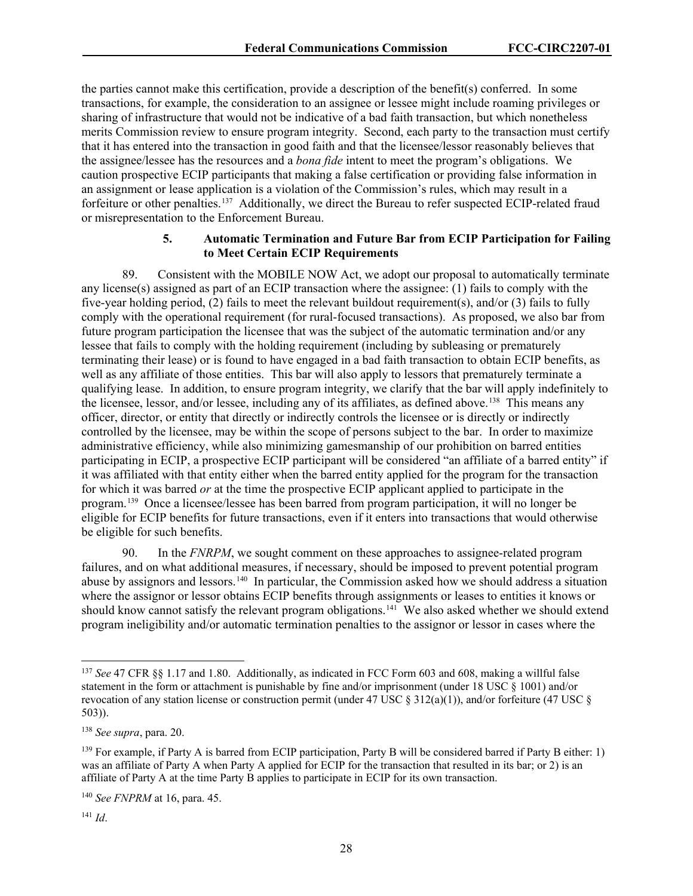the parties cannot make this certification, provide a description of the benefit(s) conferred. In some transactions, for example, the consideration to an assignee or lessee might include roaming privileges or sharing of infrastructure that would not be indicative of a bad faith transaction, but which nonetheless merits Commission review to ensure program integrity. Second, each party to the transaction must certify that it has entered into the transaction in good faith and that the licensee/lessor reasonably believes that the assignee/lessee has the resources and a *bona fide* intent to meet the program's obligations. We caution prospective ECIP participants that making a false certification or providing false information in an assignment or lease application is a violation of the Commission's rules, which may result in a forfeiture or other penalties.[137](#page-28-0) Additionally, we direct the Bureau to refer suspected ECIP-related fraud or misrepresentation to the Enforcement Bureau.

### **5. Automatic Termination and Future Bar from ECIP Participation for Failing to Meet Certain ECIP Requirements**

89. Consistent with the MOBILE NOW Act, we adopt our proposal to automatically terminate any license(s) assigned as part of an ECIP transaction where the assignee: (1) fails to comply with the five-year holding period, (2) fails to meet the relevant buildout requirement(s), and/or (3) fails to fully comply with the operational requirement (for rural-focused transactions). As proposed, we also bar from future program participation the licensee that was the subject of the automatic termination and/or any lessee that fails to comply with the holding requirement (including by subleasing or prematurely terminating their lease) or is found to have engaged in a bad faith transaction to obtain ECIP benefits, as well as any affiliate of those entities. This bar will also apply to lessors that prematurely terminate a qualifying lease. In addition, to ensure program integrity, we clarify that the bar will apply indefinitely to the licensee, lessor, and/or lessee, including any of its affiliates, as defined above.<sup>138</sup> This means any officer, director, or entity that directly or indirectly controls the licensee or is directly or indirectly controlled by the licensee, may be within the scope of persons subject to the bar. In order to maximize administrative efficiency, while also minimizing gamesmanship of our prohibition on barred entities participating in ECIP, a prospective ECIP participant will be considered "an affiliate of a barred entity" if it was affiliated with that entity either when the barred entity applied for the program for the transaction for which it was barred *or* at the time the prospective ECIP applicant applied to participate in the program[.139](#page-28-2) Once a licensee/lessee has been barred from program participation, it will no longer be eligible for ECIP benefits for future transactions, even if it enters into transactions that would otherwise be eligible for such benefits.

90. In the *FNRPM*, we sought comment on these approaches to assignee-related program failures, and on what additional measures, if necessary, should be imposed to prevent potential program abuse by assignors and lessors.[140](#page-28-3) In particular, the Commission asked how we should address a situation where the assignor or lessor obtains ECIP benefits through assignments or leases to entities it knows or should know cannot satisfy the relevant program obligations.<sup>[141](#page-28-4)</sup> We also asked whether we should extend program ineligibility and/or automatic termination penalties to the assignor or lessor in cases where the

<span id="page-28-0"></span><sup>137</sup> *See* 47 CFR §§ 1.17 and 1.80. Additionally, as indicated in FCC Form 603 and 608, making a willful false statement in the form or attachment is punishable by fine and/or imprisonment (under 18 USC § 1001) and/or revocation of any station license or construction permit (under 47 USC  $\S 312(a)(1)$ ), and/or forfeiture (47 USC  $\S$ 503)).

<span id="page-28-1"></span><sup>138</sup> *See supra*, para. 20.

<span id="page-28-2"></span> $139$  For example, if Party A is barred from ECIP participation, Party B will be considered barred if Party B either: 1) was an affiliate of Party A when Party A applied for ECIP for the transaction that resulted in its bar; or 2) is an affiliate of Party A at the time Party B applies to participate in ECIP for its own transaction.

<span id="page-28-3"></span><sup>140</sup> *See FNPRM* at 16, para. 45.

<span id="page-28-4"></span><sup>141</sup> *Id*.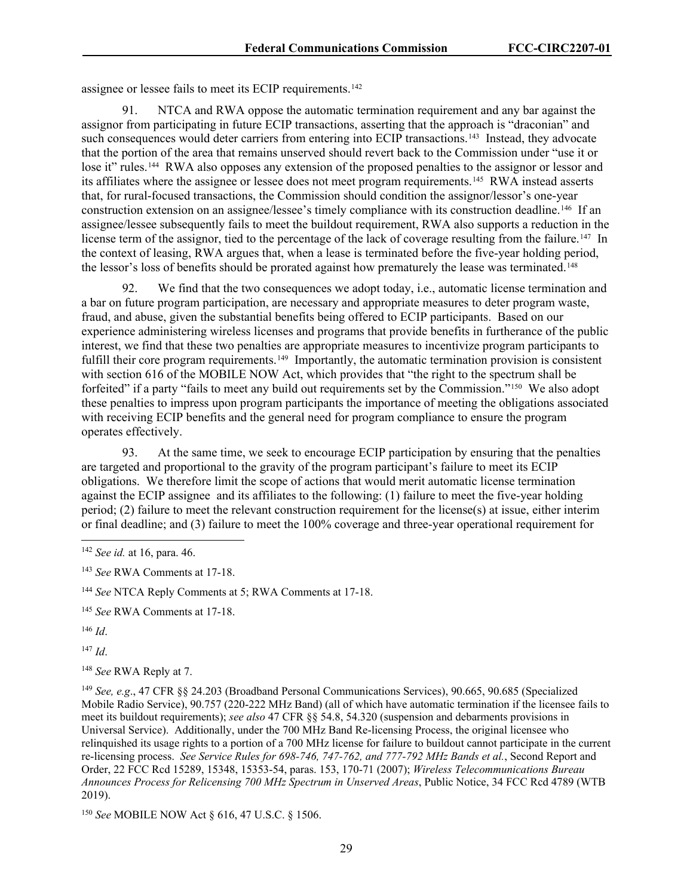assignee or lessee fails to meet its ECIP requirements.<sup>[142](#page-29-0)</sup>

91. NTCA and RWA oppose the automatic termination requirement and any bar against the assignor from participating in future ECIP transactions, asserting that the approach is "draconian" and such consequences would deter carriers from entering into ECIP transactions.<sup>143</sup> Instead, they advocate that the portion of the area that remains unserved should revert back to the Commission under "use it or lose it" rules.<sup>144</sup> RWA also opposes any extension of the proposed penalties to the assignor or lessor and its affiliates where the assignee or lessee does not meet program requirements.[145](#page-29-3) RWA instead asserts that, for rural-focused transactions, the Commission should condition the assignor/lessor's one-year construction extension on an assignee/lessee's timely compliance with its construction deadline.[146](#page-29-4) If an assignee/lessee subsequently fails to meet the buildout requirement, RWA also supports a reduction in the license term of the assignor, tied to the percentage of the lack of coverage resulting from the failure.<sup>[147](#page-29-5)</sup> In the context of leasing, RWA argues that, when a lease is terminated before the five-year holding period, the lessor's loss of benefits should be prorated against how prematurely the lease was terminated.<sup>148</sup>

92. We find that the two consequences we adopt today, i.e., automatic license termination and a bar on future program participation, are necessary and appropriate measures to deter program waste, fraud, and abuse, given the substantial benefits being offered to ECIP participants. Based on our experience administering wireless licenses and programs that provide benefits in furtherance of the public interest, we find that these two penalties are appropriate measures to incentivize program participants to fulfill their core program requirements.<sup>149</sup> Importantly, the automatic termination provision is consistent with section 616 of the MOBILE NOW Act, which provides that "the right to the spectrum shall be forfeited" if a party "fails to meet any build out requirements set by the Commission."<sup>[150](#page-29-8)</sup> We also adopt these penalties to impress upon program participants the importance of meeting the obligations associated with receiving ECIP benefits and the general need for program compliance to ensure the program operates effectively.

93. At the same time, we seek to encourage ECIP participation by ensuring that the penalties are targeted and proportional to the gravity of the program participant's failure to meet its ECIP obligations. We therefore limit the scope of actions that would merit automatic license termination against the ECIP assignee and its affiliates to the following: (1) failure to meet the five-year holding period; (2) failure to meet the relevant construction requirement for the license(s) at issue, either interim or final deadline; and (3) failure to meet the 100% coverage and three-year operational requirement for

<span id="page-29-3"></span><sup>145</sup> *See* RWA Comments at 17-18.

<span id="page-29-4"></span><sup>146</sup> *Id*.

<span id="page-29-5"></span><sup>147</sup> *Id*.

<span id="page-29-6"></span><sup>148</sup> *See* RWA Reply at 7.

<span id="page-29-7"></span><sup>149</sup> *See, e.g*., 47 CFR §§ 24.203 (Broadband Personal Communications Services), 90.665, 90.685 (Specialized Mobile Radio Service), 90.757 (220-222 MHz Band) (all of which have automatic termination if the licensee fails to meet its buildout requirements); *see also* 47 CFR §§ 54.8, 54.320 (suspension and debarments provisions in Universal Service). Additionally, under the 700 MHz Band Re-licensing Process, the original licensee who relinquished its usage rights to a portion of a 700 MHz license for failure to buildout cannot participate in the current re-licensing process. *See Service Rules for 698-746, 747-762, and 777-792 MHz Bands et al.*, Second Report and Order, 22 FCC Rcd 15289, 15348, 15353-54, paras. 153, 170-71 (2007); *Wireless Telecommunications Bureau Announces Process for Relicensing 700 MHz Spectrum in Unserved Areas*, Public Notice, 34 FCC Rcd 4789 (WTB 2019).

<span id="page-29-8"></span><sup>150</sup> *See* MOBILE NOW Act § 616, 47 U.S.C. § 1506.

<span id="page-29-0"></span><sup>142</sup> *See id.* at 16, para. 46.

<span id="page-29-1"></span><sup>143</sup> *See* RWA Comments at 17-18.

<span id="page-29-2"></span><sup>144</sup> *See* NTCA Reply Comments at 5; RWA Comments at 17-18.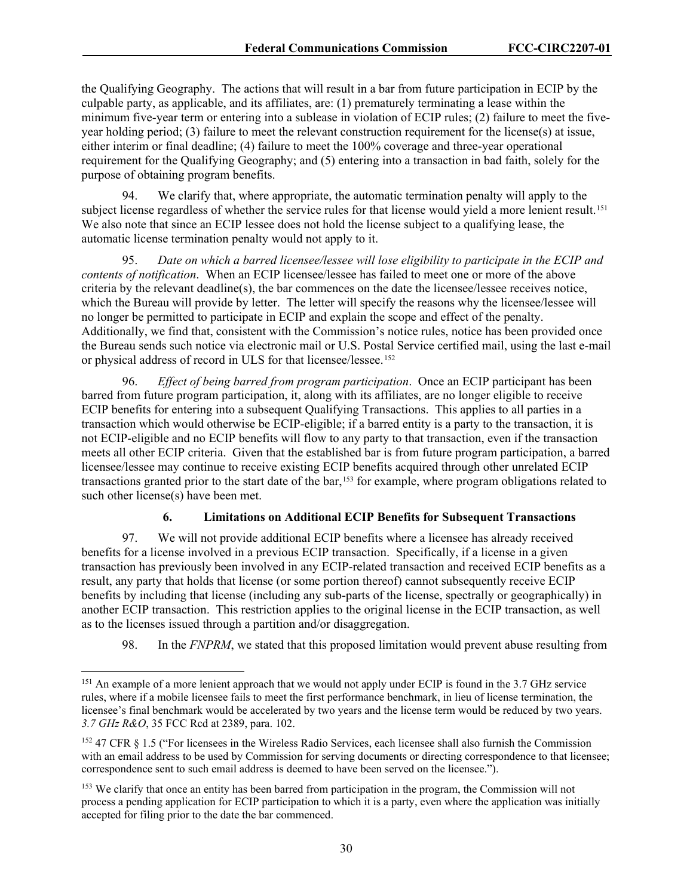the Qualifying Geography. The actions that will result in a bar from future participation in ECIP by the culpable party, as applicable, and its affiliates, are: (1) prematurely terminating a lease within the minimum five-year term or entering into a sublease in violation of ECIP rules; (2) failure to meet the fiveyear holding period; (3) failure to meet the relevant construction requirement for the license(s) at issue, either interim or final deadline; (4) failure to meet the 100% coverage and three-year operational requirement for the Qualifying Geography; and (5) entering into a transaction in bad faith, solely for the purpose of obtaining program benefits.

94. We clarify that, where appropriate, the automatic termination penalty will apply to the subject license regardless of whether the service rules for that license would yield a more lenient result.<sup>[151](#page-30-0)</sup> We also note that since an ECIP lessee does not hold the license subject to a qualifying lease, the automatic license termination penalty would not apply to it.

95. *Date on which a barred licensee/lessee will lose eligibility to participate in the ECIP and contents of notification*. When an ECIP licensee/lessee has failed to meet one or more of the above criteria by the relevant deadline(s), the bar commences on the date the licensee/lessee receives notice, which the Bureau will provide by letter. The letter will specify the reasons why the licensee/lessee will no longer be permitted to participate in ECIP and explain the scope and effect of the penalty. Additionally, we find that, consistent with the Commission's notice rules, notice has been provided once the Bureau sends such notice via electronic mail or U.S. Postal Service certified mail, using the last e-mail or physical address of record in ULS for that licensee/lessee.<sup>[152](#page-30-1)</sup>

96. *Effect of being barred from program participation*. Once an ECIP participant has been barred from future program participation, it, along with its affiliates, are no longer eligible to receive ECIP benefits for entering into a subsequent Qualifying Transactions. This applies to all parties in a transaction which would otherwise be ECIP-eligible; if a barred entity is a party to the transaction, it is not ECIP-eligible and no ECIP benefits will flow to any party to that transaction, even if the transaction meets all other ECIP criteria. Given that the established bar is from future program participation, a barred licensee/lessee may continue to receive existing ECIP benefits acquired through other unrelated ECIP transactions granted prior to the start date of the bar,<sup>[153](#page-30-2)</sup> for example, where program obligations related to such other license(s) have been met.

## **6. Limitations on Additional ECIP Benefits for Subsequent Transactions**

97. We will not provide additional ECIP benefits where a licensee has already received benefits for a license involved in a previous ECIP transaction. Specifically, if a license in a given transaction has previously been involved in any ECIP-related transaction and received ECIP benefits as a result, any party that holds that license (or some portion thereof) cannot subsequently receive ECIP benefits by including that license (including any sub-parts of the license, spectrally or geographically) in another ECIP transaction. This restriction applies to the original license in the ECIP transaction, as well as to the licenses issued through a partition and/or disaggregation.

98. In the *FNPRM*, we stated that this proposed limitation would prevent abuse resulting from

<span id="page-30-0"></span><sup>&</sup>lt;sup>151</sup> An example of a more lenient approach that we would not apply under ECIP is found in the 3.7 GHz service rules, where if a mobile licensee fails to meet the first performance benchmark, in lieu of license termination, the licensee's final benchmark would be accelerated by two years and the license term would be reduced by two years. *3.7 GHz R&O*, 35 FCC Rcd at 2389, para. 102.

<span id="page-30-1"></span><sup>152</sup> 47 CFR § 1.5 ("For licensees in the Wireless Radio Services, each licensee shall also furnish the Commission with an email address to be used by Commission for serving documents or directing correspondence to that licensee; correspondence sent to such email address is deemed to have been served on the licensee.").

<span id="page-30-2"></span><sup>153</sup> We clarify that once an entity has been barred from participation in the program, the Commission will not process a pending application for ECIP participation to which it is a party, even where the application was initially accepted for filing prior to the date the bar commenced.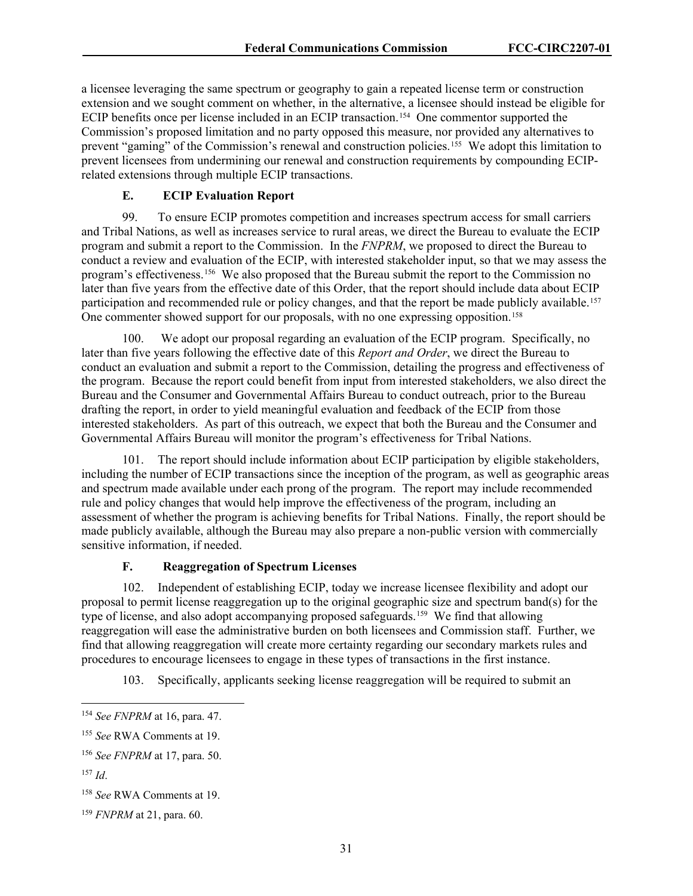a licensee leveraging the same spectrum or geography to gain a repeated license term or construction extension and we sought comment on whether, in the alternative, a licensee should instead be eligible for ECIP benefits once per license included in an ECIP transaction.<sup>154</sup> One commentor supported the Commission's proposed limitation and no party opposed this measure, nor provided any alternatives to prevent "gaming" of the Commission's renewal and construction policies.<sup>[155](#page-31-1)</sup> We adopt this limitation to prevent licensees from undermining our renewal and construction requirements by compounding ECIPrelated extensions through multiple ECIP transactions.

## **E. ECIP Evaluation Report**

99. To ensure ECIP promotes competition and increases spectrum access for small carriers and Tribal Nations, as well as increases service to rural areas, we direct the Bureau to evaluate the ECIP program and submit a report to the Commission. In the *FNPRM*, we proposed to direct the Bureau to conduct a review and evaluation of the ECIP, with interested stakeholder input, so that we may assess the program's effectiveness.[156](#page-31-2) We also proposed that the Bureau submit the report to the Commission no later than five years from the effective date of this Order, that the report should include data about ECIP participation and recommended rule or policy changes, and that the report be made publicly available.[157](#page-31-3) One commenter showed support for our proposals, with no one expressing opposition.<sup>[158](#page-31-4)</sup>

100. We adopt our proposal regarding an evaluation of the ECIP program. Specifically, no later than five years following the effective date of this *Report and Order*, we direct the Bureau to conduct an evaluation and submit a report to the Commission, detailing the progress and effectiveness of the program. Because the report could benefit from input from interested stakeholders, we also direct the Bureau and the Consumer and Governmental Affairs Bureau to conduct outreach, prior to the Bureau drafting the report, in order to yield meaningful evaluation and feedback of the ECIP from those interested stakeholders. As part of this outreach, we expect that both the Bureau and the Consumer and Governmental Affairs Bureau will monitor the program's effectiveness for Tribal Nations.

101. The report should include information about ECIP participation by eligible stakeholders, including the number of ECIP transactions since the inception of the program, as well as geographic areas and spectrum made available under each prong of the program. The report may include recommended rule and policy changes that would help improve the effectiveness of the program, including an assessment of whether the program is achieving benefits for Tribal Nations. Finally, the report should be made publicly available, although the Bureau may also prepare a non-public version with commercially sensitive information, if needed.

## **F. Reaggregation of Spectrum Licenses**

102. Independent of establishing ECIP, today we increase licensee flexibility and adopt our proposal to permit license reaggregation up to the original geographic size and spectrum band(s) for the type of license, and also adopt accompanying proposed safeguards.<sup>159</sup> We find that allowing reaggregation will ease the administrative burden on both licensees and Commission staff. Further, we find that allowing reaggregation will create more certainty regarding our secondary markets rules and procedures to encourage licensees to engage in these types of transactions in the first instance.

103. Specifically, applicants seeking license reaggregation will be required to submit an

<span id="page-31-0"></span><sup>154</sup> *See FNPRM* at 16, para. 47.

<span id="page-31-1"></span><sup>155</sup> *See* RWA Comments at 19.

<span id="page-31-2"></span><sup>156</sup> *See FNPRM* at 17, para. 50.

<span id="page-31-3"></span><sup>157</sup> *Id*.

<span id="page-31-4"></span><sup>158</sup> *See* RWA Comments at 19.

<span id="page-31-5"></span><sup>159</sup> *FNPRM* at 21, para. 60.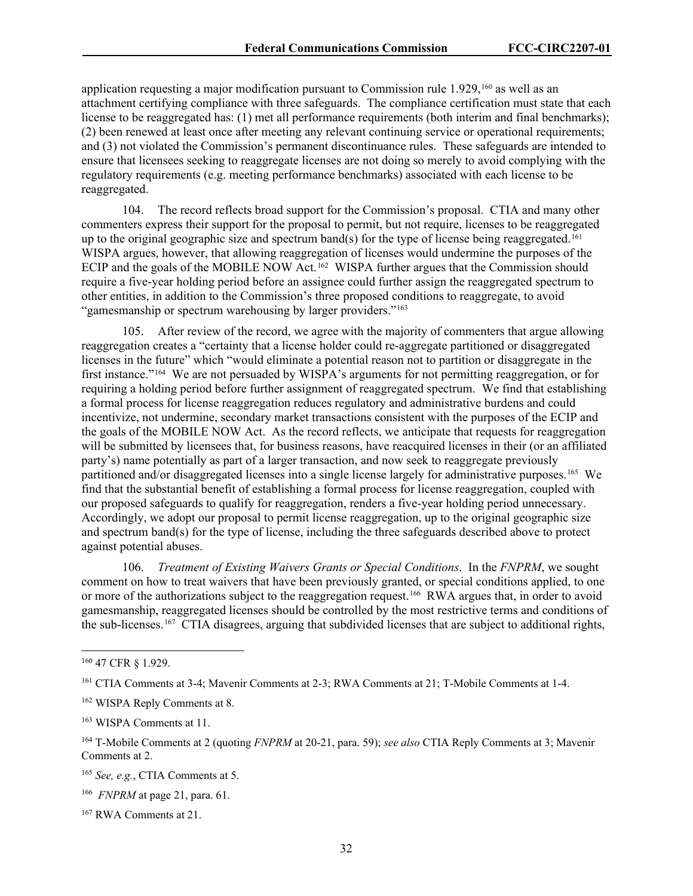application requesting a major modification pursuant to Commission rule 1.929,<sup>[160](#page-32-0)</sup> as well as an attachment certifying compliance with three safeguards. The compliance certification must state that each license to be reaggregated has: (1) met all performance requirements (both interim and final benchmarks); (2) been renewed at least once after meeting any relevant continuing service or operational requirements; and (3) not violated the Commission's permanent discontinuance rules. These safeguards are intended to ensure that licensees seeking to reaggregate licenses are not doing so merely to avoid complying with the regulatory requirements (e.g. meeting performance benchmarks) associated with each license to be reaggregated.

104. The record reflects broad support for the Commission's proposal. CTIA and many other commenters express their support for the proposal to permit, but not require, licenses to be reaggregated up to the original geographic size and spectrum band(s) for the type of license being reaggregated.<sup>161</sup> WISPA argues, however, that allowing reaggregation of licenses would undermine the purposes of the ECIP and the goals of the MOBILE NOW Act.<sup>[162](#page-32-2)</sup> WISPA further argues that the Commission should require a five-year holding period before an assignee could further assign the reaggregated spectrum to other entities, in addition to the Commission's three proposed conditions to reaggregate, to avoid "gamesmanship or spectrum warehousing by larger providers."<sup>[163](#page-32-3)</sup>

105. After review of the record, we agree with the majority of commenters that argue allowing reaggregation creates a "certainty that a license holder could re-aggregate partitioned or disaggregated licenses in the future" which "would eliminate a potential reason not to partition or disaggregate in the first instance."[164](#page-32-4) We are not persuaded by WISPA's arguments for not permitting reaggregation, or for requiring a holding period before further assignment of reaggregated spectrum. We find that establishing a formal process for license reaggregation reduces regulatory and administrative burdens and could incentivize, not undermine, secondary market transactions consistent with the purposes of the ECIP and the goals of the MOBILE NOW Act. As the record reflects, we anticipate that requests for reaggregation will be submitted by licensees that, for business reasons, have reacquired licenses in their (or an affiliated party's) name potentially as part of a larger transaction, and now seek to reaggregate previously partitioned and/or disaggregated licenses into a single license largely for administrative purposes.<sup>[165](#page-32-5)</sup> We find that the substantial benefit of establishing a formal process for license reaggregation, coupled with our proposed safeguards to qualify for reaggregation, renders a five-year holding period unnecessary. Accordingly, we adopt our proposal to permit license reaggregation, up to the original geographic size and spectrum band(s) for the type of license, including the three safeguards described above to protect against potential abuses.

106. *Treatment of Existing Waivers Grants or Special Conditions*. In the *FNPRM*, we sought comment on how to treat waivers that have been previously granted, or special conditions applied, to one or more of the authorizations subject to the reaggregation request.<sup>166</sup> RWA argues that, in order to avoid gamesmanship, reaggregated licenses should be controlled by the most restrictive terms and conditions of the sub-licenses.<sup>167</sup> CTIA disagrees, arguing that subdivided licenses that are subject to additional rights,

<span id="page-32-0"></span><sup>160</sup> 47 CFR § 1.929.

<span id="page-32-1"></span><sup>161</sup> CTIA Comments at 3-4; Mavenir Comments at 2-3; RWA Comments at 21; T-Mobile Comments at 1-4.

<span id="page-32-2"></span><sup>162</sup> WISPA Reply Comments at 8.

<span id="page-32-3"></span><sup>163</sup> WISPA Comments at 11.

<span id="page-32-4"></span><sup>164</sup> T-Mobile Comments at 2 (quoting *FNPRM* at 20-21, para. 59); *see also* CTIA Reply Comments at 3; Mavenir Comments at 2.

<span id="page-32-5"></span><sup>165</sup> *See, e.g.*, CTIA Comments at 5.

<span id="page-32-6"></span><sup>166</sup> *FNPRM* at page 21, para. 61.

<span id="page-32-7"></span><sup>167</sup> RWA Comments at 21.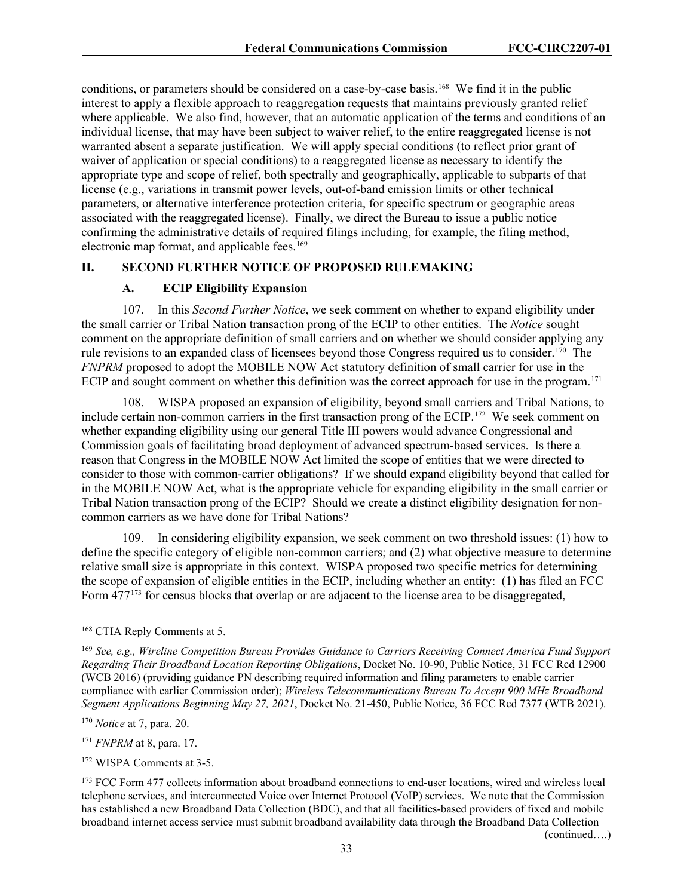conditions, or parameters should be considered on a case-by-case basis.[168](#page-33-0) We find it in the public interest to apply a flexible approach to reaggregation requests that maintains previously granted relief where applicable. We also find, however, that an automatic application of the terms and conditions of an individual license, that may have been subject to waiver relief, to the entire reaggregated license is not warranted absent a separate justification. We will apply special conditions (to reflect prior grant of waiver of application or special conditions) to a reaggregated license as necessary to identify the appropriate type and scope of relief, both spectrally and geographically, applicable to subparts of that license (e.g., variations in transmit power levels, out-of-band emission limits or other technical parameters, or alternative interference protection criteria, for specific spectrum or geographic areas associated with the reaggregated license). Finally, we direct the Bureau to issue a public notice confirming the administrative details of required filings including, for example, the filing method, electronic map format, and applicable fees.[169](#page-33-1) 

## **II. SECOND FURTHER NOTICE OF PROPOSED RULEMAKING**

### **A. ECIP Eligibility Expansion**

107. In this *Second Further Notice*, we seek comment on whether to expand eligibility under the small carrier or Tribal Nation transaction prong of the ECIP to other entities. The *Notice* sought comment on the appropriate definition of small carriers and on whether we should consider applying any rule revisions to an expanded class of licensees beyond those Congress required us to consider.[170](#page-33-2) The *FNPRM* proposed to adopt the MOBILE NOW Act statutory definition of small carrier for use in the ECIP and sought comment on whether this definition was the correct approach for use in the program.<sup>[171](#page-33-3)</sup>

108. WISPA proposed an expansion of eligibility, beyond small carriers and Tribal Nations, to include certain non-common carriers in the first transaction prong of the ECIP.<sup>[172](#page-33-4)</sup> We seek comment on whether expanding eligibility using our general Title III powers would advance Congressional and Commission goals of facilitating broad deployment of advanced spectrum-based services. Is there a reason that Congress in the MOBILE NOW Act limited the scope of entities that we were directed to consider to those with common-carrier obligations? If we should expand eligibility beyond that called for in the MOBILE NOW Act, what is the appropriate vehicle for expanding eligibility in the small carrier or Tribal Nation transaction prong of the ECIP? Should we create a distinct eligibility designation for noncommon carriers as we have done for Tribal Nations?

109. In considering eligibility expansion, we seek comment on two threshold issues: (1) how to define the specific category of eligible non-common carriers; and (2) what objective measure to determine relative small size is appropriate in this context. WISPA proposed two specific metrics for determining the scope of expansion of eligible entities in the ECIP, including whether an entity: (1) has filed an FCC Form 477<sup>[173](#page-33-5)</sup> for census blocks that overlap or are adjacent to the license area to be disaggregated,

<span id="page-33-3"></span><sup>171</sup> *FNPRM* at 8, para. 17.

(continued….)

<span id="page-33-0"></span><sup>168</sup> CTIA Reply Comments at 5.

<span id="page-33-1"></span><sup>169</sup> *See, e.g., Wireline Competition Bureau Provides Guidance to Carriers Receiving Connect America Fund Support Regarding Their Broadband Location Reporting Obligations*, Docket No. 10-90, Public Notice, 31 FCC Rcd 12900 (WCB 2016) (providing guidance PN describing required information and filing parameters to enable carrier compliance with earlier Commission order); *Wireless Telecommunications Bureau To Accept 900 MHz Broadband Segment Applications Beginning May 27, 2021*, Docket No. 21-450, Public Notice, 36 FCC Rcd 7377 (WTB 2021).

<span id="page-33-2"></span><sup>170</sup> *Notice* at 7, para. 20.

<span id="page-33-4"></span><sup>172</sup> WISPA Comments at 3-5.

<span id="page-33-5"></span><sup>&</sup>lt;sup>173</sup> FCC Form 477 collects information about broadband connections to end-user locations, wired and wireless local telephone services, and interconnected Voice over Internet Protocol (VoIP) services. We note that the Commission has established a new Broadband Data Collection (BDC), and that all facilities-based providers of fixed and mobile broadband internet access service must submit broadband availability data through the Broadband Data Collection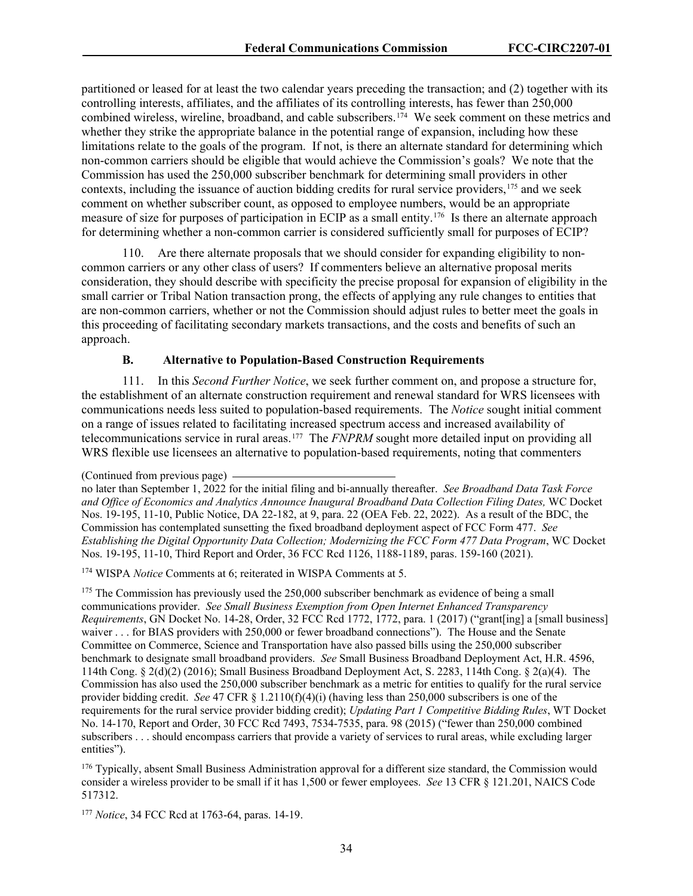partitioned or leased for at least the two calendar years preceding the transaction; and (2) together with its controlling interests, affiliates, and the affiliates of its controlling interests, has fewer than 250,000 combined wireless, wireline, broadband, and cable subscribers.<sup>[174](#page-34-0)</sup> We seek comment on these metrics and whether they strike the appropriate balance in the potential range of expansion, including how these limitations relate to the goals of the program. If not, is there an alternate standard for determining which non-common carriers should be eligible that would achieve the Commission's goals? We note that the Commission has used the 250,000 subscriber benchmark for determining small providers in other contexts, including the issuance of auction bidding credits for rural service providers,  $175$  and we seek comment on whether subscriber count, as opposed to employee numbers, would be an appropriate measure of size for purposes of participation in ECIP as a small entity. [176](#page-34-2) Is there an alternate approach for determining whether a non-common carrier is considered sufficiently small for purposes of ECIP?

110. Are there alternate proposals that we should consider for expanding eligibility to noncommon carriers or any other class of users? If commenters believe an alternative proposal merits consideration, they should describe with specificity the precise proposal for expansion of eligibility in the small carrier or Tribal Nation transaction prong, the effects of applying any rule changes to entities that are non-common carriers, whether or not the Commission should adjust rules to better meet the goals in this proceeding of facilitating secondary markets transactions, and the costs and benefits of such an approach.

#### **B. Alternative to Population-Based Construction Requirements**

111. In this *Second Further Notice*, we seek further comment on, and propose a structure for, the establishment of an alternate construction requirement and renewal standard for WRS licensees with communications needs less suited to population-based requirements. The *Notice* sought initial comment on a range of issues related to facilitating increased spectrum access and increased availability of telecommunications service in rural areas.[177](#page-34-3) The *FNPRM* sought more detailed input on providing all WRS flexible use licensees an alternative to population-based requirements, noting that commenters

<span id="page-34-0"></span><sup>174</sup> WISPA *Notice* Comments at 6; reiterated in WISPA Comments at 5.

<span id="page-34-1"></span><sup>175</sup> The Commission has previously used the 250,000 subscriber benchmark as evidence of being a small communications provider. *See Small Business Exemption from Open Internet Enhanced Transparency Requirements*, GN Docket No. 14-28, Order, 32 FCC Rcd 1772, 1772, para. 1 (2017) ("grant[ing] a [small business] waiver . . . for BIAS providers with 250,000 or fewer broadband connections"). The House and the Senate Committee on Commerce, Science and Transportation have also passed bills using the 250,000 subscriber benchmark to designate small broadband providers. *See* Small Business Broadband Deployment Act, H.R. 4596, 114th Cong. § 2(d)(2) (2016); Small Business Broadband Deployment Act, S. 2283, 114th Cong. § 2(a)(4). The Commission has also used the 250,000 subscriber benchmark as a metric for entities to qualify for the rural service provider bidding credit. *See* 47 CFR § 1.2110(f)(4)(i) (having less than 250,000 subscribers is one of the requirements for the rural service provider bidding credit); *Updating Part 1 Competitive Bidding Rules*, WT Docket No. 14-170, Report and Order, 30 FCC Rcd 7493, 7534-7535, para. 98 (2015) ("fewer than 250,000 combined subscribers . . . should encompass carriers that provide a variety of services to rural areas, while excluding larger entities").

<span id="page-34-2"></span><sup>176</sup> Typically, absent Small Business Administration approval for a different size standard, the Commission would consider a wireless provider to be small if it has 1,500 or fewer employees. *See* 13 CFR § 121.201, NAICS Code 517312.

<span id="page-34-3"></span><sup>177</sup> *Notice*, 34 FCC Rcd at 1763-64, paras. 14-19.

<sup>(</sup>Continued from previous page)

no later than September 1, 2022 for the initial filing and bi-annually thereafter. *See Broadband Data Task Force and Office of Economics and Analytics Announce Inaugural Broadband Data Collection Filing Dates,* WC Docket Nos. 19-195, 11-10, Public Notice, DA 22-182, at 9, para. 22 (OEA Feb. 22, 2022). As a result of the BDC, the Commission has contemplated sunsetting the fixed broadband deployment aspect of FCC Form 477. *See Establishing the Digital Opportunity Data Collection; Modernizing the FCC Form 477 Data Program*, WC Docket Nos. 19-195, 11-10, Third Report and Order, 36 FCC Rcd 1126, 1188-1189, paras. 159-160 (2021).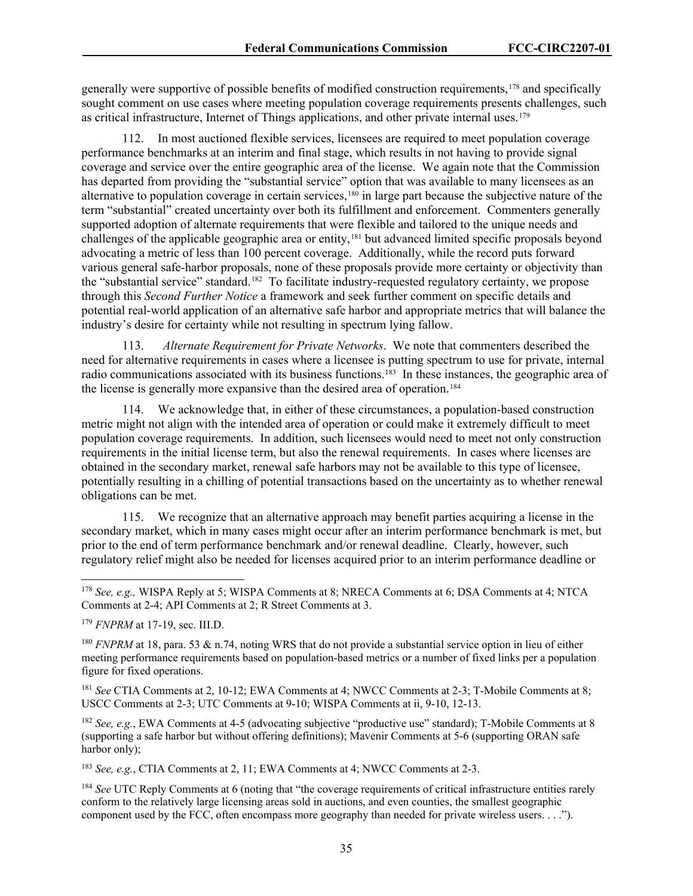generally were supportive of possible benefits of modified construction requirements,<sup>[178](#page-35-0)</sup> and specifically sought comment on use cases where meeting population coverage requirements presents challenges, such as critical infrastructure, Internet of Things applications, and other private internal uses.<sup>[179](#page-35-1)</sup>

112. In most auctioned flexible services, licensees are required to meet population coverage performance benchmarks at an interim and final stage, which results in not having to provide signal coverage and service over the entire geographic area of the license. We again note that the Commission has departed from providing the "substantial service" option that was available to many licensees as an alternative to population coverage in certain services,<sup>[180](#page-35-2)</sup> in large part because the subjective nature of the term "substantial" created uncertainty over both its fulfillment and enforcement. Commenters generally supported adoption of alternate requirements that were flexible and tailored to the unique needs and challenges of the applicable geographic area or entity,<sup>[181](#page-35-3)</sup> but advanced limited specific proposals beyond advocating a metric of less than 100 percent coverage. Additionally, while the record puts forward various general safe-harbor proposals, none of these proposals provide more certainty or objectivity than the "substantial service" standard.[182](#page-35-4) To facilitate industry-requested regulatory certainty, we propose through this *Second Further Notice* a framework and seek further comment on specific details and potential real-world application of an alternative safe harbor and appropriate metrics that will balance the industry's desire for certainty while not resulting in spectrum lying fallow.

113. *Alternate Requirement for Private Networks*. We note that commenters described the need for alternative requirements in cases where a licensee is putting spectrum to use for private, internal radio communications associated with its business functions.<sup>[183](#page-35-5)</sup> In these instances, the geographic area of the license is generally more expansive than the desired area of operation.<sup>[184](#page-35-6)</sup>

114. We acknowledge that, in either of these circumstances, a population-based construction metric might not align with the intended area of operation or could make it extremely difficult to meet population coverage requirements. In addition, such licensees would need to meet not only construction requirements in the initial license term, but also the renewal requirements. In cases where licenses are obtained in the secondary market, renewal safe harbors may not be available to this type of licensee, potentially resulting in a chilling of potential transactions based on the uncertainty as to whether renewal obligations can be met.

115. We recognize that an alternative approach may benefit parties acquiring a license in the secondary market, which in many cases might occur after an interim performance benchmark is met, but prior to the end of term performance benchmark and/or renewal deadline. Clearly, however, such regulatory relief might also be needed for licenses acquired prior to an interim performance deadline or

<span id="page-35-1"></span><sup>179</sup> *FNPRM* at 17-19, sec. III.D.

<span id="page-35-2"></span><sup>180</sup> *FNPRM* at 18, para. 53 & n.74, noting WRS that do not provide a substantial service option in lieu of either meeting performance requirements based on population-based metrics or a number of fixed links per a population figure for fixed operations.

<span id="page-35-3"></span><sup>181</sup> *See* CTIA Comments at 2, 10-12; EWA Comments at 4; NWCC Comments at 2-3; T-Mobile Comments at 8; USCC Comments at 2-3; UTC Comments at 9-10; WISPA Comments at ii, 9-10, 12-13.

<span id="page-35-4"></span><sup>182</sup> *See, e.g.*, EWA Comments at 4-5 (advocating subjective "productive use" standard); T-Mobile Comments at 8 (supporting a safe harbor but without offering definitions); Mavenir Comments at 5-6 (supporting ORAN safe harbor only);

<span id="page-35-5"></span><sup>183</sup> *See, e.g.*, CTIA Comments at 2, 11; EWA Comments at 4; NWCC Comments at 2-3.

<span id="page-35-6"></span><sup>184</sup> *See* UTC Reply Comments at 6 (noting that "the coverage requirements of critical infrastructure entities rarely conform to the relatively large licensing areas sold in auctions, and even counties, the smallest geographic component used by the FCC, often encompass more geography than needed for private wireless users. . . .").

<span id="page-35-0"></span><sup>178</sup> *See, e.g.,* WISPA Reply at 5; WISPA Comments at 8; NRECA Comments at 6; DSA Comments at 4; NTCA Comments at 2-4; API Comments at 2; R Street Comments at 3.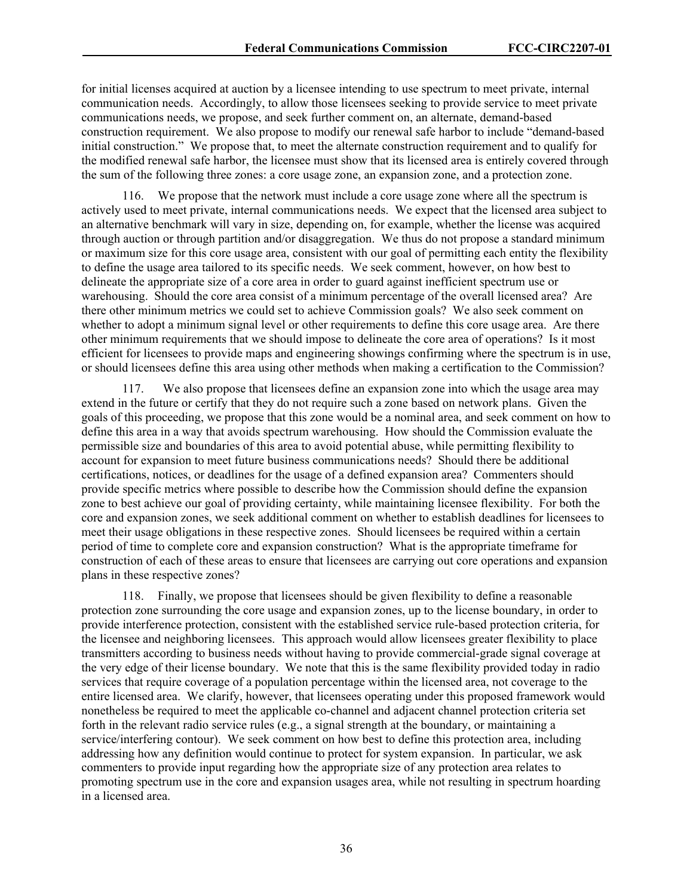for initial licenses acquired at auction by a licensee intending to use spectrum to meet private, internal communication needs. Accordingly, to allow those licensees seeking to provide service to meet private communications needs, we propose, and seek further comment on, an alternate, demand-based construction requirement. We also propose to modify our renewal safe harbor to include "demand-based initial construction." We propose that, to meet the alternate construction requirement and to qualify for the modified renewal safe harbor, the licensee must show that its licensed area is entirely covered through the sum of the following three zones: a core usage zone, an expansion zone, and a protection zone.

116. We propose that the network must include a core usage zone where all the spectrum is actively used to meet private, internal communications needs. We expect that the licensed area subject to an alternative benchmark will vary in size, depending on, for example, whether the license was acquired through auction or through partition and/or disaggregation. We thus do not propose a standard minimum or maximum size for this core usage area, consistent with our goal of permitting each entity the flexibility to define the usage area tailored to its specific needs. We seek comment, however, on how best to delineate the appropriate size of a core area in order to guard against inefficient spectrum use or warehousing. Should the core area consist of a minimum percentage of the overall licensed area? Are there other minimum metrics we could set to achieve Commission goals? We also seek comment on whether to adopt a minimum signal level or other requirements to define this core usage area. Are there other minimum requirements that we should impose to delineate the core area of operations? Is it most efficient for licensees to provide maps and engineering showings confirming where the spectrum is in use, or should licensees define this area using other methods when making a certification to the Commission?

117. We also propose that licensees define an expansion zone into which the usage area may extend in the future or certify that they do not require such a zone based on network plans. Given the goals of this proceeding, we propose that this zone would be a nominal area, and seek comment on how to define this area in a way that avoids spectrum warehousing. How should the Commission evaluate the permissible size and boundaries of this area to avoid potential abuse, while permitting flexibility to account for expansion to meet future business communications needs? Should there be additional certifications, notices, or deadlines for the usage of a defined expansion area? Commenters should provide specific metrics where possible to describe how the Commission should define the expansion zone to best achieve our goal of providing certainty, while maintaining licensee flexibility. For both the core and expansion zones, we seek additional comment on whether to establish deadlines for licensees to meet their usage obligations in these respective zones. Should licensees be required within a certain period of time to complete core and expansion construction? What is the appropriate timeframe for construction of each of these areas to ensure that licensees are carrying out core operations and expansion plans in these respective zones?

118. Finally, we propose that licensees should be given flexibility to define a reasonable protection zone surrounding the core usage and expansion zones, up to the license boundary, in order to provide interference protection, consistent with the established service rule-based protection criteria, for the licensee and neighboring licensees. This approach would allow licensees greater flexibility to place transmitters according to business needs without having to provide commercial-grade signal coverage at the very edge of their license boundary. We note that this is the same flexibility provided today in radio services that require coverage of a population percentage within the licensed area, not coverage to the entire licensed area. We clarify, however, that licensees operating under this proposed framework would nonetheless be required to meet the applicable co-channel and adjacent channel protection criteria set forth in the relevant radio service rules (e.g., a signal strength at the boundary, or maintaining a service/interfering contour). We seek comment on how best to define this protection area, including addressing how any definition would continue to protect for system expansion. In particular, we ask commenters to provide input regarding how the appropriate size of any protection area relates to promoting spectrum use in the core and expansion usages area, while not resulting in spectrum hoarding in a licensed area.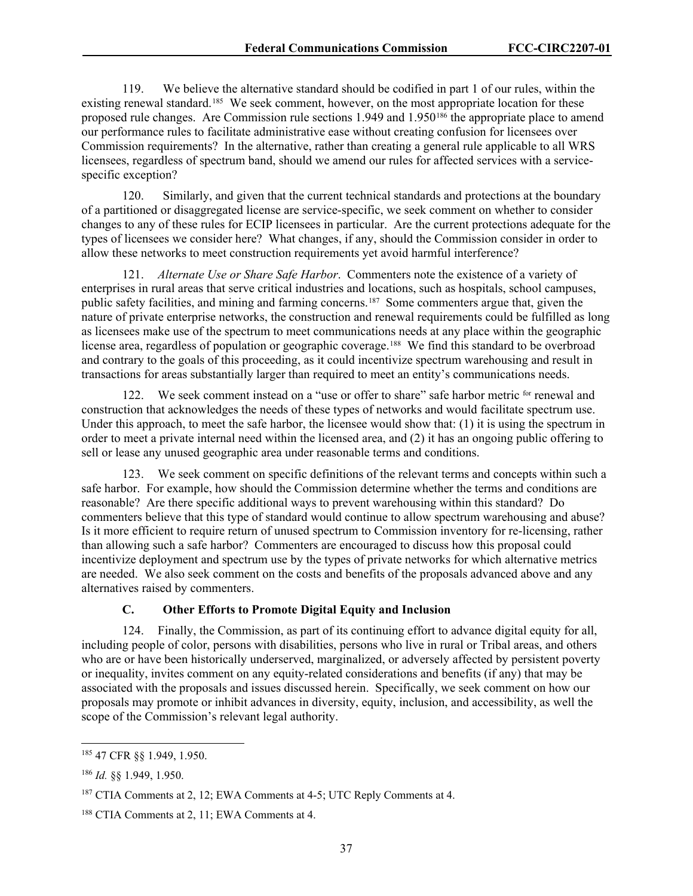119. We believe the alternative standard should be codified in part 1 of our rules, within the existing renewal standard.<sup>[185](#page-37-0)</sup> We seek comment, however, on the most appropriate location for these proposed rule changes. Are Commission rule sections 1.949 and 1.950<sup>[186](#page-37-1)</sup> the appropriate place to amend our performance rules to facilitate administrative ease without creating confusion for licensees over Commission requirements? In the alternative, rather than creating a general rule applicable to all WRS licensees, regardless of spectrum band, should we amend our rules for affected services with a servicespecific exception?

120. Similarly, and given that the current technical standards and protections at the boundary of a partitioned or disaggregated license are service-specific, we seek comment on whether to consider changes to any of these rules for ECIP licensees in particular. Are the current protections adequate for the types of licensees we consider here? What changes, if any, should the Commission consider in order to allow these networks to meet construction requirements yet avoid harmful interference?

121. *Alternate Use or Share Safe Harbor*. Commenters note the existence of a variety of enterprises in rural areas that serve critical industries and locations, such as hospitals, school campuses, public safety facilities, and mining and farming concerns.<sup>187</sup> Some commenters argue that, given the nature of private enterprise networks, the construction and renewal requirements could be fulfilled as long as licensees make use of the spectrum to meet communications needs at any place within the geographic license area, regardless of population or geographic coverage.<sup>[188](#page-37-3)</sup> We find this standard to be overbroad and contrary to the goals of this proceeding, as it could incentivize spectrum warehousing and result in transactions for areas substantially larger than required to meet an entity's communications needs.

122. We seek comment instead on a "use or offer to share" safe harbor metric for renewal and construction that acknowledges the needs of these types of networks and would facilitate spectrum use. Under this approach, to meet the safe harbor, the licensee would show that: (1) it is using the spectrum in order to meet a private internal need within the licensed area, and (2) it has an ongoing public offering to sell or lease any unused geographic area under reasonable terms and conditions.

123. We seek comment on specific definitions of the relevant terms and concepts within such a safe harbor. For example, how should the Commission determine whether the terms and conditions are reasonable? Are there specific additional ways to prevent warehousing within this standard? Do commenters believe that this type of standard would continue to allow spectrum warehousing and abuse? Is it more efficient to require return of unused spectrum to Commission inventory for re-licensing, rather than allowing such a safe harbor? Commenters are encouraged to discuss how this proposal could incentivize deployment and spectrum use by the types of private networks for which alternative metrics are needed. We also seek comment on the costs and benefits of the proposals advanced above and any alternatives raised by commenters.

# **C. Other Efforts to Promote Digital Equity and Inclusion**

124. Finally, the Commission, as part of its continuing effort to advance digital equity for all, including people of color, persons with disabilities, persons who live in rural or Tribal areas, and others who are or have been historically underserved, marginalized, or adversely affected by persistent poverty or inequality, invites comment on any equity-related considerations and benefits (if any) that may be associated with the proposals and issues discussed herein. Specifically, we seek comment on how our proposals may promote or inhibit advances in diversity, equity, inclusion, and accessibility, as well the scope of the Commission's relevant legal authority.

<span id="page-37-0"></span><sup>185</sup> 47 CFR §§ 1.949, 1.950.

<span id="page-37-1"></span><sup>186</sup> *Id.* §§ 1.949, 1.950.

<span id="page-37-2"></span><sup>&</sup>lt;sup>187</sup> CTIA Comments at 2, 12; EWA Comments at 4-5; UTC Reply Comments at 4.

<span id="page-37-3"></span><sup>188</sup> CTIA Comments at 2, 11; EWA Comments at 4.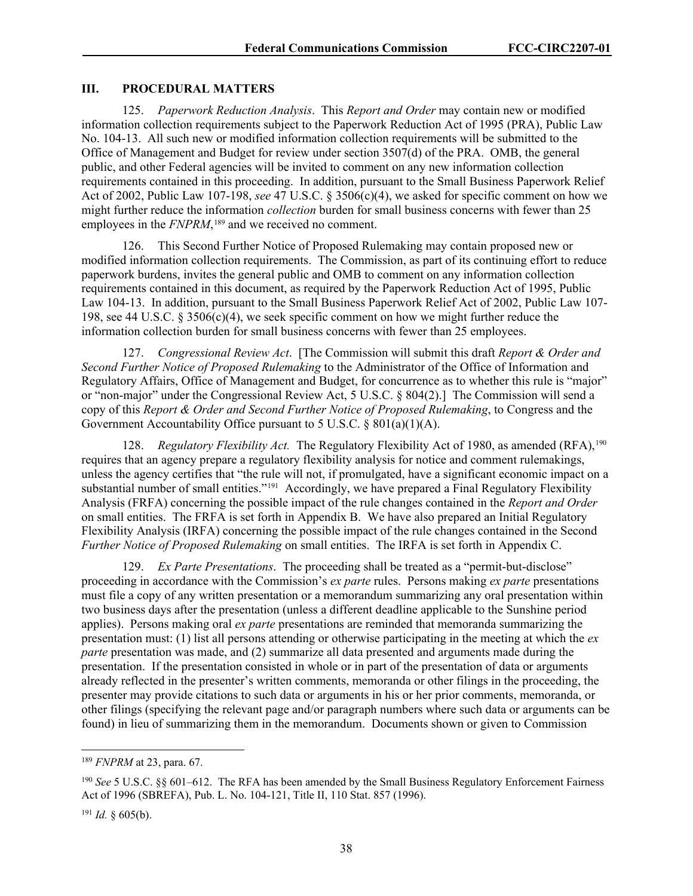#### **III. PROCEDURAL MATTERS**

125. *Paperwork Reduction Analysis*. This *Report and Order* may contain new or modified information collection requirements subject to the Paperwork Reduction Act of 1995 (PRA), Public Law No. 104-13. All such new or modified information collection requirements will be submitted to the Office of Management and Budget for review under section 3507(d) of the PRA. OMB, the general public, and other Federal agencies will be invited to comment on any new information collection requirements contained in this proceeding. In addition, pursuant to the Small Business Paperwork Relief Act of 2002, Public Law 107-198, *see* 47 U.S.C. § 3506(c)(4), we asked for specific comment on how we might further reduce the information *collection* burden for small business concerns with fewer than 25 employees in the *FNPRM*,<sup>[189](#page-38-0)</sup> and we received no comment.

126. This Second Further Notice of Proposed Rulemaking may contain proposed new or modified information collection requirements. The Commission, as part of its continuing effort to reduce paperwork burdens, invites the general public and OMB to comment on any information collection requirements contained in this document, as required by the Paperwork Reduction Act of 1995, Public Law 104-13. In addition, pursuant to the Small Business Paperwork Relief Act of 2002, Public Law 107- 198, see 44 U.S.C. § 3506(c)(4), we seek specific comment on how we might further reduce the information collection burden for small business concerns with fewer than 25 employees.

127. *Congressional Review Act*. [The Commission will submit this draft *Report & Order and Second Further Notice of Proposed Rulemaking* to the Administrator of the Office of Information and Regulatory Affairs, Office of Management and Budget, for concurrence as to whether this rule is "major" or "non-major" under the Congressional Review Act, 5 U.S.C. § 804(2).] The Commission will send a copy of this *Report & Order and Second Further Notice of Proposed Rulemaking*, to Congress and the Government Accountability Office pursuant to 5 U.S.C. § 801(a)(1)(A).

128. *Regulatory Flexibility Act.* The Regulatory Flexibility Act of 1980, as amended (RFA),<sup>[190](#page-38-1)</sup> requires that an agency prepare a regulatory flexibility analysis for notice and comment rulemakings, unless the agency certifies that "the rule will not, if promulgated, have a significant economic impact on a substantial number of small entities."<sup>[191](#page-38-2)</sup> Accordingly, we have prepared a Final Regulatory Flexibility Analysis (FRFA) concerning the possible impact of the rule changes contained in the *Report and Order*  on small entities. The FRFA is set forth in Appendix B. We have also prepared an Initial Regulatory Flexibility Analysis (IRFA) concerning the possible impact of the rule changes contained in the Second *Further Notice of Proposed Rulemaking* on small entities. The IRFA is set forth in Appendix C.

129. *Ex Parte Presentations*. The proceeding shall be treated as a "permit-but-disclose" proceeding in accordance with the Commission's *ex parte* rules. Persons making *ex parte* presentations must file a copy of any written presentation or a memorandum summarizing any oral presentation within two business days after the presentation (unless a different deadline applicable to the Sunshine period applies). Persons making oral *ex parte* presentations are reminded that memoranda summarizing the presentation must: (1) list all persons attending or otherwise participating in the meeting at which the *ex parte* presentation was made, and (2) summarize all data presented and arguments made during the presentation. If the presentation consisted in whole or in part of the presentation of data or arguments already reflected in the presenter's written comments, memoranda or other filings in the proceeding, the presenter may provide citations to such data or arguments in his or her prior comments, memoranda, or other filings (specifying the relevant page and/or paragraph numbers where such data or arguments can be found) in lieu of summarizing them in the memorandum. Documents shown or given to Commission

<span id="page-38-0"></span><sup>189</sup> *FNPRM* at 23, para. 67.

<span id="page-38-1"></span><sup>190</sup> *See* 5 U.S.C. §§ 601–612. The RFA has been amended by the Small Business Regulatory Enforcement Fairness Act of 1996 (SBREFA), Pub. L. No. 104-121, Title II, 110 Stat. 857 (1996).

<span id="page-38-2"></span> $191$  *Id.* § 605(b).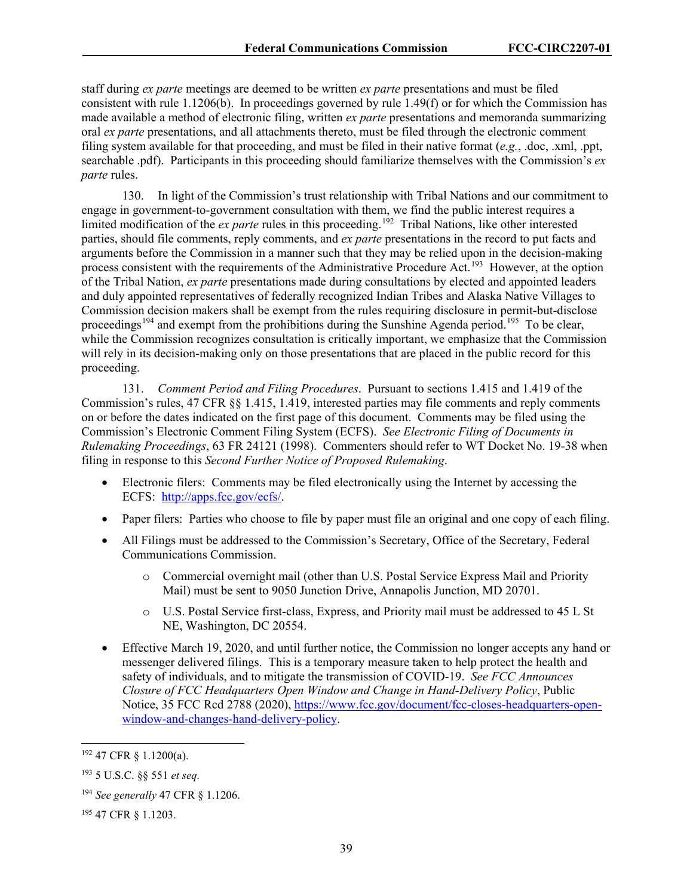staff during *ex parte* meetings are deemed to be written *ex parte* presentations and must be filed consistent with rule 1.1206(b). In proceedings governed by rule 1.49(f) or for which the Commission has made available a method of electronic filing, written *ex parte* presentations and memoranda summarizing oral *ex parte* presentations, and all attachments thereto, must be filed through the electronic comment filing system available for that proceeding, and must be filed in their native format (*e.g.*, .doc, .xml, .ppt, searchable .pdf). Participants in this proceeding should familiarize themselves with the Commission's *ex parte* rules.

130. In light of the Commission's trust relationship with Tribal Nations and our commitment to engage in government-to-government consultation with them, we find the public interest requires a limited modification of the *ex parte* rules in this proceeding.<sup>[192](#page-39-0)</sup> Tribal Nations, like other interested parties, should file comments, reply comments, and *ex parte* presentations in the record to put facts and arguments before the Commission in a manner such that they may be relied upon in the decision-making process consistent with the requirements of the Administrative Procedure Act.<sup>[193](#page-39-1)</sup> However, at the option of the Tribal Nation, *ex parte* presentations made during consultations by elected and appointed leaders and duly appointed representatives of federally recognized Indian Tribes and Alaska Native Villages to Commission decision makers shall be exempt from the rules requiring disclosure in permit-but-disclose proceedings<sup>[194](#page-39-2)</sup> and exempt from the prohibitions during the Sunshine Agenda period.<sup>195</sup> To be clear, while the Commission recognizes consultation is critically important, we emphasize that the Commission will rely in its decision-making only on those presentations that are placed in the public record for this proceeding.

131. *Comment Period and Filing Procedures*. Pursuant to sections 1.415 and 1.419 of the Commission's rules, 47 CFR §§ 1.415, 1.419, interested parties may file comments and reply comments on or before the dates indicated on the first page of this document. Comments may be filed using the Commission's Electronic Comment Filing System (ECFS). *See Electronic Filing of Documents in Rulemaking Proceedings*, 63 FR 24121 (1998). Commenters should refer to WT Docket No. 19-38 when filing in response to this *Second Further Notice of Proposed Rulemaking*.

- Electronic filers: Comments may be filed electronically using the Internet by accessing the ECFS: [http://apps.fcc.gov/ecfs/.](http://apps.fcc.gov/ecfs/)
- Paper filers: Parties who choose to file by paper must file an original and one copy of each filing.
- All Filings must be addressed to the Commission's Secretary, Office of the Secretary, Federal Communications Commission.
	- o Commercial overnight mail (other than U.S. Postal Service Express Mail and Priority Mail) must be sent to 9050 Junction Drive, Annapolis Junction, MD 20701.
	- o U.S. Postal Service first-class, Express, and Priority mail must be addressed to 45 L St NE, Washington, DC 20554.
- Effective March 19, 2020, and until further notice, the Commission no longer accepts any hand or messenger delivered filings. This is a temporary measure taken to help protect the health and safety of individuals, and to mitigate the transmission of COVID-19. *See FCC Announces Closure of FCC Headquarters Open Window and Change in Hand-Delivery Policy*, Public Notice, 35 FCC Rcd 2788 (2020), [https://www.fcc.gov/document/fcc-closes-headquarters-open](https://www.fcc.gov/document/fcc-closes-headquarters-open-window-and-changes-hand-delivery-policy)[window-and-changes-hand-delivery-policy.](https://www.fcc.gov/document/fcc-closes-headquarters-open-window-and-changes-hand-delivery-policy)

<span id="page-39-0"></span><sup>192</sup> 47 CFR § 1.1200(a).

<span id="page-39-1"></span><sup>193</sup> 5 U.S.C. §§ 551 *et seq.*

<span id="page-39-2"></span><sup>194</sup> *See generally* 47 CFR § 1.1206.

<span id="page-39-3"></span><sup>195</sup> 47 CFR § 1.1203.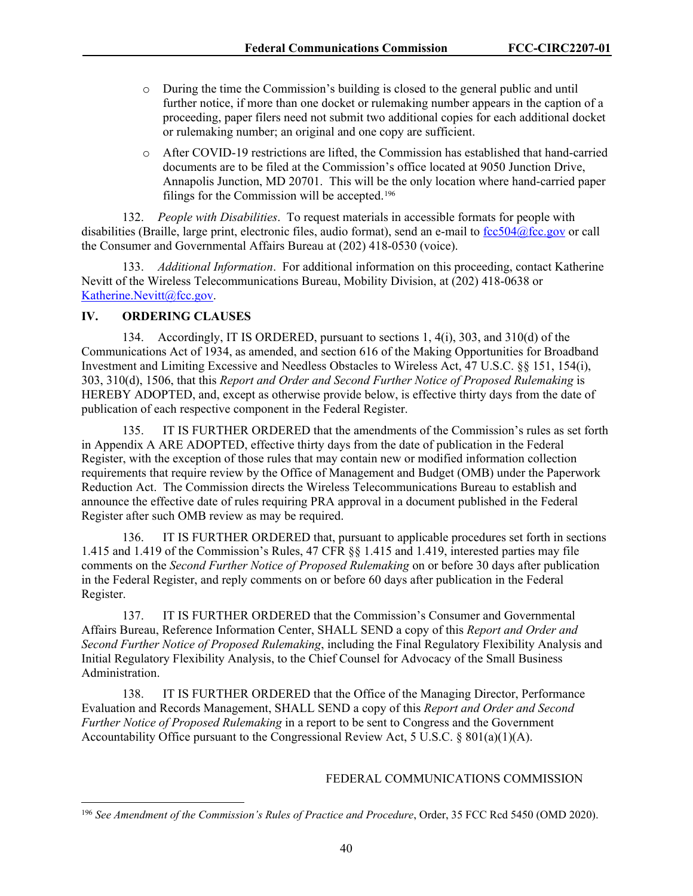- o During the time the Commission's building is closed to the general public and until further notice, if more than one docket or rulemaking number appears in the caption of a proceeding, paper filers need not submit two additional copies for each additional docket or rulemaking number; an original and one copy are sufficient.
- o After COVID-19 restrictions are lifted, the Commission has established that hand-carried documents are to be filed at the Commission's office located at 9050 Junction Drive, Annapolis Junction, MD 20701. This will be the only location where hand-carried paper filings for the Commission will be accepted.<sup>[196](#page-40-0)</sup>

132. *People with Disabilities*. To request materials in accessible formats for people with disabilities (Braille, large print, electronic files, audio format), send an e-mail to  $fc504@fcc.gov$  or call the Consumer and Governmental Affairs Bureau at (202) 418-0530 (voice).

133. *Additional Information*. For additional information on this proceeding, contact Katherine Nevitt of the Wireless Telecommunications Bureau, Mobility Division, at (202) 418-0638 or [Katherine.Nevitt@fcc.gov.](mailto:Katherine.Nevitt@fcc.gov)

## **IV. ORDERING CLAUSES**

134. Accordingly, IT IS ORDERED, pursuant to sections 1, 4(i), 303, and 310(d) of the Communications Act of 1934, as amended, and section 616 of the Making Opportunities for Broadband Investment and Limiting Excessive and Needless Obstacles to Wireless Act, 47 U.S.C. §§ 151, 154(i), 303, 310(d), 1506, that this *Report and Order and Second Further Notice of Proposed Rulemaking* is HEREBY ADOPTED, and, except as otherwise provide below, is effective thirty days from the date of publication of each respective component in the Federal Register.

135. IT IS FURTHER ORDERED that the amendments of the Commission's rules as set forth in Appendix A ARE ADOPTED, effective thirty days from the date of publication in the Federal Register, with the exception of those rules that may contain new or modified information collection requirements that require review by the Office of Management and Budget (OMB) under the Paperwork Reduction Act. The Commission directs the Wireless Telecommunications Bureau to establish and announce the effective date of rules requiring PRA approval in a document published in the Federal Register after such OMB review as may be required.

136. IT IS FURTHER ORDERED that, pursuant to applicable procedures set forth in sections 1.415 and 1.419 of the Commission's Rules, 47 CFR §§ 1.415 and 1.419, interested parties may file comments on the *Second Further Notice of Proposed Rulemaking* on or before 30 days after publication in the Federal Register, and reply comments on or before 60 days after publication in the Federal Register.

137. IT IS FURTHER ORDERED that the Commission's Consumer and Governmental Affairs Bureau, Reference Information Center, SHALL SEND a copy of this *Report and Order and Second Further Notice of Proposed Rulemaking*, including the Final Regulatory Flexibility Analysis and Initial Regulatory Flexibility Analysis, to the Chief Counsel for Advocacy of the Small Business Administration.

138. IT IS FURTHER ORDERED that the Office of the Managing Director, Performance Evaluation and Records Management, SHALL SEND a copy of this *Report and Order and Second Further Notice of Proposed Rulemaking* in a report to be sent to Congress and the Government Accountability Office pursuant to the Congressional Review Act, 5 U.S.C. § 801(a)(1)(A).

### FEDERAL COMMUNICATIONS COMMISSION

<span id="page-40-0"></span><sup>196</sup> *See Amendment of the Commission's Rules of Practice and Procedure*, Order, 35 FCC Rcd 5450 (OMD 2020).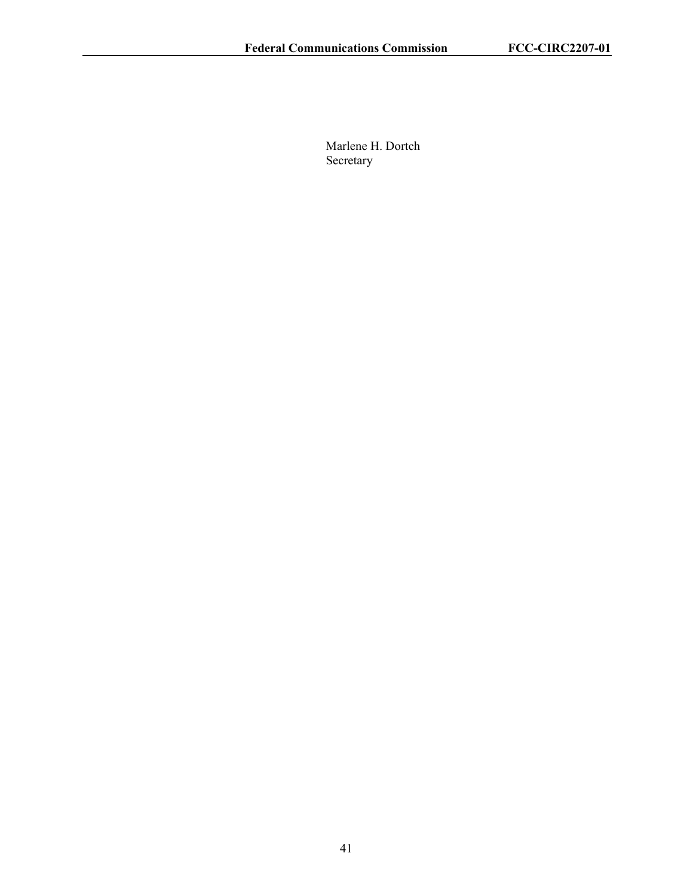Marlene H. Dortch Secretary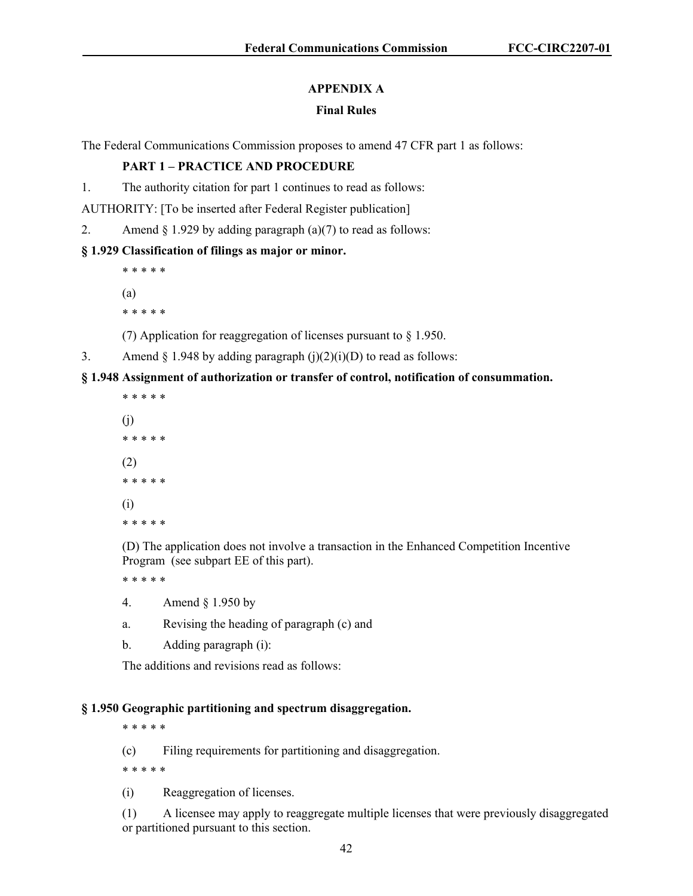## **APPENDIX A**

#### **Final Rules**

The Federal Communications Commission proposes to amend 47 CFR part 1 as follows:

## **PART 1 – PRACTICE AND PROCEDURE**

1. The authority citation for part 1 continues to read as follows:

AUTHORITY: [To be inserted after Federal Register publication]

2. Amend  $\S 1.929$  by adding paragraph (a)(7) to read as follows:

#### **§ 1.929 Classification of filings as major or minor.**

\* \* \* \* \* (a)

\* \* \* \* \*

(7) Application for reaggregation of licenses pursuant to § 1.950.

3. Amend  $\S 1.948$  by adding paragraph (j)(2)(i)(D) to read as follows:

#### **§ 1.948 Assignment of authorization or transfer of control, notification of consummation.**

\* \* \* \* \* (j) \* \* \* \* \* (2) \* \* \* \* \* (i) \* \* \* \* \*

(D) The application does not involve a transaction in the Enhanced Competition Incentive Program (see subpart EE of this part).

\* \* \* \* \*

- 4. Amend § 1.950 by
- a. Revising the heading of paragraph (c) and
- b. Adding paragraph (i):

The additions and revisions read as follows:

#### **§ 1.950 Geographic partitioning and spectrum disaggregation.**

\* \* \* \* \*

(c) Filing requirements for partitioning and disaggregation.

\* \* \* \* \*

(i) Reaggregation of licenses.

(1) A licensee may apply to reaggregate multiple licenses that were previously disaggregated or partitioned pursuant to this section.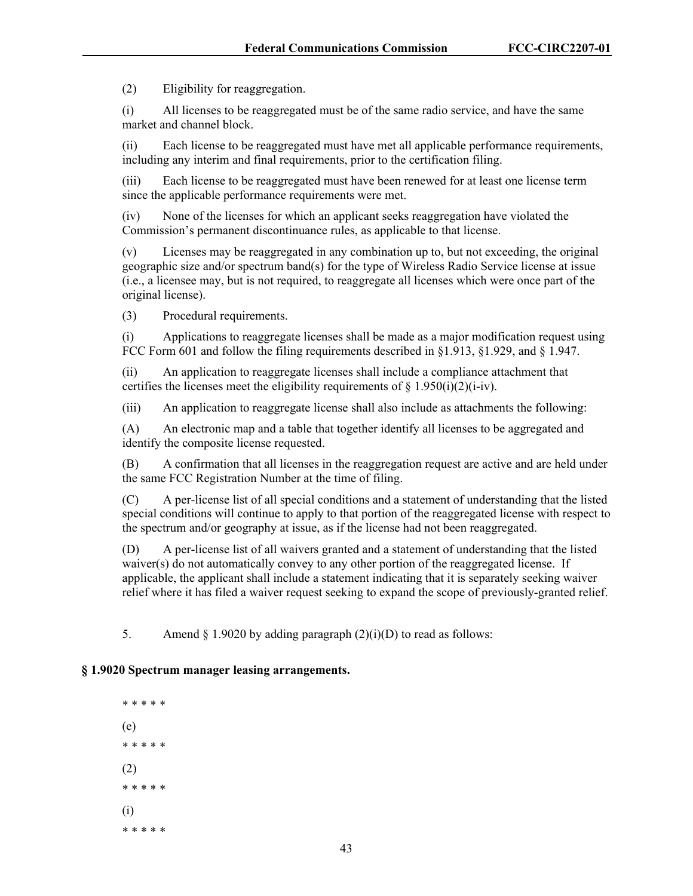(2) Eligibility for reaggregation.

(i) All licenses to be reaggregated must be of the same radio service, and have the same market and channel block.

(ii) Each license to be reaggregated must have met all applicable performance requirements, including any interim and final requirements, prior to the certification filing.

(iii) Each license to be reaggregated must have been renewed for at least one license term since the applicable performance requirements were met.

(iv) None of the licenses for which an applicant seeks reaggregation have violated the Commission's permanent discontinuance rules, as applicable to that license.

(v) Licenses may be reaggregated in any combination up to, but not exceeding, the original geographic size and/or spectrum band(s) for the type of Wireless Radio Service license at issue (i.e., a licensee may, but is not required, to reaggregate all licenses which were once part of the original license).

(3) Procedural requirements.

(i) Applications to reaggregate licenses shall be made as a major modification request using FCC Form 601 and follow the filing requirements described in §1.913, §1.929, and § 1.947.

(ii) An application to reaggregate licenses shall include a compliance attachment that certifies the licenses meet the eligibility requirements of  $\S$  1.950(i)(2)(i-iv).

(iii) An application to reaggregate license shall also include as attachments the following:

(A) An electronic map and a table that together identify all licenses to be aggregated and identify the composite license requested.

(B) A confirmation that all licenses in the reaggregation request are active and are held under the same FCC Registration Number at the time of filing.

(C) A per-license list of all special conditions and a statement of understanding that the listed special conditions will continue to apply to that portion of the reaggregated license with respect to the spectrum and/or geography at issue, as if the license had not been reaggregated.

(D) A per-license list of all waivers granted and a statement of understanding that the listed waiver(s) do not automatically convey to any other portion of the reaggregated license. If applicable, the applicant shall include a statement indicating that it is separately seeking waiver relief where it has filed a waiver request seeking to expand the scope of previously-granted relief.

5. Amend  $\S 1.9020$  by adding paragraph  $(2)(i)(D)$  to read as follows:

#### **§ 1.9020 Spectrum manager leasing arrangements.**

\* \* \* \* \* (e) \* \* \* \* \* (2) \* \* \* \* \* (i) \* \* \* \* \*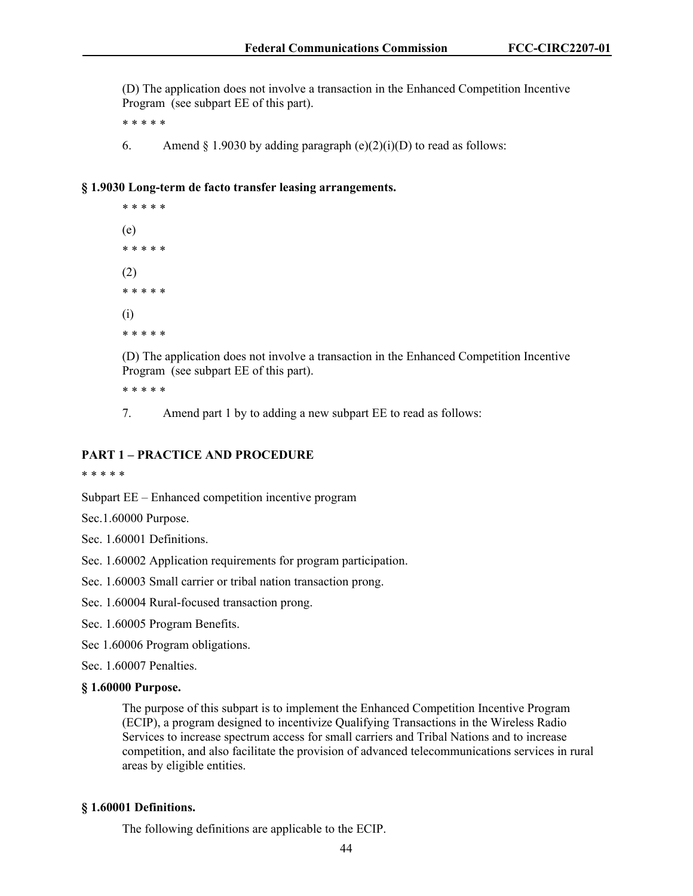(D) The application does not involve a transaction in the Enhanced Competition Incentive Program (see subpart EE of this part).

\* \* \* \* \*

6. Amend  $\S 1.9030$  by adding paragraph  $(e)(2)(i)(D)$  to read as follows:

**§ 1.9030 Long-term de facto transfer leasing arrangements.**

```
* * * * *
(e)
* * * * *
(2)
* * * * * 
(i)
* * * * *
```
(D) The application does not involve a transaction in the Enhanced Competition Incentive Program (see subpart EE of this part).

\* \* \* \* \*

7. Amend part 1 by to adding a new subpart EE to read as follows:

#### **PART 1 – PRACTICE AND PROCEDURE**

\* \* \* \* \*

Subpart EE – Enhanced competition incentive program

Sec.1.60000 Purpose.

Sec. 1.60001 Definitions.

Sec. 1.60002 Application requirements for program participation.

Sec. 1.60003 Small carrier or tribal nation transaction prong.

Sec. 1.60004 Rural-focused transaction prong.

Sec. 1.60005 Program Benefits.

Sec 1.60006 Program obligations.

Sec. 1.60007 Penalties.

#### **§ 1.60000 Purpose.**

The purpose of this subpart is to implement the Enhanced Competition Incentive Program (ECIP), a program designed to incentivize Qualifying Transactions in the Wireless Radio Services to increase spectrum access for small carriers and Tribal Nations and to increase competition, and also facilitate the provision of advanced telecommunications services in rural areas by eligible entities.

#### **§ 1.60001 Definitions.**

The following definitions are applicable to the ECIP.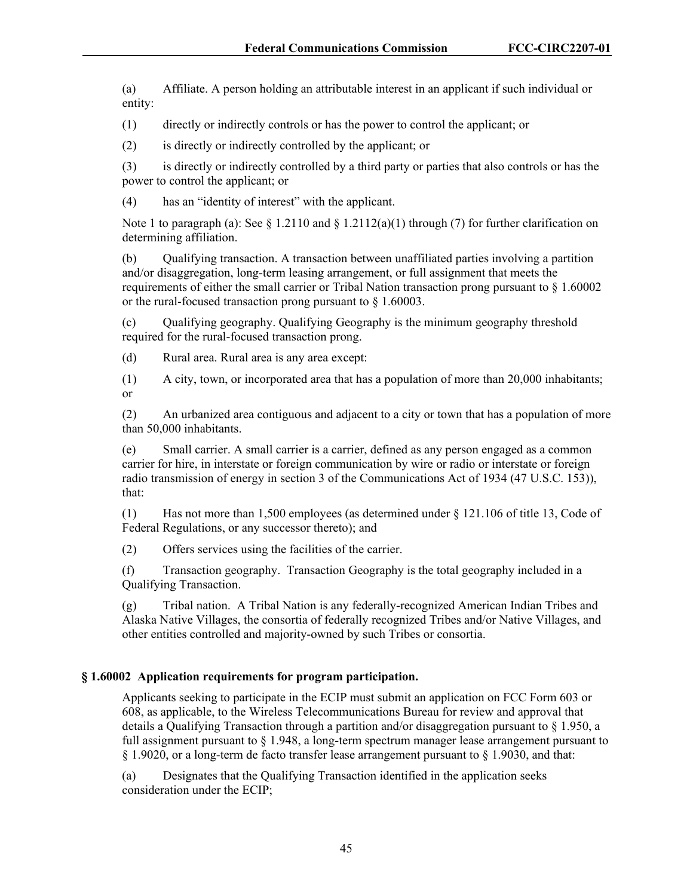(a) Affiliate. A person holding an attributable interest in an applicant if such individual or entity:

(1) directly or indirectly controls or has the power to control the applicant; or

(2) is directly or indirectly controlled by the applicant; or

(3) is directly or indirectly controlled by a third party or parties that also controls or has the power to control the applicant; or

(4) has an "identity of interest" with the applicant.

Note 1 to paragraph (a): See § 1.2110 and § 1.2112(a)(1) through (7) for further clarification on determining affiliation.

(b) Qualifying transaction. A transaction between unaffiliated parties involving a partition and/or disaggregation, long-term leasing arrangement, or full assignment that meets the requirements of either the small carrier or Tribal Nation transaction prong pursuant to § 1.60002 or the rural-focused transaction prong pursuant to § 1.60003.

(c) Qualifying geography. Qualifying Geography is the minimum geography threshold required for the rural-focused transaction prong.

(d) Rural area. Rural area is any area except:

(1) A city, town, or incorporated area that has a population of more than 20,000 inhabitants; or

(2) An urbanized area contiguous and adjacent to a city or town that has a population of more than 50,000 inhabitants.

(e) Small carrier. A small carrier is a carrier, defined as any person engaged as a common carrier for hire, in interstate or foreign communication by wire or radio or interstate or foreign radio transmission of energy in section 3 of the Communications Act of 1934 (47 U.S.C. 153)), that:

(1) Has not more than 1,500 employees (as determined under § 121.106 of title 13, Code of Federal Regulations, or any successor thereto); and

(2) Offers services using the facilities of the carrier.

(f) Transaction geography. Transaction Geography is the total geography included in a Qualifying Transaction.

(g) Tribal nation. A Tribal Nation is any federally-recognized American Indian Tribes and Alaska Native Villages, the consortia of federally recognized Tribes and/or Native Villages, and other entities controlled and majority-owned by such Tribes or consortia.

#### **§ 1.60002 Application requirements for program participation.**

Applicants seeking to participate in the ECIP must submit an application on FCC Form 603 or 608, as applicable, to the Wireless Telecommunications Bureau for review and approval that details a Qualifying Transaction through a partition and/or disaggregation pursuant to § 1.950, a full assignment pursuant to  $\S$  1.948, a long-term spectrum manager lease arrangement pursuant to § 1.9020, or a long-term de facto transfer lease arrangement pursuant to § 1.9030, and that:

(a) Designates that the Qualifying Transaction identified in the application seeks consideration under the ECIP;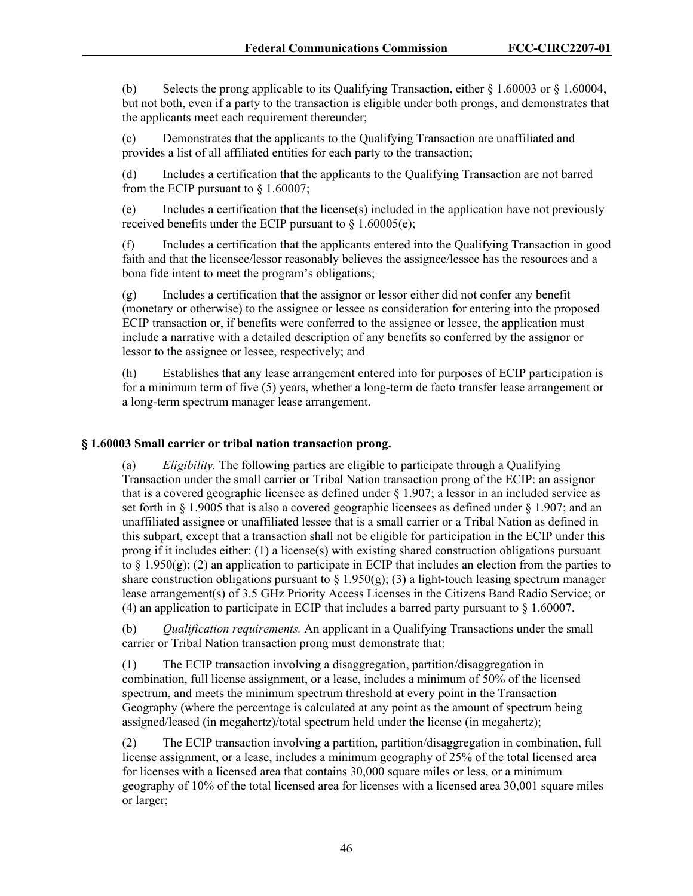(b) Selects the prong applicable to its Qualifying Transaction, either  $\S 1.60003$  or  $\S 1.60004$ , but not both, even if a party to the transaction is eligible under both prongs, and demonstrates that the applicants meet each requirement thereunder;

(c) Demonstrates that the applicants to the Qualifying Transaction are unaffiliated and provides a list of all affiliated entities for each party to the transaction;

(d) Includes a certification that the applicants to the Qualifying Transaction are not barred from the ECIP pursuant to  $\S$  1.60007;

(e) Includes a certification that the license(s) included in the application have not previously received benefits under the ECIP pursuant to  $\S$  1.60005(e);

(f) Includes a certification that the applicants entered into the Qualifying Transaction in good faith and that the licensee/lessor reasonably believes the assignee/lessee has the resources and a bona fide intent to meet the program's obligations;

(g) Includes a certification that the assignor or lessor either did not confer any benefit (monetary or otherwise) to the assignee or lessee as consideration for entering into the proposed ECIP transaction or, if benefits were conferred to the assignee or lessee, the application must include a narrative with a detailed description of any benefits so conferred by the assignor or lessor to the assignee or lessee, respectively; and

(h) Establishes that any lease arrangement entered into for purposes of ECIP participation is for a minimum term of five (5) years, whether a long-term de facto transfer lease arrangement or a long-term spectrum manager lease arrangement.

## **§ 1.60003 Small carrier or tribal nation transaction prong.**

(a) *Eligibility.* The following parties are eligible to participate through a Qualifying Transaction under the small carrier or Tribal Nation transaction prong of the ECIP: an assignor that is a covered geographic licensee as defined under § 1.907; a lessor in an included service as set forth in  $\S$  1.9005 that is also a covered geographic licensees as defined under  $\S$  1.907; and an unaffiliated assignee or unaffiliated lessee that is a small carrier or a Tribal Nation as defined in this subpart, except that a transaction shall not be eligible for participation in the ECIP under this prong if it includes either: (1) a license(s) with existing shared construction obligations pursuant to  $\S$  1.950(g); (2) an application to participate in ECIP that includes an election from the parties to share construction obligations pursuant to  $\S 1.950(g)$ ; (3) a light-touch leasing spectrum manager lease arrangement(s) of 3.5 GHz Priority Access Licenses in the Citizens Band Radio Service; or (4) an application to participate in ECIP that includes a barred party pursuant to  $\S 1.60007$ .

(b) *Qualification requirements.* An applicant in a Qualifying Transactions under the small carrier or Tribal Nation transaction prong must demonstrate that:

(1) The ECIP transaction involving a disaggregation, partition/disaggregation in combination, full license assignment, or a lease, includes a minimum of 50% of the licensed spectrum, and meets the minimum spectrum threshold at every point in the Transaction Geography (where the percentage is calculated at any point as the amount of spectrum being assigned/leased (in megahertz)/total spectrum held under the license (in megahertz);

(2) The ECIP transaction involving a partition, partition/disaggregation in combination, full license assignment, or a lease, includes a minimum geography of 25% of the total licensed area for licenses with a licensed area that contains 30,000 square miles or less, or a minimum geography of 10% of the total licensed area for licenses with a licensed area 30,001 square miles or larger;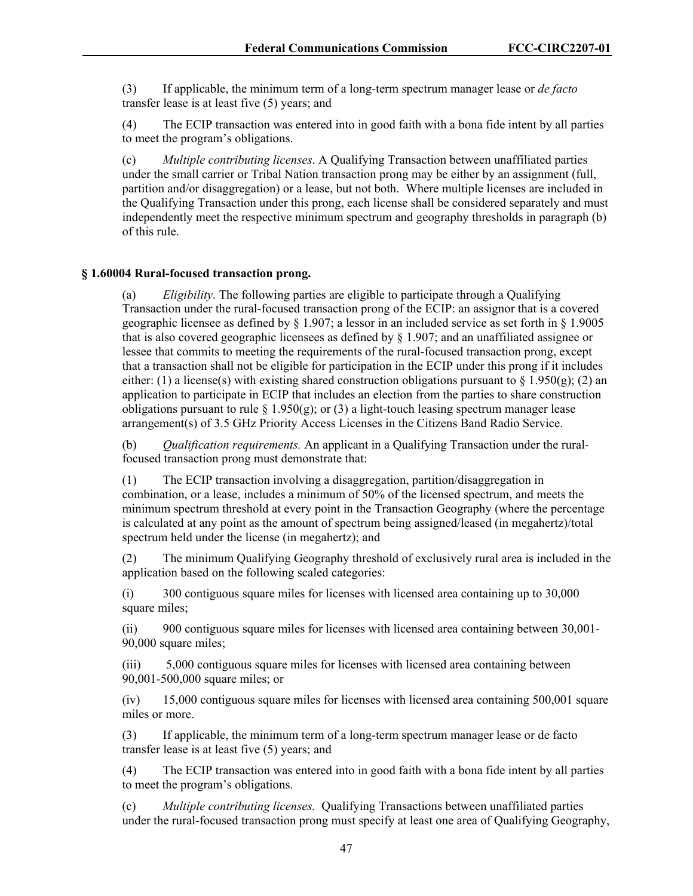(3) If applicable, the minimum term of a long-term spectrum manager lease or *de facto* transfer lease is at least five (5) years; and

(4) The ECIP transaction was entered into in good faith with a bona fide intent by all parties to meet the program's obligations.

(c) *Multiple contributing licenses*. A Qualifying Transaction between unaffiliated parties under the small carrier or Tribal Nation transaction prong may be either by an assignment (full, partition and/or disaggregation) or a lease, but not both. Where multiple licenses are included in the Qualifying Transaction under this prong, each license shall be considered separately and must independently meet the respective minimum spectrum and geography thresholds in paragraph (b) of this rule.

## **§ 1.60004 Rural-focused transaction prong.**

(a) *Eligibility*. The following parties are eligible to participate through a Qualifying Transaction under the rural-focused transaction prong of the ECIP: an assignor that is a covered geographic licensee as defined by § 1.907; a lessor in an included service as set forth in § 1.9005 that is also covered geographic licensees as defined by § 1.907; and an unaffiliated assignee or lessee that commits to meeting the requirements of the rural-focused transaction prong, except that a transaction shall not be eligible for participation in the ECIP under this prong if it includes either: (1) a license(s) with existing shared construction obligations pursuant to  $\S 1.950(g)$ ; (2) an application to participate in ECIP that includes an election from the parties to share construction obligations pursuant to rule  $\S 1.950(g)$ ; or (3) a light-touch leasing spectrum manager lease arrangement(s) of 3.5 GHz Priority Access Licenses in the Citizens Band Radio Service.

(b) *Qualification requirements.* An applicant in a Qualifying Transaction under the ruralfocused transaction prong must demonstrate that:

(1) The ECIP transaction involving a disaggregation, partition/disaggregation in combination, or a lease, includes a minimum of 50% of the licensed spectrum, and meets the minimum spectrum threshold at every point in the Transaction Geography (where the percentage is calculated at any point as the amount of spectrum being assigned/leased (in megahertz)/total spectrum held under the license (in megahertz); and

(2) The minimum Qualifying Geography threshold of exclusively rural area is included in the application based on the following scaled categories:

(i) 300 contiguous square miles for licenses with licensed area containing up to 30,000 square miles;

(ii) 900 contiguous square miles for licenses with licensed area containing between 30,001- 90,000 square miles;

(iii) 5,000 contiguous square miles for licenses with licensed area containing between 90,001-500,000 square miles; or

(iv) 15,000 contiguous square miles for licenses with licensed area containing 500,001 square miles or more.

(3) If applicable, the minimum term of a long-term spectrum manager lease or de facto transfer lease is at least five (5) years; and

(4) The ECIP transaction was entered into in good faith with a bona fide intent by all parties to meet the program's obligations.

(c) *Multiple contributing licenses.* Qualifying Transactions between unaffiliated parties under the rural-focused transaction prong must specify at least one area of Qualifying Geography,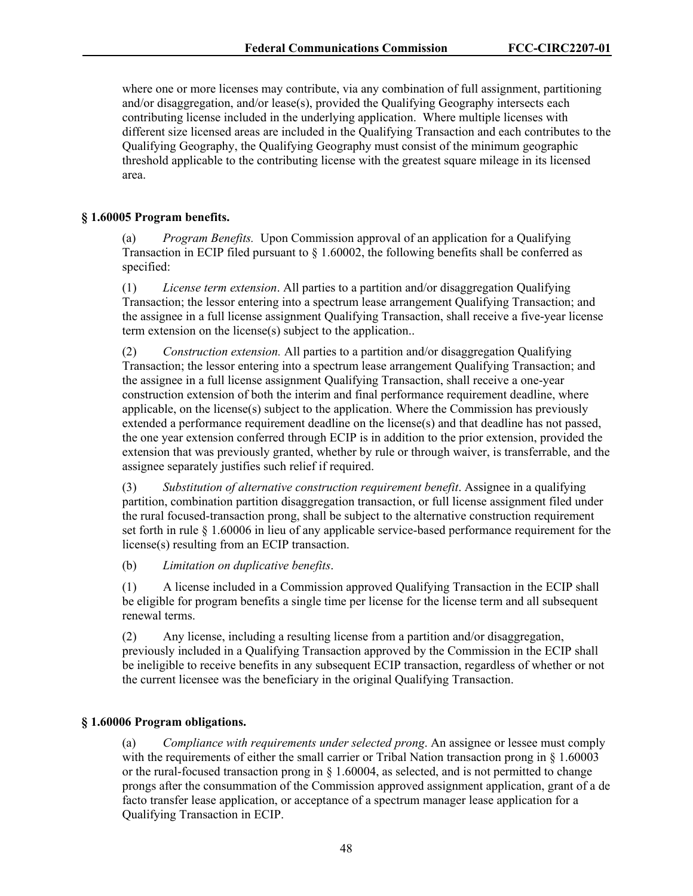where one or more licenses may contribute, via any combination of full assignment, partitioning and/or disaggregation, and/or lease(s), provided the Qualifying Geography intersects each contributing license included in the underlying application. Where multiple licenses with different size licensed areas are included in the Qualifying Transaction and each contributes to the Qualifying Geography, the Qualifying Geography must consist of the minimum geographic threshold applicable to the contributing license with the greatest square mileage in its licensed area.

#### **§ 1.60005 Program benefits.**

(a) *Program Benefits.* Upon Commission approval of an application for a Qualifying Transaction in ECIP filed pursuant to  $\S$  1.60002, the following benefits shall be conferred as specified:

(1) *License term extension*. All parties to a partition and/or disaggregation Qualifying Transaction; the lessor entering into a spectrum lease arrangement Qualifying Transaction; and the assignee in a full license assignment Qualifying Transaction, shall receive a five-year license term extension on the license(s) subject to the application..

(2) *Construction extension.* All parties to a partition and/or disaggregation Qualifying Transaction; the lessor entering into a spectrum lease arrangement Qualifying Transaction; and the assignee in a full license assignment Qualifying Transaction, shall receive a one-year construction extension of both the interim and final performance requirement deadline, where applicable, on the license(s) subject to the application. Where the Commission has previously extended a performance requirement deadline on the license(s) and that deadline has not passed, the one year extension conferred through ECIP is in addition to the prior extension, provided the extension that was previously granted, whether by rule or through waiver, is transferrable, and the assignee separately justifies such relief if required.

(3) *Substitution of alternative construction requirement benefit*. Assignee in a qualifying partition, combination partition disaggregation transaction, or full license assignment filed under the rural focused-transaction prong, shall be subject to the alternative construction requirement set forth in rule § 1.60006 in lieu of any applicable service-based performance requirement for the license(s) resulting from an ECIP transaction.

(b) *Limitation on duplicative benefits*.

(1) A license included in a Commission approved Qualifying Transaction in the ECIP shall be eligible for program benefits a single time per license for the license term and all subsequent renewal terms.

(2) Any license, including a resulting license from a partition and/or disaggregation, previously included in a Qualifying Transaction approved by the Commission in the ECIP shall be ineligible to receive benefits in any subsequent ECIP transaction, regardless of whether or not the current licensee was the beneficiary in the original Qualifying Transaction.

#### **§ 1.60006 Program obligations.**

(a) *Compliance with requirements under selected prong*. An assignee or lessee must comply with the requirements of either the small carrier or Tribal Nation transaction prong in § 1.60003 or the rural-focused transaction prong in § 1.60004, as selected, and is not permitted to change prongs after the consummation of the Commission approved assignment application, grant of a de facto transfer lease application, or acceptance of a spectrum manager lease application for a Qualifying Transaction in ECIP.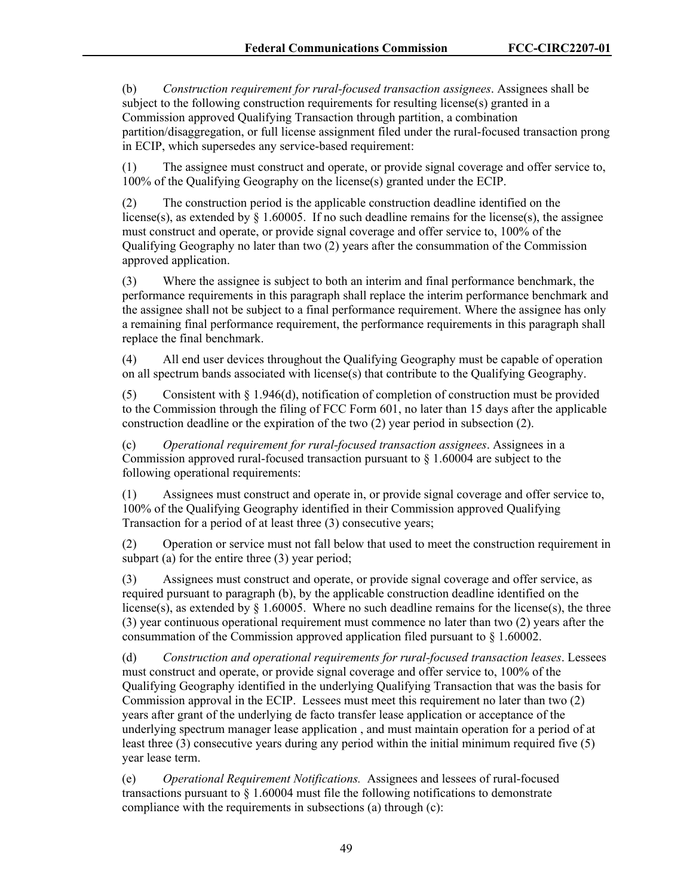(b) *Construction requirement for rural-focused transaction assignees*. Assignees shall be subject to the following construction requirements for resulting license(s) granted in a Commission approved Qualifying Transaction through partition, a combination partition/disaggregation, or full license assignment filed under the rural-focused transaction prong in ECIP, which supersedes any service-based requirement:

(1) The assignee must construct and operate, or provide signal coverage and offer service to, 100% of the Qualifying Geography on the license(s) granted under the ECIP.

(2) The construction period is the applicable construction deadline identified on the license(s), as extended by  $\S$  1.60005. If no such deadline remains for the license(s), the assignee must construct and operate, or provide signal coverage and offer service to, 100% of the Qualifying Geography no later than two (2) years after the consummation of the Commission approved application.

(3) Where the assignee is subject to both an interim and final performance benchmark, the performance requirements in this paragraph shall replace the interim performance benchmark and the assignee shall not be subject to a final performance requirement. Where the assignee has only a remaining final performance requirement, the performance requirements in this paragraph shall replace the final benchmark.

(4) All end user devices throughout the Qualifying Geography must be capable of operation on all spectrum bands associated with license(s) that contribute to the Qualifying Geography.

(5) Consistent with  $\S 1.946(d)$ , notification of completion of construction must be provided to the Commission through the filing of FCC Form 601, no later than 15 days after the applicable construction deadline or the expiration of the two (2) year period in subsection (2).

(c) *Operational requirement for rural-focused transaction assignees*. Assignees in a Commission approved rural-focused transaction pursuant to  $\S 1.60004$  are subject to the following operational requirements:

(1) Assignees must construct and operate in, or provide signal coverage and offer service to, 100% of the Qualifying Geography identified in their Commission approved Qualifying Transaction for a period of at least three (3) consecutive years;

(2) Operation or service must not fall below that used to meet the construction requirement in subpart (a) for the entire three (3) year period;

(3) Assignees must construct and operate, or provide signal coverage and offer service, as required pursuant to paragraph (b), by the applicable construction deadline identified on the license(s), as extended by § 1.60005. Where no such deadline remains for the license(s), the three (3) year continuous operational requirement must commence no later than two (2) years after the consummation of the Commission approved application filed pursuant to § 1.60002.

(d) *Construction and operational requirements for rural-focused transaction leases*. Lessees must construct and operate, or provide signal coverage and offer service to, 100% of the Qualifying Geography identified in the underlying Qualifying Transaction that was the basis for Commission approval in the ECIP. Lessees must meet this requirement no later than two (2) years after grant of the underlying de facto transfer lease application or acceptance of the underlying spectrum manager lease application , and must maintain operation for a period of at least three (3) consecutive years during any period within the initial minimum required five (5) year lease term.

(e) *Operational Requirement Notifications.* Assignees and lessees of rural-focused transactions pursuant to  $\S 1.60004$  must file the following notifications to demonstrate compliance with the requirements in subsections (a) through (c):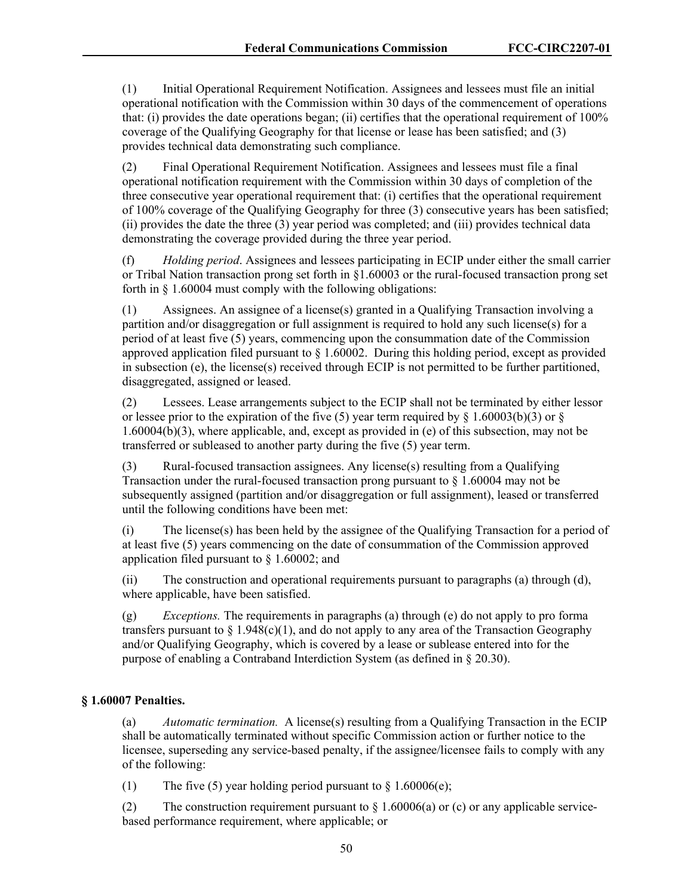(1) Initial Operational Requirement Notification. Assignees and lessees must file an initial operational notification with the Commission within 30 days of the commencement of operations that: (i) provides the date operations began; (ii) certifies that the operational requirement of 100% coverage of the Qualifying Geography for that license or lease has been satisfied; and (3) provides technical data demonstrating such compliance.

(2) Final Operational Requirement Notification. Assignees and lessees must file a final operational notification requirement with the Commission within 30 days of completion of the three consecutive year operational requirement that: (i) certifies that the operational requirement of 100% coverage of the Qualifying Geography for three (3) consecutive years has been satisfied; (ii) provides the date the three (3) year period was completed; and (iii) provides technical data demonstrating the coverage provided during the three year period.

(f) *Holding period*. Assignees and lessees participating in ECIP under either the small carrier or Tribal Nation transaction prong set forth in §1.60003 or the rural-focused transaction prong set forth in § 1.60004 must comply with the following obligations:

(1) Assignees. An assignee of a license(s) granted in a Qualifying Transaction involving a partition and/or disaggregation or full assignment is required to hold any such license(s) for a period of at least five (5) years, commencing upon the consummation date of the Commission approved application filed pursuant to § 1.60002. During this holding period, except as provided in subsection (e), the license(s) received through ECIP is not permitted to be further partitioned, disaggregated, assigned or leased.

(2) Lessees. Lease arrangements subject to the ECIP shall not be terminated by either lessor or lessee prior to the expiration of the five (5) year term required by  $\S$  1.60003(b)(3) or  $\S$ 1.60004(b)(3), where applicable, and, except as provided in (e) of this subsection, may not be transferred or subleased to another party during the five (5) year term.

(3) Rural-focused transaction assignees. Any license(s) resulting from a Qualifying Transaction under the rural-focused transaction prong pursuant to  $\delta$  1.60004 may not be subsequently assigned (partition and/or disaggregation or full assignment), leased or transferred until the following conditions have been met:

(i) The license(s) has been held by the assignee of the Qualifying Transaction for a period of at least five (5) years commencing on the date of consummation of the Commission approved application filed pursuant to § 1.60002; and

(ii) The construction and operational requirements pursuant to paragraphs (a) through (d), where applicable, have been satisfied.

(g) *Exceptions.* The requirements in paragraphs (a) through (e) do not apply to pro forma transfers pursuant to  $\S 1.948(c)(1)$ , and do not apply to any area of the Transaction Geography and/or Qualifying Geography, which is covered by a lease or sublease entered into for the purpose of enabling a Contraband Interdiction System (as defined in § 20.30).

# **§ 1.60007 Penalties.**

(a) *Automatic termination.* A license(s) resulting from a Qualifying Transaction in the ECIP shall be automatically terminated without specific Commission action or further notice to the licensee, superseding any service-based penalty, if the assignee/licensee fails to comply with any of the following:

(1) The five (5) year holding period pursuant to  $\S 1.60006(e)$ ;

(2) The construction requirement pursuant to  $\S 1.60006(a)$  or (c) or any applicable servicebased performance requirement, where applicable; or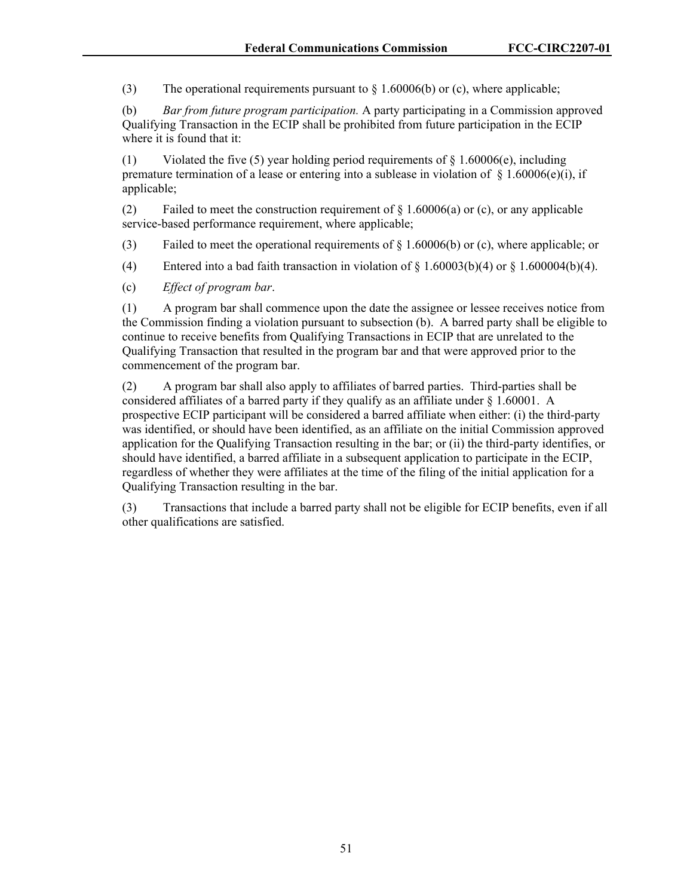(3) The operational requirements pursuant to  $\S 1.60006(b)$  or (c), where applicable;

(b) *Bar from future program participation.* A party participating in a Commission approved Qualifying Transaction in the ECIP shall be prohibited from future participation in the ECIP where it is found that it:

(1) Violated the five (5) year holding period requirements of  $\S$  1.60006(e), including premature termination of a lease or entering into a sublease in violation of  $\S$  1.60006(e)(i), if applicable;

(2) Failed to meet the construction requirement of  $\S 1.60006(a)$  or (c), or any applicable service-based performance requirement, where applicable;

(3) Failed to meet the operational requirements of  $\S$  1.60006(b) or (c), where applicable; or

(4) Entered into a bad faith transaction in violation of  $\S$  1.60003(b)(4) or  $\S$  1.600004(b)(4).

(c) *Effect of program bar*.

(1) A program bar shall commence upon the date the assignee or lessee receives notice from the Commission finding a violation pursuant to subsection (b). A barred party shall be eligible to continue to receive benefits from Qualifying Transactions in ECIP that are unrelated to the Qualifying Transaction that resulted in the program bar and that were approved prior to the commencement of the program bar.

(2) A program bar shall also apply to affiliates of barred parties. Third-parties shall be considered affiliates of a barred party if they qualify as an affiliate under  $\S$  1.60001. A prospective ECIP participant will be considered a barred affiliate when either: (i) the third-party was identified, or should have been identified, as an affiliate on the initial Commission approved application for the Qualifying Transaction resulting in the bar; or (ii) the third-party identifies, or should have identified, a barred affiliate in a subsequent application to participate in the ECIP, regardless of whether they were affiliates at the time of the filing of the initial application for a Qualifying Transaction resulting in the bar.

(3) Transactions that include a barred party shall not be eligible for ECIP benefits, even if all other qualifications are satisfied.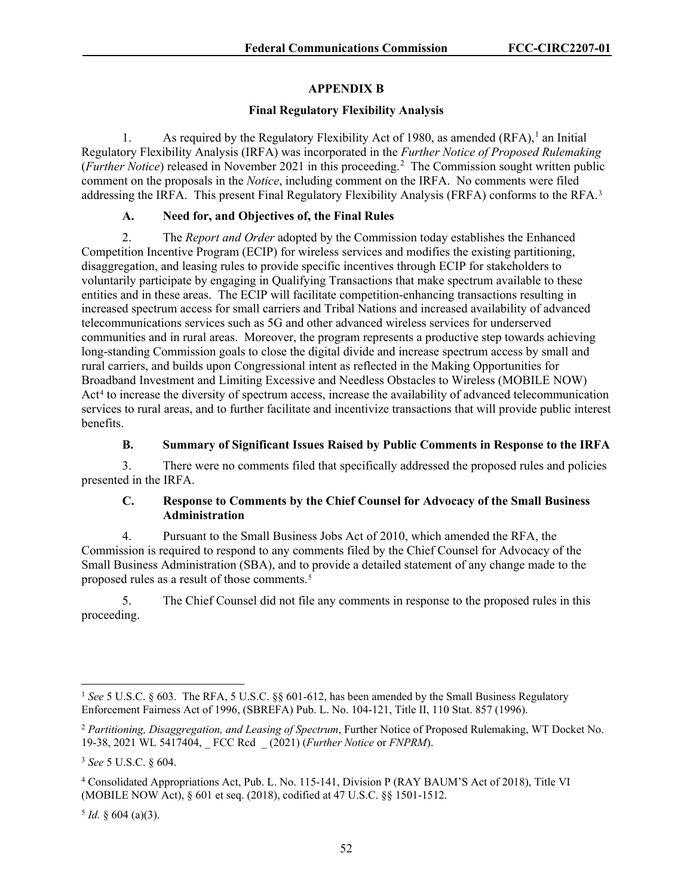# **APPENDIX B**

## **Final Regulatory Flexibility Analysis**

[1](#page-52-0). As required by the Regulatory Flexibility Act of 1980, as amended  $(RFA)$ ,<sup>1</sup> an Initial Regulatory Flexibility Analysis (IRFA) was incorporated in the *Further Notice of Proposed Rulemaking* (*Further Notice*) released in November [2](#page-52-1)021 in this proceeding.<sup>2</sup> The Commission sought written public comment on the proposals in the *Notice*, including comment on the IRFA. No comments were filed addressing the IRFA. This present Final Regulatory Flexibility Analysis (FRFA) conforms to the RFA.[3](#page-52-2)

# **A. Need for, and Objectives of, the Final Rules**

2. The *Report and Order* adopted by the Commission today establishes the Enhanced Competition Incentive Program (ECIP) for wireless services and modifies the existing partitioning, disaggregation, and leasing rules to provide specific incentives through ECIP for stakeholders to voluntarily participate by engaging in Qualifying Transactions that make spectrum available to these entities and in these areas. The ECIP will facilitate competition-enhancing transactions resulting in increased spectrum access for small carriers and Tribal Nations and increased availability of advanced telecommunications services such as 5G and other advanced wireless services for underserved communities and in rural areas. Moreover, the program represents a productive step towards achieving long-standing Commission goals to close the digital divide and increase spectrum access by small and rural carriers, and builds upon Congressional intent as reflected in the Making Opportunities for Broadband Investment and Limiting Excessive and Needless Obstacles to Wireless (MOBILE NOW) Act<sup>[4](#page-52-3)</sup> to increase the diversity of spectrum access, increase the availability of advanced telecommunication services to rural areas, and to further facilitate and incentivize transactions that will provide public interest benefits.

# **B. Summary of Significant Issues Raised by Public Comments in Response to the IRFA**

3. There were no comments filed that specifically addressed the proposed rules and policies presented in the IRFA.

## **C. Response to Comments by the Chief Counsel for Advocacy of the Small Business Administration**

4. Pursuant to the Small Business Jobs Act of 2010, which amended the RFA, the Commission is required to respond to any comments filed by the Chief Counsel for Advocacy of the Small Business Administration (SBA), and to provide a detailed statement of any change made to the proposed rules as a result of those comments.<sup>[5](#page-52-4)</sup>

5. The Chief Counsel did not file any comments in response to the proposed rules in this proceeding.

<span id="page-52-0"></span><sup>&</sup>lt;sup>1</sup> See 5 U.S.C. § 603. The RFA, 5 U.S.C. §§ 601-612, has been amended by the Small Business Regulatory Enforcement Fairness Act of 1996, (SBREFA) Pub. L. No. 104-121, Title II, 110 Stat. 857 (1996).

<span id="page-52-1"></span><sup>2</sup> *Partitioning, Disaggregation, and Leasing of Spectrum*, Further Notice of Proposed Rulemaking, WT Docket No. 19-38, 2021 WL 5417404, \_ FCC Rcd \_ (2021) (*Further Notice* or *FNPRM*).

<span id="page-52-2"></span><sup>3</sup> *See* 5 U.S.C. § 604.

<span id="page-52-3"></span><sup>4</sup> Consolidated Appropriations Act, Pub. L. No. 115-141, Division P (RAY BAUM'S Act of 2018), Title VI (MOBILE NOW Act), § 601 et seq. (2018), codified at 47 U.S.C. §§ 1501-1512.

<span id="page-52-4"></span> $5$  *Id.* § 604 (a)(3).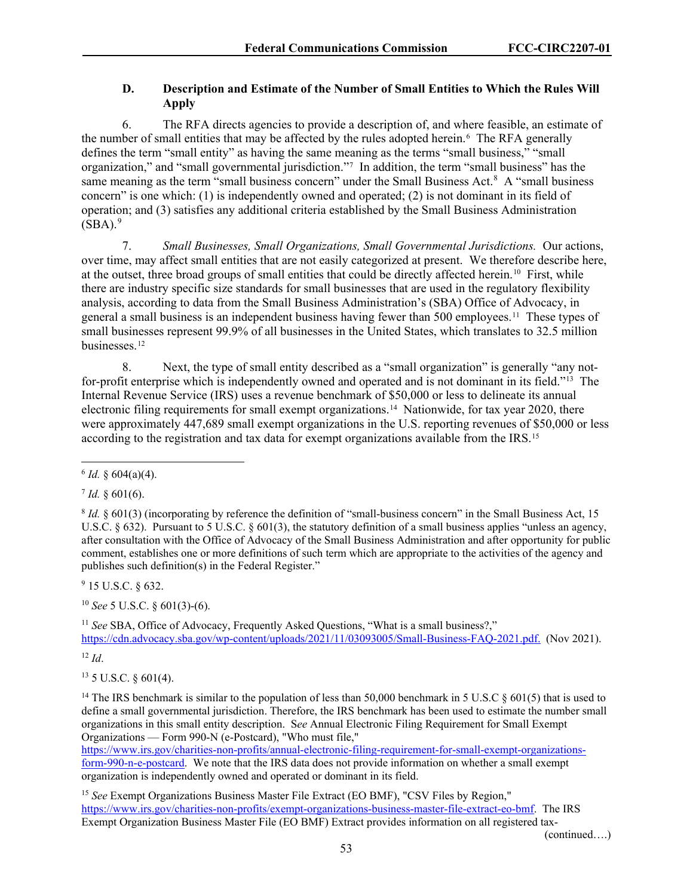# **D. Description and Estimate of the Number of Small Entities to Which the Rules Will Apply**

6. The RFA directs agencies to provide a description of, and where feasible, an estimate of the number of small entities that may be affected by the rules adopted herein.<sup>[6](#page-53-0)</sup> The RFA generally defines the term "small entity" as having the same meaning as the terms "small business," "small organization," and "small governmental jurisdiction."[7](#page-53-1) In addition, the term "small business" has the same meaning as the term "small business concern" under the Small Business Act. $8\,$  $8\,$  A "small business concern" is one which: (1) is independently owned and operated; (2) is not dominant in its field of operation; and (3) satisfies any additional criteria established by the Small Business Administration  $(SBA).<sup>9</sup>$  $(SBA).<sup>9</sup>$  $(SBA).<sup>9</sup>$ 

7. *Small Businesses, Small Organizations, Small Governmental Jurisdictions.* Our actions, over time, may affect small entities that are not easily categorized at present. We therefore describe here, at the outset, three broad groups of small entities that could be directly affected herein.[10](#page-53-4) First, while there are industry specific size standards for small businesses that are used in the regulatory flexibility analysis, according to data from the Small Business Administration's (SBA) Office of Advocacy, in general a small business is an independent business having fewer than 500 employees.[11](#page-53-5) These types of small businesses represent 99.9% of all businesses in the United States, which translates to 32.5 million businesses.[12](#page-53-6)

8. Next, the type of small entity described as a "small organization" is generally "any notfor-profit enterprise which is independently owned and operated and is not dominant in its field."[13](#page-53-7) The Internal Revenue Service (IRS) uses a revenue benchmark of \$50,000 or less to delineate its annual electronic filing requirements for small exempt organizations.<sup>[14](#page-53-8)</sup> Nationwide, for tax year 2020, there were approximately 447,689 small exempt organizations in the U.S. reporting revenues of \$50,000 or less according to the registration and tax data for exempt organizations available from the IRS.[15](#page-53-9) 

<span id="page-53-1"></span> $7$  *Id.* § 601(6).

<span id="page-53-3"></span><sup>9</sup> 15 U.S.C. § 632.

<span id="page-53-4"></span><sup>10</sup> *See* 5 U.S.C. § 601(3)-(6).

<span id="page-53-5"></span><sup>11</sup> See SBA, Office of Advocacy, Frequently Asked Questions, "What is a small business?," [https://cdn.advocacy.sba.gov/wp-content/uploads/2021/11/03093005/Small-Business-FAQ-2021.pdf.](https://cdn.advocacy.sba.gov/wp-content/uploads/2021/11/03093005/Small-Business-FAQ-2021.pdf) (Nov 2021).

<span id="page-53-6"></span> $12 \, \text{Id}$ 

<span id="page-53-7"></span> $13$  5 U.S.C. § 601(4).

<span id="page-53-8"></span><sup>14</sup> The IRS benchmark is similar to the population of less than 50,000 benchmark in 5 U.S.C  $\S$  601(5) that is used to define a small governmental jurisdiction. Therefore, the IRS benchmark has been used to estimate the number small organizations in this small entity description. S*ee* Annual Electronic Filing Requirement for Small Exempt Organizations — Form 990-N (e-Postcard), "Who must file,"

[https://www.irs.gov/charities-non-profits/annual-electronic-filing-requirement-for-small-exempt-organizations](https://www.irs.gov/charities-non-profits/annual-electronic-filing-requirement-for-small-exempt-organizations-form-990-n-e-postcard)[form-990-n-e-postcard.](https://www.irs.gov/charities-non-profits/annual-electronic-filing-requirement-for-small-exempt-organizations-form-990-n-e-postcard) We note that the IRS data does not provide information on whether a small exempt organization is independently owned and operated or dominant in its field.

<span id="page-53-9"></span><sup>15</sup> *See* Exempt Organizations Business Master File Extract (EO BMF), "CSV Files by Region," [https://www.irs.gov/charities-non-profits/exempt-organizations-business-master-file-extract-eo-bmf.](https://www.irs.gov/charities-non-profits/exempt-organizations-business-master-file-extract-eo-bmf) The IRS Exempt Organization Business Master File (EO BMF) Extract provides information on all registered tax-

(continued….)

<span id="page-53-0"></span> $6$  *Id.* § 604(a)(4).

<span id="page-53-2"></span> $8$  *Id.*  $\frac{8}{3}$  601(3) (incorporating by reference the definition of "small-business concern" in the Small Business Act, 15 U.S.C.  $\S 632$ ). Pursuant to 5 U.S.C.  $\S 601(3)$ , the statutory definition of a small business applies "unless an agency, after consultation with the Office of Advocacy of the Small Business Administration and after opportunity for public comment, establishes one or more definitions of such term which are appropriate to the activities of the agency and publishes such definition(s) in the Federal Register."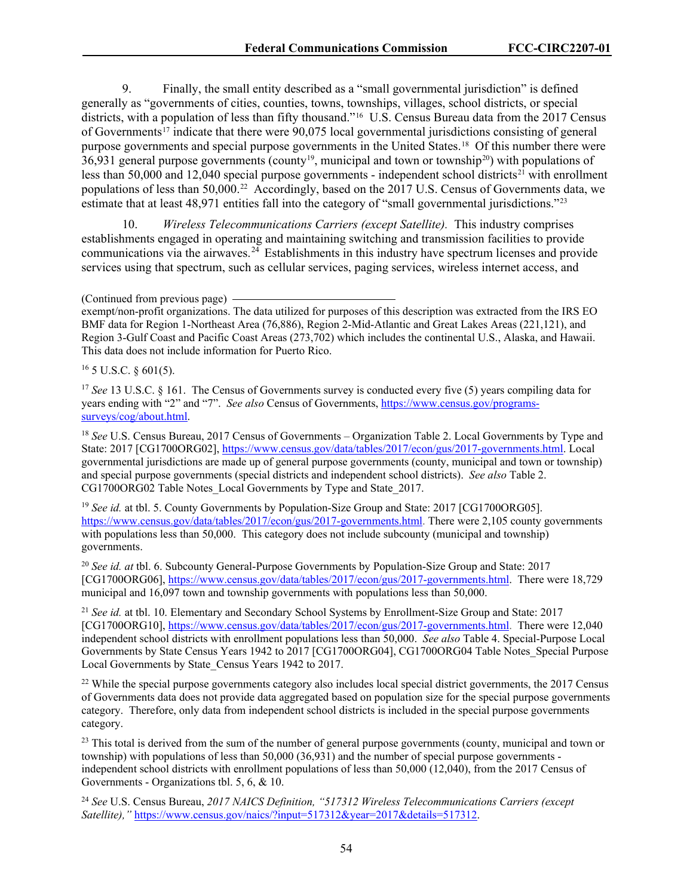9. Finally, the small entity described as a "small governmental jurisdiction" is defined generally as "governments of cities, counties, towns, townships, villages, school districts, or special districts, with a population of less than fifty thousand."<sup>16</sup> U.S. Census Bureau data from the 2017 Census of Governments<sup>[17](#page-54-1)</sup> indicate that there were 90,075 local governmental jurisdictions consisting of general purpose governments and special purpose governments in the United States.[18](#page-54-2) Of this number there were  $36,931$  general purpose governments (county<sup>19</sup>, municipal and town or township<sup>20</sup>) with populations of less than 50,000 and 12,040 special purpose governments - independent school districts<sup>[21](#page-54-5)</sup> with enrollment populations of less than 50,000.<sup>22</sup> Accordingly, based on the 2017 U.S. Census of Governments data, we estimate that at least 48,971 entities fall into the category of "small governmental jurisdictions."<sup>[23](#page-54-7)</sup>

10. *Wireless Telecommunications Carriers (except Satellite).* This industry comprises establishments engaged in operating and maintaining switching and transmission facilities to provide communications via the airwaves.<sup>[24](#page-54-8)</sup> Establishments in this industry have spectrum licenses and provide services using that spectrum, such as cellular services, paging services, wireless internet access, and

#### (Continued from previous page)

exempt/non-profit organizations. The data utilized for purposes of this description was extracted from the IRS EO BMF data for Region 1-Northeast Area (76,886), Region 2-Mid-Atlantic and Great Lakes Areas (221,121), and Region 3-Gulf Coast and Pacific Coast Areas (273,702) which includes the continental U.S., Alaska, and Hawaii. This data does not include information for Puerto Rico.

## <span id="page-54-0"></span> $16$  5 U.S.C.  $\delta$  601(5).

<span id="page-54-1"></span><sup>17</sup> *See* 13 U.S.C. § 161. The Census of Governments survey is conducted every five (5) years compiling data for years ending with "2" and "7". *See also* Census of Governments, [https://www.census.gov/programs](https://www.census.gov/programs-surveys/cog/about.html)[surveys/cog/about.html.](https://www.census.gov/programs-surveys/cog/about.html)

<span id="page-54-2"></span><sup>18</sup> *See* U.S. Census Bureau, 2017 Census of Governments – Organization Table 2. Local Governments by Type and State: 2017 [CG1700ORG02], [https://www.census.gov/data/tables/2017/econ/gus/2017-governments.html.](https://www.census.gov/data/tables/2017/econ/gus/2017-governments.html) Local governmental jurisdictions are made up of general purpose governments (county, municipal and town or township) and special purpose governments (special districts and independent school districts). *See also* Table 2. CG1700ORG02 Table Notes\_Local Governments by Type and State\_2017.

<span id="page-54-3"></span><sup>19</sup> *See id.* at tbl. 5. County Governments by Population-Size Group and State: 2017 [CG1700ORG05]. [https://www.census.gov/data/tables/2017/econ/gus/2017-governments.html.](https://www.census.gov/data/tables/2017/econ/gus/2017-governments.html) There were 2,105 county governments with populations less than 50,000. This category does not include subcounty (municipal and township) governments.

<span id="page-54-4"></span><sup>20</sup> *See id. at* tbl. 6. Subcounty General-Purpose Governments by Population-Size Group and State: 2017 [CG1700ORG06][, https://www.census.gov/data/tables/2017/econ/gus/2017-governments.html.](https://www.census.gov/data/tables/2017/econ/gus/2017-governments.html) There were 18,729 municipal and 16,097 town and township governments with populations less than 50,000.

<span id="page-54-5"></span><sup>21</sup> *See id.* at tbl. 10. Elementary and Secondary School Systems by Enrollment-Size Group and State: 2017 [CG1700ORG10][, https://www.census.gov/data/tables/2017/econ/gus/2017-governments.html.](https://www.census.gov/data/tables/2017/econ/gus/2017-governments.html) There were 12,040 independent school districts with enrollment populations less than 50,000. *See also* Table 4. Special-Purpose Local Governments by State Census Years 1942 to 2017 [CG1700ORG04], CG1700ORG04 Table Notes\_Special Purpose Local Governments by State\_Census Years 1942 to 2017.

<span id="page-54-6"></span><sup>22</sup> While the special purpose governments category also includes local special district governments, the 2017 Census of Governments data does not provide data aggregated based on population size for the special purpose governments category. Therefore, only data from independent school districts is included in the special purpose governments category.

<span id="page-54-7"></span><sup>23</sup> This total is derived from the sum of the number of general purpose governments (county, municipal and town or township) with populations of less than 50,000 (36,931) and the number of special purpose governments independent school districts with enrollment populations of less than 50,000 (12,040), from the 2017 Census of Governments - Organizations tbl. 5, 6, & 10.

<span id="page-54-8"></span><sup>24</sup> *See* U.S. Census Bureau, *2017 NAICS Definition, "517312 Wireless Telecommunications Carriers (except Satellite),"* [https://www.census.gov/naics/?input=517312&year=2017&details=517312.](https://www.census.gov/naics/?input=517312&year=2017&details=517312)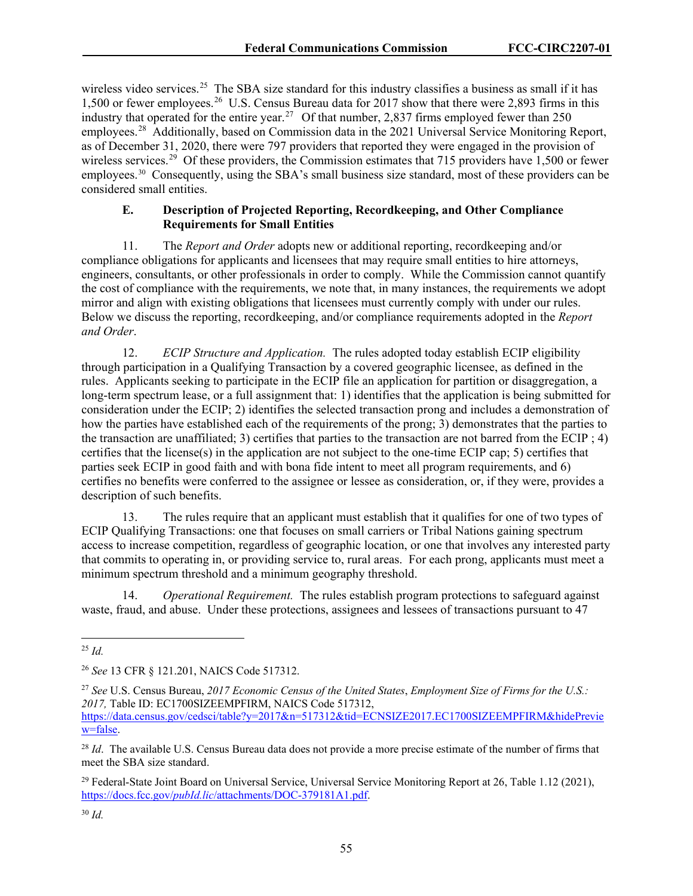wireless video services.<sup>25</sup> The SBA size standard for this industry classifies a business as small if it has 1,500 or fewer employees. [26](#page-55-1) U.S. Census Bureau data for 2017 show that there were 2,893 firms in this industry that operated for the entire year.<sup>[27](#page-55-2)</sup> Of that number, 2,837 firms employed fewer than 250 employees.[28](#page-55-3) Additionally, based on Commission data in the 2021 Universal Service Monitoring Report, as of December 31, 2020, there were 797 providers that reported they were engaged in the provision of wireless services.<sup>29</sup> Of these providers, the Commission estimates that 715 providers have 1,500 or fewer employees.<sup>30</sup> Consequently, using the SBA's small business size standard, most of these providers can be considered small entities.

### **E. Description of Projected Reporting, Recordkeeping, and Other Compliance Requirements for Small Entities**

11. The *Report and Order* adopts new or additional reporting, recordkeeping and/or compliance obligations for applicants and licensees that may require small entities to hire attorneys, engineers, consultants, or other professionals in order to comply. While the Commission cannot quantify the cost of compliance with the requirements, we note that, in many instances, the requirements we adopt mirror and align with existing obligations that licensees must currently comply with under our rules. Below we discuss the reporting, recordkeeping, and/or compliance requirements adopted in the *Report and Order*.

12. *ECIP Structure and Application.* The rules adopted today establish ECIP eligibility through participation in a Qualifying Transaction by a covered geographic licensee, as defined in the rules. Applicants seeking to participate in the ECIP file an application for partition or disaggregation, a long-term spectrum lease, or a full assignment that: 1) identifies that the application is being submitted for consideration under the ECIP; 2) identifies the selected transaction prong and includes a demonstration of how the parties have established each of the requirements of the prong; 3) demonstrates that the parties to the transaction are unaffiliated; 3) certifies that parties to the transaction are not barred from the ECIP ; 4) certifies that the license(s) in the application are not subject to the one-time ECIP cap; 5) certifies that parties seek ECIP in good faith and with bona fide intent to meet all program requirements, and 6) certifies no benefits were conferred to the assignee or lessee as consideration, or, if they were, provides a description of such benefits.

13. The rules require that an applicant must establish that it qualifies for one of two types of ECIP Qualifying Transactions: one that focuses on small carriers or Tribal Nations gaining spectrum access to increase competition, regardless of geographic location, or one that involves any interested party that commits to operating in, or providing service to, rural areas. For each prong, applicants must meet a minimum spectrum threshold and a minimum geography threshold.

14. *Operational Requirement.* The rules establish program protections to safeguard against waste, fraud, and abuse. Under these protections, assignees and lessees of transactions pursuant to 47

<span id="page-55-0"></span><sup>25</sup> *Id.*

<span id="page-55-1"></span><sup>26</sup> *See* 13 CFR § 121.201, NAICS Code 517312.

<span id="page-55-2"></span><sup>27</sup> *See* U.S. Census Bureau, *2017 Economic Census of the United States*, *Employment Size of Firms for the U.S.: 2017,* Table ID: EC1700SIZEEMPFIRM, NAICS Code 517312, [https://data.census.gov/cedsci/table?y=2017&n=517312&tid=ECNSIZE2017.EC1700SIZEEMPFIRM&hidePrevie](https://data.census.gov/cedsci/table?y=2017&n=517312&tid=ECNSIZE2017.EC1700SIZEEMPFIRM&hidePreview=false) [w=false.](https://data.census.gov/cedsci/table?y=2017&n=517312&tid=ECNSIZE2017.EC1700SIZEEMPFIRM&hidePreview=false)

<span id="page-55-3"></span><sup>&</sup>lt;sup>28</sup> *Id*. The available U.S. Census Bureau data does not provide a more precise estimate of the number of firms that meet the SBA size standard.

<span id="page-55-4"></span><sup>&</sup>lt;sup>29</sup> Federal-State Joint Board on Universal Service, Universal Service Monitoring Report at 26, Table 1.12 (2021), https://docs.fcc.gov/*pubId.lic*[/attachments/DOC-379181A1.pdf.](https://docs.fcc.gov/public/attachments/DOC-379181A1.pdf)

<span id="page-55-5"></span><sup>30</sup> *Id.*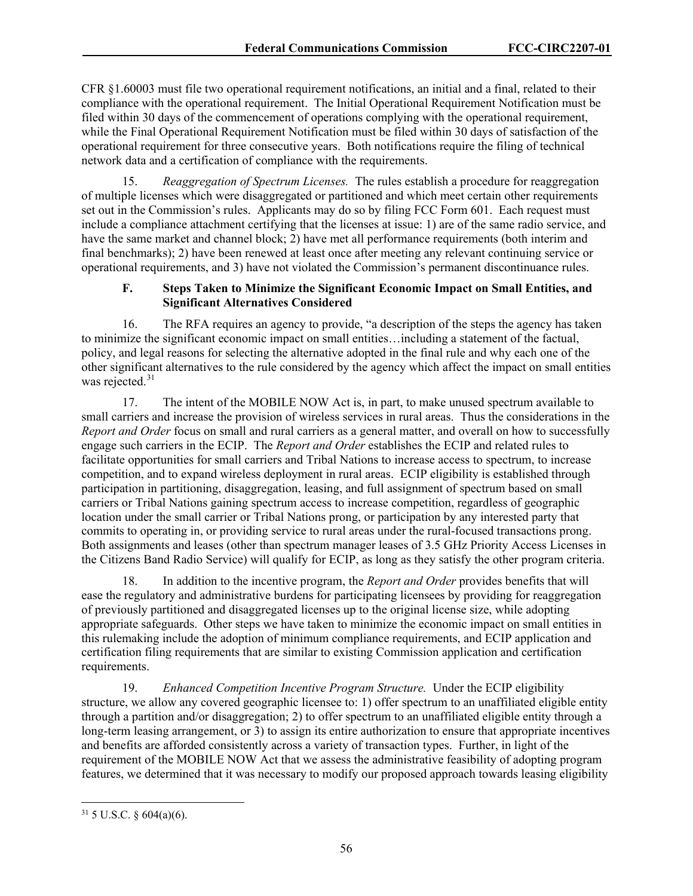CFR §1.60003 must file two operational requirement notifications, an initial and a final, related to their compliance with the operational requirement. The Initial Operational Requirement Notification must be filed within 30 days of the commencement of operations complying with the operational requirement, while the Final Operational Requirement Notification must be filed within 30 days of satisfaction of the operational requirement for three consecutive years. Both notifications require the filing of technical network data and a certification of compliance with the requirements.

15. *Reaggregation of Spectrum Licenses.* The rules establish a procedure for reaggregation of multiple licenses which were disaggregated or partitioned and which meet certain other requirements set out in the Commission's rules. Applicants may do so by filing FCC Form 601. Each request must include a compliance attachment certifying that the licenses at issue: 1) are of the same radio service, and have the same market and channel block; 2) have met all performance requirements (both interim and final benchmarks); 2) have been renewed at least once after meeting any relevant continuing service or operational requirements, and 3) have not violated the Commission's permanent discontinuance rules.

## **F. Steps Taken to Minimize the Significant Economic Impact on Small Entities, and Significant Alternatives Considered**

16. The RFA requires an agency to provide, "a description of the steps the agency has taken to minimize the significant economic impact on small entities…including a statement of the factual, policy, and legal reasons for selecting the alternative adopted in the final rule and why each one of the other significant alternatives to the rule considered by the agency which affect the impact on small entities was rejected.<sup>[31](#page-56-0)</sup>

17. The intent of the MOBILE NOW Act is, in part, to make unused spectrum available to small carriers and increase the provision of wireless services in rural areas. Thus the considerations in the *Report and Order* focus on small and rural carriers as a general matter, and overall on how to successfully engage such carriers in the ECIP. The *Report and Order* establishes the ECIP and related rules to facilitate opportunities for small carriers and Tribal Nations to increase access to spectrum, to increase competition, and to expand wireless deployment in rural areas. ECIP eligibility is established through participation in partitioning, disaggregation, leasing, and full assignment of spectrum based on small carriers or Tribal Nations gaining spectrum access to increase competition, regardless of geographic location under the small carrier or Tribal Nations prong, or participation by any interested party that commits to operating in, or providing service to rural areas under the rural-focused transactions prong. Both assignments and leases (other than spectrum manager leases of 3.5 GHz Priority Access Licenses in the Citizens Band Radio Service) will qualify for ECIP, as long as they satisfy the other program criteria.

18. In addition to the incentive program, the *Report and Order* provides benefits that will ease the regulatory and administrative burdens for participating licensees by providing for reaggregation of previously partitioned and disaggregated licenses up to the original license size, while adopting appropriate safeguards. Other steps we have taken to minimize the economic impact on small entities in this rulemaking include the adoption of minimum compliance requirements, and ECIP application and certification filing requirements that are similar to existing Commission application and certification requirements.

19. *Enhanced Competition Incentive Program Structure.* Under the ECIP eligibility structure, we allow any covered geographic licensee to: 1) offer spectrum to an unaffiliated eligible entity through a partition and/or disaggregation; 2) to offer spectrum to an unaffiliated eligible entity through a long-term leasing arrangement, or 3) to assign its entire authorization to ensure that appropriate incentives and benefits are afforded consistently across a variety of transaction types. Further, in light of the requirement of the MOBILE NOW Act that we assess the administrative feasibility of adopting program features, we determined that it was necessary to modify our proposed approach towards leasing eligibility

<span id="page-56-0"></span> $31\,$  5 U.S.C. § 604(a)(6).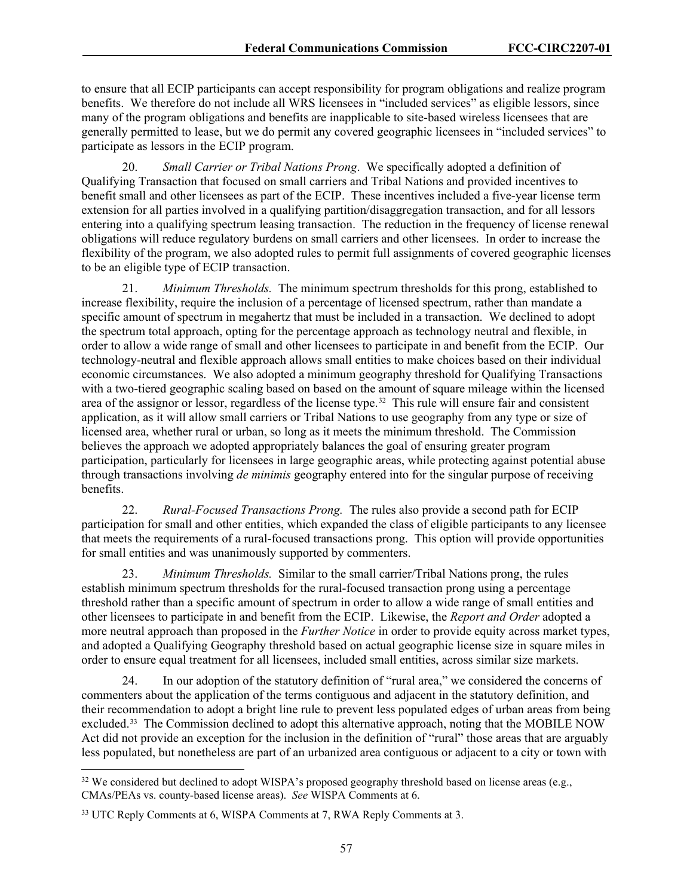to ensure that all ECIP participants can accept responsibility for program obligations and realize program benefits. We therefore do not include all WRS licensees in "included services" as eligible lessors, since many of the program obligations and benefits are inapplicable to site-based wireless licensees that are generally permitted to lease, but we do permit any covered geographic licensees in "included services" to participate as lessors in the ECIP program.

20. *Small Carrier or Tribal Nations Prong*. We specifically adopted a definition of Qualifying Transaction that focused on small carriers and Tribal Nations and provided incentives to benefit small and other licensees as part of the ECIP. These incentives included a five-year license term extension for all parties involved in a qualifying partition/disaggregation transaction, and for all lessors entering into a qualifying spectrum leasing transaction. The reduction in the frequency of license renewal obligations will reduce regulatory burdens on small carriers and other licensees. In order to increase the flexibility of the program, we also adopted rules to permit full assignments of covered geographic licenses to be an eligible type of ECIP transaction.

21. *Minimum Thresholds.* The minimum spectrum thresholds for this prong, established to increase flexibility, require the inclusion of a percentage of licensed spectrum, rather than mandate a specific amount of spectrum in megahertz that must be included in a transaction. We declined to adopt the spectrum total approach, opting for the percentage approach as technology neutral and flexible, in order to allow a wide range of small and other licensees to participate in and benefit from the ECIP. Our technology-neutral and flexible approach allows small entities to make choices based on their individual economic circumstances. We also adopted a minimum geography threshold for Qualifying Transactions with a two-tiered geographic scaling based on based on the amount of square mileage within the licensed area of the assignor or lessor, regardless of the license type.<sup>[32](#page-57-0)</sup> This rule will ensure fair and consistent application, as it will allow small carriers or Tribal Nations to use geography from any type or size of licensed area, whether rural or urban, so long as it meets the minimum threshold. The Commission believes the approach we adopted appropriately balances the goal of ensuring greater program participation, particularly for licensees in large geographic areas, while protecting against potential abuse through transactions involving *de minimis* geography entered into for the singular purpose of receiving benefits.

22. *Rural-Focused Transactions Prong.* The rules also provide a second path for ECIP participation for small and other entities, which expanded the class of eligible participants to any licensee that meets the requirements of a rural-focused transactions prong. This option will provide opportunities for small entities and was unanimously supported by commenters.

23. *Minimum Thresholds.* Similar to the small carrier/Tribal Nations prong, the rules establish minimum spectrum thresholds for the rural-focused transaction prong using a percentage threshold rather than a specific amount of spectrum in order to allow a wide range of small entities and other licensees to participate in and benefit from the ECIP. Likewise, the *Report and Order* adopted a more neutral approach than proposed in the *Further Notice* in order to provide equity across market types, and adopted a Qualifying Geography threshold based on actual geographic license size in square miles in order to ensure equal treatment for all licensees, included small entities, across similar size markets.

24. In our adoption of the statutory definition of "rural area," we considered the concerns of commenters about the application of the terms contiguous and adjacent in the statutory definition, and their recommendation to adopt a bright line rule to prevent less populated edges of urban areas from being excluded.<sup>[33](#page-57-1)</sup> The Commission declined to adopt this alternative approach, noting that the MOBILE NOW Act did not provide an exception for the inclusion in the definition of "rural" those areas that are arguably less populated, but nonetheless are part of an urbanized area contiguous or adjacent to a city or town with

<span id="page-57-0"></span> $32$  We considered but declined to adopt WISPA's proposed geography threshold based on license areas (e.g., CMAs/PEAs vs. county-based license areas). *See* WISPA Comments at 6.

<span id="page-57-1"></span><sup>&</sup>lt;sup>33</sup> UTC Reply Comments at 6, WISPA Comments at 7, RWA Reply Comments at 3.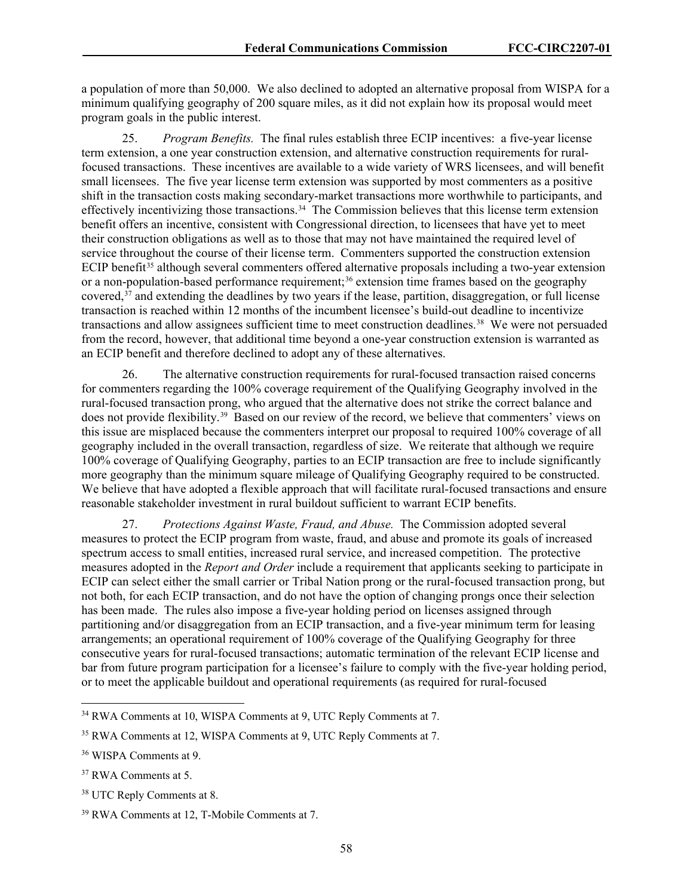a population of more than 50,000. We also declined to adopted an alternative proposal from WISPA for a minimum qualifying geography of 200 square miles, as it did not explain how its proposal would meet program goals in the public interest.

25. *Program Benefits.* The final rules establish three ECIP incentives: a five-year license term extension, a one year construction extension, and alternative construction requirements for ruralfocused transactions. These incentives are available to a wide variety of WRS licensees, and will benefit small licensees. The five year license term extension was supported by most commenters as a positive shift in the transaction costs making secondary-market transactions more worthwhile to participants, and effectively incentivizing those transactions.<sup>[34](#page-58-0)</sup> The Commission believes that this license term extension benefit offers an incentive, consistent with Congressional direction, to licensees that have yet to meet their construction obligations as well as to those that may not have maintained the required level of service throughout the course of their license term. Commenters supported the construction extension ECIP benefit<sup>[35](#page-58-1)</sup> although several commenters offered alternative proposals including a two-year extension or a non-population-based performance requirement;<sup>[36](#page-58-2)</sup> extension time frames based on the geography covered, $37$  and extending the deadlines by two years if the lease, partition, disaggregation, or full license transaction is reached within 12 months of the incumbent licensee's build-out deadline to incentivize transactions and allow assignees sufficient time to meet construction deadlines.<sup>38</sup> We were not persuaded from the record, however, that additional time beyond a one-year construction extension is warranted as an ECIP benefit and therefore declined to adopt any of these alternatives.

26. The alternative construction requirements for rural-focused transaction raised concerns for commenters regarding the 100% coverage requirement of the Qualifying Geography involved in the rural-focused transaction prong, who argued that the alternative does not strike the correct balance and does not provide flexibility.<sup>[39](#page-58-5)</sup> Based on our review of the record, we believe that commenters' views on this issue are misplaced because the commenters interpret our proposal to required 100% coverage of all geography included in the overall transaction, regardless of size. We reiterate that although we require 100% coverage of Qualifying Geography, parties to an ECIP transaction are free to include significantly more geography than the minimum square mileage of Qualifying Geography required to be constructed. We believe that have adopted a flexible approach that will facilitate rural-focused transactions and ensure reasonable stakeholder investment in rural buildout sufficient to warrant ECIP benefits.

27. *Protections Against Waste, Fraud, and Abuse.* The Commission adopted several measures to protect the ECIP program from waste, fraud, and abuse and promote its goals of increased spectrum access to small entities, increased rural service, and increased competition. The protective measures adopted in the *Report and Order* include a requirement that applicants seeking to participate in ECIP can select either the small carrier or Tribal Nation prong or the rural-focused transaction prong, but not both, for each ECIP transaction, and do not have the option of changing prongs once their selection has been made. The rules also impose a five-year holding period on licenses assigned through partitioning and/or disaggregation from an ECIP transaction, and a five-year minimum term for leasing arrangements; an operational requirement of 100% coverage of the Qualifying Geography for three consecutive years for rural-focused transactions; automatic termination of the relevant ECIP license and bar from future program participation for a licensee's failure to comply with the five-year holding period, or to meet the applicable buildout and operational requirements (as required for rural-focused

<span id="page-58-0"></span><sup>&</sup>lt;sup>34</sup> RWA Comments at 10, WISPA Comments at 9, UTC Reply Comments at 7.

<span id="page-58-1"></span><sup>35</sup> RWA Comments at 12, WISPA Comments at 9, UTC Reply Comments at 7.

<span id="page-58-2"></span><sup>36</sup> WISPA Comments at 9.

<span id="page-58-3"></span><sup>&</sup>lt;sup>37</sup> RWA Comments at 5.

<span id="page-58-4"></span><sup>38</sup> UTC Reply Comments at 8.

<span id="page-58-5"></span><sup>39</sup> RWA Comments at 12, T-Mobile Comments at 7.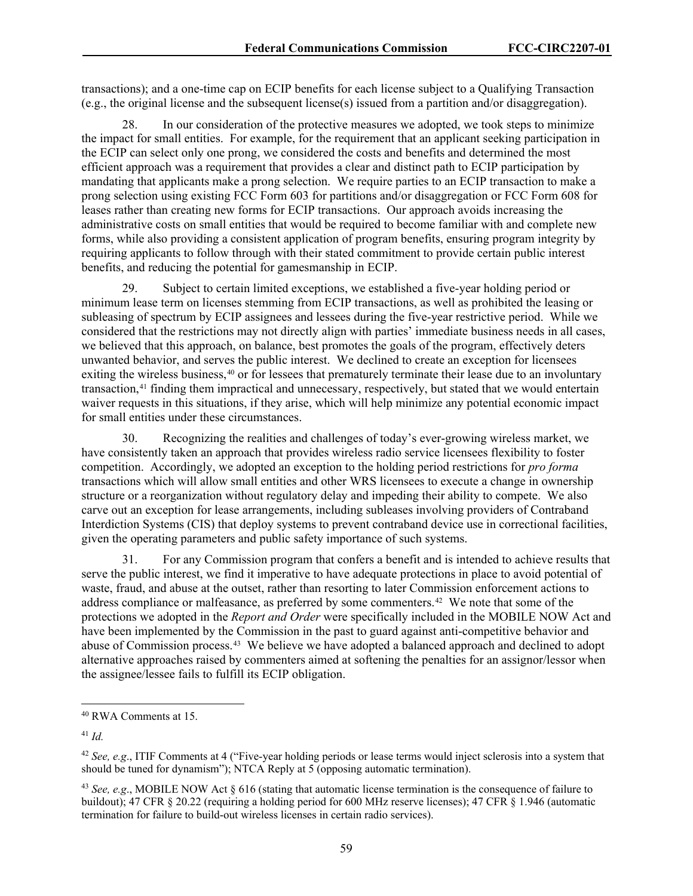transactions); and a one-time cap on ECIP benefits for each license subject to a Qualifying Transaction (e.g., the original license and the subsequent license(s) issued from a partition and/or disaggregation).

28. In our consideration of the protective measures we adopted, we took steps to minimize the impact for small entities. For example, for the requirement that an applicant seeking participation in the ECIP can select only one prong, we considered the costs and benefits and determined the most efficient approach was a requirement that provides a clear and distinct path to ECIP participation by mandating that applicants make a prong selection. We require parties to an ECIP transaction to make a prong selection using existing FCC Form 603 for partitions and/or disaggregation or FCC Form 608 for leases rather than creating new forms for ECIP transactions. Our approach avoids increasing the administrative costs on small entities that would be required to become familiar with and complete new forms, while also providing a consistent application of program benefits, ensuring program integrity by requiring applicants to follow through with their stated commitment to provide certain public interest benefits, and reducing the potential for gamesmanship in ECIP.

29. Subject to certain limited exceptions, we established a five-year holding period or minimum lease term on licenses stemming from ECIP transactions, as well as prohibited the leasing or subleasing of spectrum by ECIP assignees and lessees during the five-year restrictive period. While we considered that the restrictions may not directly align with parties' immediate business needs in all cases, we believed that this approach, on balance, best promotes the goals of the program, effectively deters unwanted behavior, and serves the public interest. We declined to create an exception for licensees exiting the wireless business,<sup>[40](#page-59-0)</sup> or for lessees that prematurely terminate their lease due to an involuntary transaction,<sup>[41](#page-59-1)</sup> finding them impractical and unnecessary, respectively, but stated that we would entertain waiver requests in this situations, if they arise, which will help minimize any potential economic impact for small entities under these circumstances.

30. Recognizing the realities and challenges of today's ever-growing wireless market, we have consistently taken an approach that provides wireless radio service licensees flexibility to foster competition. Accordingly, we adopted an exception to the holding period restrictions for *pro forma* transactions which will allow small entities and other WRS licensees to execute a change in ownership structure or a reorganization without regulatory delay and impeding their ability to compete. We also carve out an exception for lease arrangements, including subleases involving providers of Contraband Interdiction Systems (CIS) that deploy systems to prevent contraband device use in correctional facilities, given the operating parameters and public safety importance of such systems.

31. For any Commission program that confers a benefit and is intended to achieve results that serve the public interest, we find it imperative to have adequate protections in place to avoid potential of waste, fraud, and abuse at the outset, rather than resorting to later Commission enforcement actions to address compliance or malfeasance, as preferred by some commenters.<sup>[42](#page-59-2)</sup> We note that some of the protections we adopted in the *Report and Order* were specifically included in the MOBILE NOW Act and have been implemented by the Commission in the past to guard against anti-competitive behavior and abuse of Commission process.<sup>43</sup> We believe we have adopted a balanced approach and declined to adopt alternative approaches raised by commenters aimed at softening the penalties for an assignor/lessor when the assignee/lessee fails to fulfill its ECIP obligation.

<span id="page-59-0"></span><sup>40</sup> RWA Comments at 15.

<span id="page-59-1"></span><sup>41</sup> *Id.*

<span id="page-59-2"></span><sup>42</sup> *See, e.g*., ITIF Comments at 4 ("Five-year holding periods or lease terms would inject sclerosis into a system that should be tuned for dynamism"); NTCA Reply at 5 (opposing automatic termination).

<span id="page-59-3"></span><sup>43</sup> *See, e.g*., MOBILE NOW Act § 616 (stating that automatic license termination is the consequence of failure to buildout); 47 CFR § 20.22 (requiring a holding period for 600 MHz reserve licenses); 47 CFR § 1.946 (automatic termination for failure to build-out wireless licenses in certain radio services).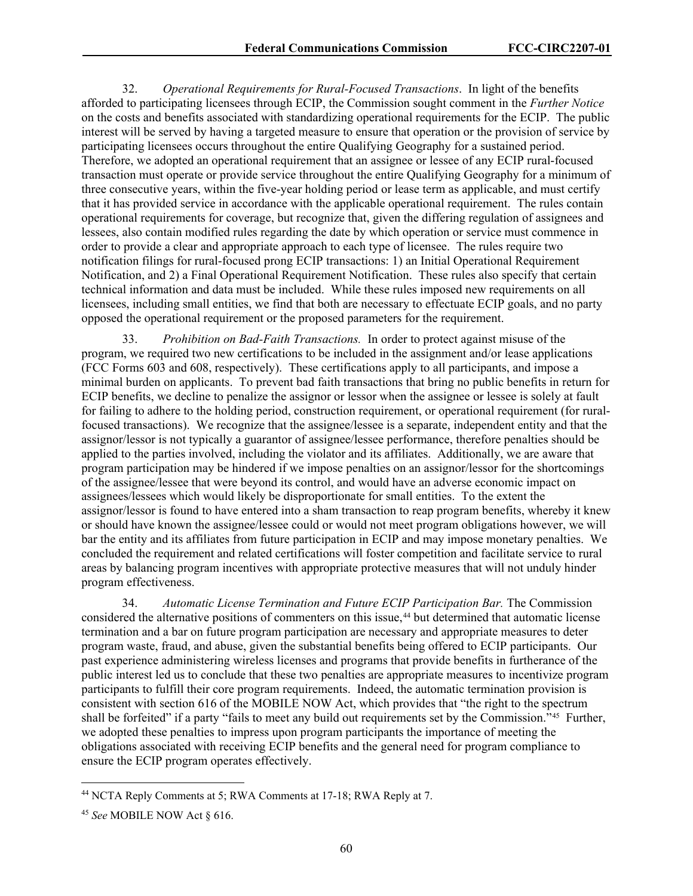32. *Operational Requirements for Rural-Focused Transactions*. In light of the benefits afforded to participating licensees through ECIP, the Commission sought comment in the *Further Notice*  on the costs and benefits associated with standardizing operational requirements for the ECIP. The public interest will be served by having a targeted measure to ensure that operation or the provision of service by participating licensees occurs throughout the entire Qualifying Geography for a sustained period. Therefore, we adopted an operational requirement that an assignee or lessee of any ECIP rural-focused transaction must operate or provide service throughout the entire Qualifying Geography for a minimum of three consecutive years, within the five-year holding period or lease term as applicable, and must certify that it has provided service in accordance with the applicable operational requirement. The rules contain operational requirements for coverage, but recognize that, given the differing regulation of assignees and lessees, also contain modified rules regarding the date by which operation or service must commence in order to provide a clear and appropriate approach to each type of licensee. The rules require two notification filings for rural-focused prong ECIP transactions: 1) an Initial Operational Requirement Notification, and 2) a Final Operational Requirement Notification. These rules also specify that certain technical information and data must be included. While these rules imposed new requirements on all licensees, including small entities, we find that both are necessary to effectuate ECIP goals, and no party opposed the operational requirement or the proposed parameters for the requirement.

33. *Prohibition on Bad-Faith Transactions.* In order to protect against misuse of the program, we required two new certifications to be included in the assignment and/or lease applications (FCC Forms 603 and 608, respectively). These certifications apply to all participants, and impose a minimal burden on applicants. To prevent bad faith transactions that bring no public benefits in return for ECIP benefits, we decline to penalize the assignor or lessor when the assignee or lessee is solely at fault for failing to adhere to the holding period, construction requirement, or operational requirement (for ruralfocused transactions). We recognize that the assignee/lessee is a separate, independent entity and that the assignor/lessor is not typically a guarantor of assignee/lessee performance, therefore penalties should be applied to the parties involved, including the violator and its affiliates. Additionally, we are aware that program participation may be hindered if we impose penalties on an assignor/lessor for the shortcomings of the assignee/lessee that were beyond its control, and would have an adverse economic impact on assignees/lessees which would likely be disproportionate for small entities. To the extent the assignor/lessor is found to have entered into a sham transaction to reap program benefits, whereby it knew or should have known the assignee/lessee could or would not meet program obligations however, we will bar the entity and its affiliates from future participation in ECIP and may impose monetary penalties. We concluded the requirement and related certifications will foster competition and facilitate service to rural areas by balancing program incentives with appropriate protective measures that will not unduly hinder program effectiveness.

34. *Automatic License Termination and Future ECIP Participation Bar.* The Commission considered the alternative positions of commenters on this issue,[44](#page-60-0) but determined that automatic license termination and a bar on future program participation are necessary and appropriate measures to deter program waste, fraud, and abuse, given the substantial benefits being offered to ECIP participants. Our past experience administering wireless licenses and programs that provide benefits in furtherance of the public interest led us to conclude that these two penalties are appropriate measures to incentivize program participants to fulfill their core program requirements. Indeed, the automatic termination provision is consistent with section 616 of the MOBILE NOW Act, which provides that "the right to the spectrum shall be forfeited" if a party "fails to meet any build out requirements set by the Commission."[45](#page-60-1) Further, we adopted these penalties to impress upon program participants the importance of meeting the obligations associated with receiving ECIP benefits and the general need for program compliance to ensure the ECIP program operates effectively.

<span id="page-60-0"></span><sup>44</sup> NCTA Reply Comments at 5; RWA Comments at 17-18; RWA Reply at 7.

<span id="page-60-1"></span><sup>45</sup> *See* MOBILE NOW Act § 616.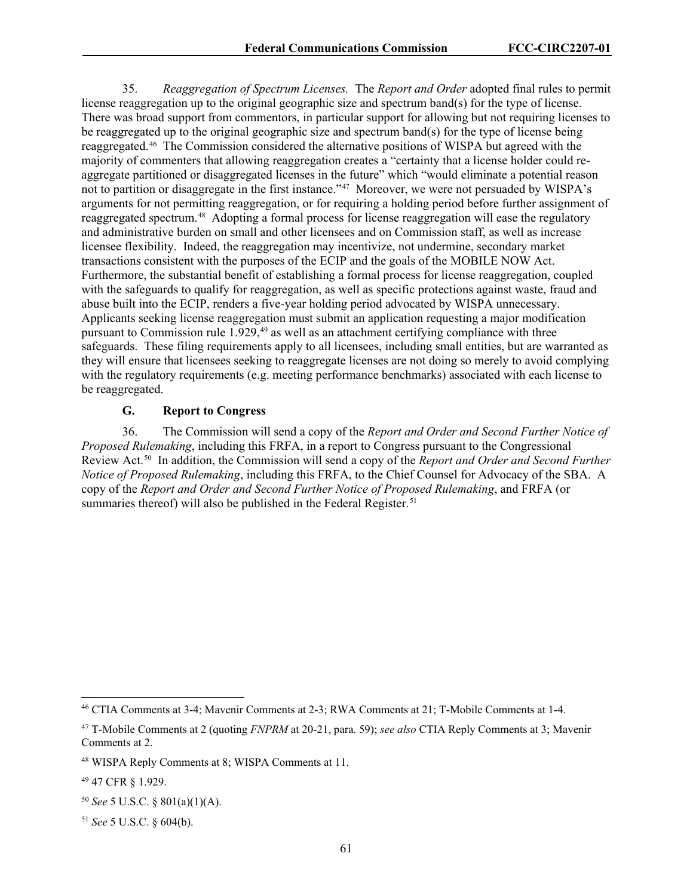35. *Reaggregation of Spectrum Licenses.* The *Report and Order* adopted final rules to permit license reaggregation up to the original geographic size and spectrum band(s) for the type of license. There was broad support from commentors, in particular support for allowing but not requiring licenses to be reaggregated up to the original geographic size and spectrum band(s) for the type of license being reaggregated.[46](#page-61-0) The Commission considered the alternative positions of WISPA but agreed with the majority of commenters that allowing reaggregation creates a "certainty that a license holder could reaggregate partitioned or disaggregated licenses in the future" which "would eliminate a potential reason not to partition or disaggregate in the first instance."<sup>47</sup> Moreover, we were not persuaded by WISPA's arguments for not permitting reaggregation, or for requiring a holding period before further assignment of reaggregated spectrum.<sup>48</sup> Adopting a formal process for license reaggregation will ease the regulatory and administrative burden on small and other licensees and on Commission staff, as well as increase licensee flexibility. Indeed, the reaggregation may incentivize, not undermine, secondary market transactions consistent with the purposes of the ECIP and the goals of the MOBILE NOW Act. Furthermore, the substantial benefit of establishing a formal process for license reaggregation, coupled with the safeguards to qualify for reaggregation, as well as specific protections against waste, fraud and abuse built into the ECIP, renders a five-year holding period advocated by WISPA unnecessary. Applicants seeking license reaggregation must submit an application requesting a major modification pursuant to Commission rule 1.929,[49](#page-61-3) as well as an attachment certifying compliance with three safeguards. These filing requirements apply to all licensees, including small entities, but are warranted as they will ensure that licensees seeking to reaggregate licenses are not doing so merely to avoid complying with the regulatory requirements (e.g. meeting performance benchmarks) associated with each license to be reaggregated.

## **G. Report to Congress**

36. The Commission will send a copy of the *Report and Order and Second Further Notice of Proposed Rulemaking*, including this FRFA, in a report to Congress pursuant to the Congressional Review Act.[50](#page-61-4) In addition, the Commission will send a copy of the *Report and Order and Second Further Notice of Proposed Rulemaking*, including this FRFA, to the Chief Counsel for Advocacy of the SBA. A copy of the *Report and Order and Second Further Notice of Proposed Rulemaking*, and FRFA (or summaries thereof) will also be published in the Federal Register.<sup>[51](#page-61-5)</sup>

<span id="page-61-0"></span><sup>46</sup> CTIA Comments at 3-4; Mavenir Comments at 2-3; RWA Comments at 21; T-Mobile Comments at 1-4.

<span id="page-61-1"></span><sup>47</sup> T-Mobile Comments at 2 (quoting *FNPRM* at 20-21, para. 59); *see also* CTIA Reply Comments at 3; Mavenir Comments at 2.

<span id="page-61-2"></span><sup>48</sup> WISPA Reply Comments at 8; WISPA Comments at 11.

<span id="page-61-3"></span><sup>49</sup> 47 CFR § 1.929.

<span id="page-61-4"></span><sup>50</sup> *See* 5 U.S.C. § 801(a)(1)(A).

<span id="page-61-5"></span><sup>51</sup> *See* 5 U.S.C. § 604(b).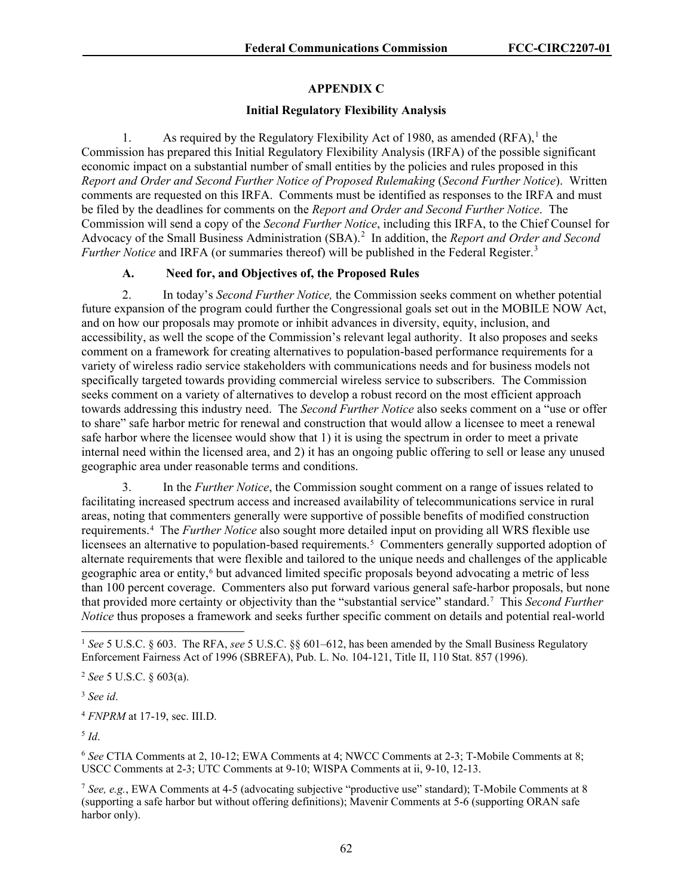## **APPENDIX C**

### **Initial Regulatory Flexibility Analysis**

[1](#page-62-0). As required by the Regulatory Flexibility Act of 1980, as amended  $(RFA)$ ,  $\frac{1}{1}$  the Commission has prepared this Initial Regulatory Flexibility Analysis (IRFA) of the possible significant economic impact on a substantial number of small entities by the policies and rules proposed in this *Report and Order and Second Further Notice of Proposed Rulemaking* (*Second Further Notice*). Written comments are requested on this IRFA. Comments must be identified as responses to the IRFA and must be filed by the deadlines for comments on the *Report and Order and Second Further Notice*. The Commission will send a copy of the *Second Further Notice*, including this IRFA, to the Chief Counsel for Advocacy of the Small Business Administration (SBA).<sup>[2](#page-62-1)</sup> In addition, the *Report and Order and Second Further Notice* and IRFA (or summaries thereof) will be published in the Federal Register.<sup>[3](#page-62-2)</sup>

## **A. Need for, and Objectives of, the Proposed Rules**

2. In today's *Second Further Notice,* the Commission seeks comment on whether potential future expansion of the program could further the Congressional goals set out in the MOBILE NOW Act, and on how our proposals may promote or inhibit advances in diversity, equity, inclusion, and accessibility, as well the scope of the Commission's relevant legal authority. It also proposes and seeks comment on a framework for creating alternatives to population-based performance requirements for a variety of wireless radio service stakeholders with communications needs and for business models not specifically targeted towards providing commercial wireless service to subscribers. The Commission seeks comment on a variety of alternatives to develop a robust record on the most efficient approach towards addressing this industry need. The *Second Further Notice* also seeks comment on a "use or offer to share" safe harbor metric for renewal and construction that would allow a licensee to meet a renewal safe harbor where the licensee would show that 1) it is using the spectrum in order to meet a private internal need within the licensed area, and 2) it has an ongoing public offering to sell or lease any unused geographic area under reasonable terms and conditions.

3. In the *Further Notice*, the Commission sought comment on a range of issues related to facilitating increased spectrum access and increased availability of telecommunications service in rural areas, noting that commenters generally were supportive of possible benefits of modified construction requirements.[4](#page-62-3) The *Further Notice* also sought more detailed input on providing all WRS flexible use licensees an alternative to population-based requirements.<sup>[5](#page-62-4)</sup> Commenters generally supported adoption of alternate requirements that were flexible and tailored to the unique needs and challenges of the applicable geographic area or entity,<sup>[6](#page-62-5)</sup> but advanced limited specific proposals beyond advocating a metric of less than 100 percent coverage. Commenters also put forward various general safe-harbor proposals, but none that provided more certainty or objectivity than the "substantial service" standard.[7](#page-62-6) This *Second Further Notice* thus proposes a framework and seeks further specific comment on details and potential real-world

<span id="page-62-3"></span><sup>4</sup> *FNPRM* at 17-19, sec. III.D.

<span id="page-62-4"></span><sup>5</sup> *Id*.

<span id="page-62-5"></span><sup>6</sup> *See* CTIA Comments at 2, 10-12; EWA Comments at 4; NWCC Comments at 2-3; T-Mobile Comments at 8; USCC Comments at 2-3; UTC Comments at 9-10; WISPA Comments at ii, 9-10, 12-13.

<span id="page-62-6"></span><sup>7</sup> *See, e.g.*, EWA Comments at 4-5 (advocating subjective "productive use" standard); T-Mobile Comments at 8 (supporting a safe harbor but without offering definitions); Mavenir Comments at 5-6 (supporting ORAN safe harbor only).

<span id="page-62-0"></span><sup>1</sup> *See* 5 U.S.C. § 603. The RFA, *see* 5 U.S.C. §§ 601–612, has been amended by the Small Business Regulatory Enforcement Fairness Act of 1996 (SBREFA), Pub. L. No. 104-121, Title II, 110 Stat. 857 (1996).

<span id="page-62-1"></span><sup>2</sup> *See* 5 U.S.C. § 603(a).

<span id="page-62-2"></span><sup>3</sup> *See id*.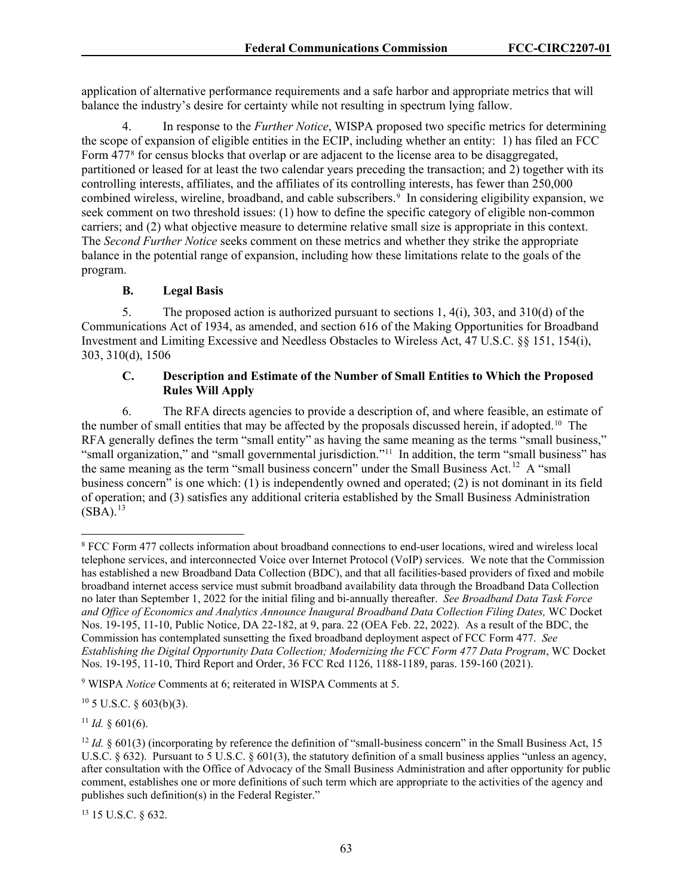application of alternative performance requirements and a safe harbor and appropriate metrics that will balance the industry's desire for certainty while not resulting in spectrum lying fallow.

4. In response to the *Further Notice*, WISPA proposed two specific metrics for determining the scope of expansion of eligible entities in the ECIP, including whether an entity: 1) has filed an FCC Form 477<sup>[8](#page-63-0)</sup> for census blocks that overlap or are adjacent to the license area to be disaggregated, partitioned or leased for at least the two calendar years preceding the transaction; and 2) together with its controlling interests, affiliates, and the affiliates of its controlling interests, has fewer than 250,000 combined wireless, wireline, broadband, and cable subscribers.<sup>[9](#page-63-1)</sup> In considering eligibility expansion, we seek comment on two threshold issues: (1) how to define the specific category of eligible non-common carriers; and (2) what objective measure to determine relative small size is appropriate in this context. The *Second Further Notice* seeks comment on these metrics and whether they strike the appropriate balance in the potential range of expansion, including how these limitations relate to the goals of the program.

## **B. Legal Basis**

5. The proposed action is authorized pursuant to sections 1, 4(i), 303, and 310(d) of the Communications Act of 1934, as amended, and section 616 of the Making Opportunities for Broadband Investment and Limiting Excessive and Needless Obstacles to Wireless Act, 47 U.S.C. §§ 151, 154(i), 303, 310(d), 1506

## **C. Description and Estimate of the Number of Small Entities to Which the Proposed Rules Will Apply**

6. The RFA directs agencies to provide a description of, and where feasible, an estimate of the number of small entities that may be affected by the proposals discussed herein, if adopted.[10](#page-63-2) The RFA generally defines the term "small entity" as having the same meaning as the terms "small business," "small organization," and "small governmental jurisdiction."<sup>11</sup> In addition, the term "small business" has the same meaning as the term "small business concern" under the Small Business Act.<sup>12</sup> A "small business concern" is one which: (1) is independently owned and operated; (2) is not dominant in its field of operation; and (3) satisfies any additional criteria established by the Small Business Administration  $(SBA).$ <sup>[13](#page-63-5)</sup>

<span id="page-63-1"></span><sup>9</sup> WISPA *Notice* Comments at 6; reiterated in WISPA Comments at 5.

<span id="page-63-2"></span> $10$  5 U.S.C. § 603(b)(3).

<span id="page-63-3"></span><sup>11</sup> *Id.* § 601(6).

<span id="page-63-5"></span><sup>13</sup> 15 U.S.C. § 632.

<span id="page-63-0"></span><sup>8</sup> FCC Form 477 collects information about broadband connections to end-user locations, wired and wireless local telephone services, and interconnected Voice over Internet Protocol (VoIP) services. We note that the Commission has established a new Broadband Data Collection (BDC), and that all facilities-based providers of fixed and mobile broadband internet access service must submit broadband availability data through the Broadband Data Collection no later than September 1, 2022 for the initial filing and bi-annually thereafter. *See Broadband Data Task Force and Office of Economics and Analytics Announce Inaugural Broadband Data Collection Filing Dates,* WC Docket Nos. 19-195, 11-10, Public Notice, DA 22-182, at 9, para. 22 (OEA Feb. 22, 2022). As a result of the BDC, the Commission has contemplated sunsetting the fixed broadband deployment aspect of FCC Form 477. *See Establishing the Digital Opportunity Data Collection; Modernizing the FCC Form 477 Data Program*, WC Docket Nos. 19-195, 11-10, Third Report and Order, 36 FCC Rcd 1126, 1188-1189, paras. 159-160 (2021).

<span id="page-63-4"></span><sup>&</sup>lt;sup>12</sup> *Id.*  $\frac{8}{3}$  601(3) (incorporating by reference the definition of "small-business concern" in the Small Business Act, 15 U.S.C.  $\S 632$ ). Pursuant to 5 U.S.C.  $\S 601(3)$ , the statutory definition of a small business applies "unless an agency, after consultation with the Office of Advocacy of the Small Business Administration and after opportunity for public comment, establishes one or more definitions of such term which are appropriate to the activities of the agency and publishes such definition(s) in the Federal Register."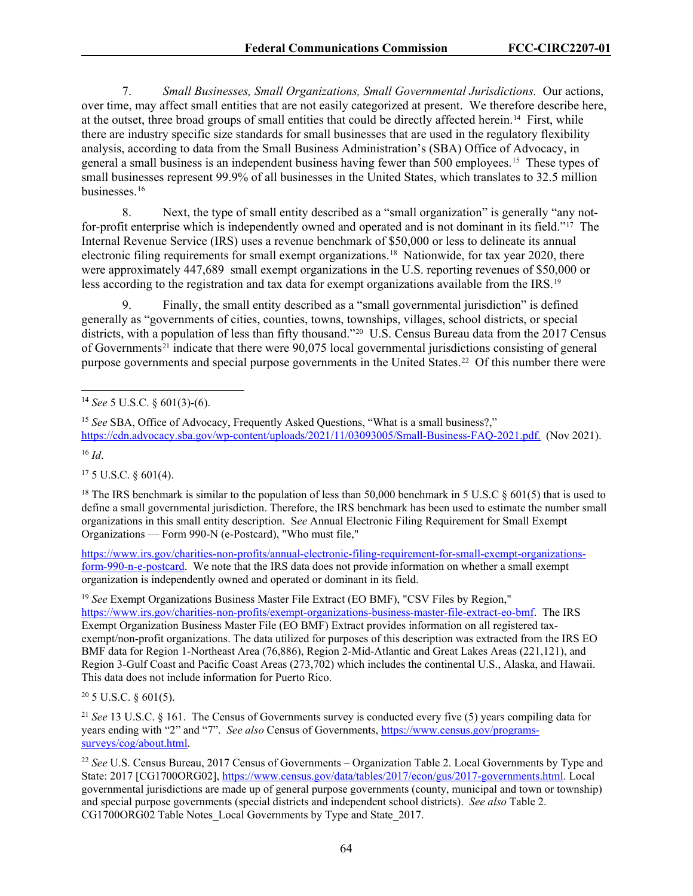7. *Small Businesses, Small Organizations, Small Governmental Jurisdictions.* Our actions, over time, may affect small entities that are not easily categorized at present. We therefore describe here, at the outset, three broad groups of small entities that could be directly affected herein.[14](#page-64-0) First, while there are industry specific size standards for small businesses that are used in the regulatory flexibility analysis, according to data from the Small Business Administration's (SBA) Office of Advocacy, in general a small business is an independent business having fewer than 500 employees.[15](#page-64-1) These types of small businesses represent 99.9% of all businesses in the United States, which translates to 32.5 million businesses.[16](#page-64-2)

8. Next, the type of small entity described as a "small organization" is generally "any notfor-profit enterprise which is independently owned and operated and is not dominant in its field."[17](#page-64-3) The Internal Revenue Service (IRS) uses a revenue benchmark of \$50,000 or less to delineate its annual electronic filing requirements for small exempt organizations.<sup>[18](#page-64-4)</sup> Nationwide, for tax year 2020, there were approximately 447,689 small exempt organizations in the U.S. reporting revenues of \$50,000 or less according to the registration and tax data for exempt organizations available from the IRS.<sup>19</sup>

9. Finally, the small entity described as a "small governmental jurisdiction" is defined generally as "governments of cities, counties, towns, townships, villages, school districts, or special districts, with a population of less than fifty thousand."<sup>20</sup> U.S. Census Bureau data from the 2017 Census of Governments<sup>[21](#page-64-7)</sup> indicate that there were 90,075 local governmental jurisdictions consisting of general purpose governments and special purpose governments in the United States.<sup>[22](#page-64-8)</sup> Of this number there were

<span id="page-64-2"></span><sup>16</sup> *Id*.

<span id="page-64-3"></span> $17\,5$  U.S.C.  $\delta$  601(4).

<span id="page-64-4"></span><sup>18</sup> The IRS benchmark is similar to the population of less than 50,000 benchmark in 5 U.S.C  $\S 601(5)$  that is used to define a small governmental jurisdiction. Therefore, the IRS benchmark has been used to estimate the number small organizations in this small entity description. S*ee* Annual Electronic Filing Requirement for Small Exempt Organizations — Form 990-N (e-Postcard), "Who must file,"

[https://www.irs.gov/charities-non-profits/annual-electronic-filing-requirement-for-small-exempt-organizations](https://www.irs.gov/charities-non-profits/annual-electronic-filing-requirement-for-small-exempt-organizations-form-990-n-e-postcard)[form-990-n-e-postcard.](https://www.irs.gov/charities-non-profits/annual-electronic-filing-requirement-for-small-exempt-organizations-form-990-n-e-postcard) We note that the IRS data does not provide information on whether a small exempt organization is independently owned and operated or dominant in its field.

<span id="page-64-5"></span><sup>19</sup> *See* Exempt Organizations Business Master File Extract (EO BMF), "CSV Files by Region,"

[https://www.irs.gov/charities-non-profits/exempt-organizations-business-master-file-extract-eo-bmf.](https://www.irs.gov/charities-non-profits/exempt-organizations-business-master-file-extract-eo-bmf) The IRS Exempt Organization Business Master File (EO BMF) Extract provides information on all registered taxexempt/non-profit organizations. The data utilized for purposes of this description was extracted from the IRS EO BMF data for Region 1-Northeast Area (76,886), Region 2-Mid-Atlantic and Great Lakes Areas (221,121), and Region 3-Gulf Coast and Pacific Coast Areas (273,702) which includes the continental U.S., Alaska, and Hawaii. This data does not include information for Puerto Rico.

<span id="page-64-6"></span> $20$  5 U.S.C. § 601(5).

<span id="page-64-7"></span><sup>21</sup> *See* 13 U.S.C. § 161. The Census of Governments survey is conducted every five (5) years compiling data for years ending with "2" and "7". *See also* Census of Governments, [https://www.census.gov/programs](https://www.census.gov/programs-surveys/cog/about.html)[surveys/cog/about.html.](https://www.census.gov/programs-surveys/cog/about.html)

<span id="page-64-0"></span><sup>14</sup> *See* 5 U.S.C. § 601(3)-(6).

<span id="page-64-1"></span><sup>&</sup>lt;sup>15</sup> See SBA, Office of Advocacy, Frequently Asked Questions, "What is a small business?," [https://cdn.advocacy.sba.gov/wp-content/uploads/2021/11/03093005/Small-Business-FAQ-2021.pdf.](https://cdn.advocacy.sba.gov/wp-content/uploads/2021/11/03093005/Small-Business-FAQ-2021.pdf) (Nov 2021).

<span id="page-64-8"></span><sup>22</sup> *See* U.S. Census Bureau, 2017 Census of Governments – Organization Table 2. Local Governments by Type and State: 2017 [CG1700ORG02], [https://www.census.gov/data/tables/2017/econ/gus/2017-governments.html.](https://www.census.gov/data/tables/2017/econ/gus/2017-governments.html) Local governmental jurisdictions are made up of general purpose governments (county, municipal and town or township) and special purpose governments (special districts and independent school districts). *See also* Table 2. CG1700ORG02 Table Notes\_Local Governments by Type and State\_2017.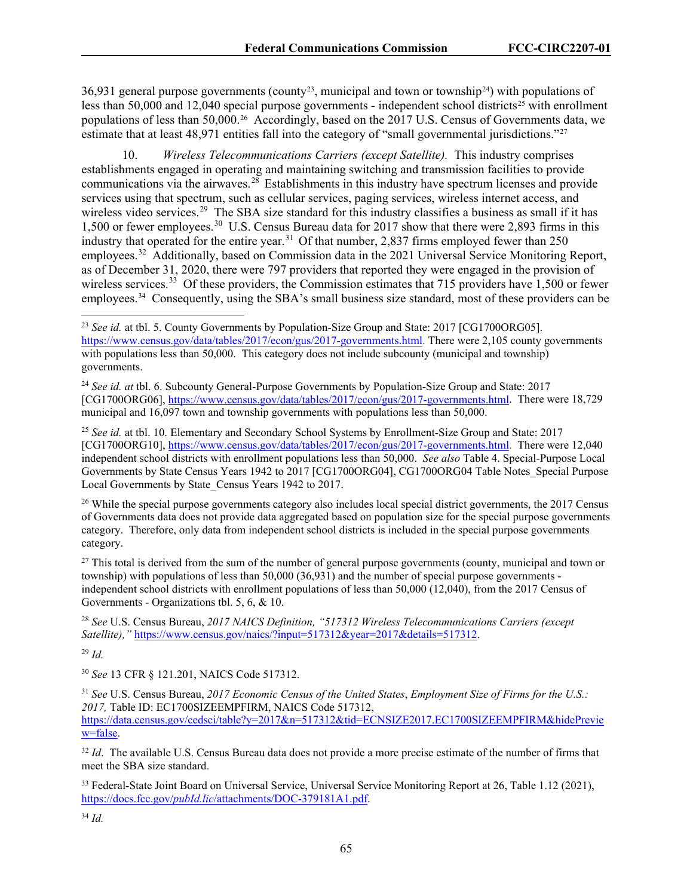36,931 general purpose governments (county<sup>23</sup>, municipal and town or township<sup>24</sup>) with populations of less than 50,000 and 12,040 special purpose governments - independent school districts<sup>[25](#page-65-2)</sup> with enrollment populations of less than 50,000.[26](#page-65-3) Accordingly, based on the 2017 U.S. Census of Governments data, we estimate that at least 48,971 entities fall into the category of "small governmental jurisdictions."[27](#page-65-4)

10. *Wireless Telecommunications Carriers (except Satellite).* This industry comprises establishments engaged in operating and maintaining switching and transmission facilities to provide communications via the airwaves.[28](#page-65-5) Establishments in this industry have spectrum licenses and provide services using that spectrum, such as cellular services, paging services, wireless internet access, and wireless video services.<sup>29</sup> The SBA size standard for this industry classifies a business as small if it has 1,500 or fewer employees.<sup>30</sup> U.S. Census Bureau data for 2017 show that there were 2,893 firms in this industry that operated for the entire year.<sup>[31](#page-65-8)</sup> Of that number, 2,837 firms employed fewer than  $250$ employees.<sup>[32](#page-65-9)</sup> Additionally, based on Commission data in the 2021 Universal Service Monitoring Report, as of December 31, 2020, there were 797 providers that reported they were engaged in the provision of wireless services.<sup>33</sup> Of these providers, the Commission estimates that 715 providers have 1,500 or fewer employees.<sup>34</sup> Consequently, using the SBA's small business size standard, most of these providers can be

<span id="page-65-1"></span><sup>24</sup> *See id. at* tbl. 6. Subcounty General-Purpose Governments by Population-Size Group and State: 2017 [CG1700ORG06][, https://www.census.gov/data/tables/2017/econ/gus/2017-governments.html.](https://www.census.gov/data/tables/2017/econ/gus/2017-governments.html) There were 18,729 municipal and 16,097 town and township governments with populations less than 50,000.

<span id="page-65-2"></span><sup>25</sup> *See id.* at tbl. 10. Elementary and Secondary School Systems by Enrollment-Size Group and State: 2017 [CG1700ORG10][, https://www.census.gov/data/tables/2017/econ/gus/2017-governments.html.](https://www.census.gov/data/tables/2017/econ/gus/2017-governments.html) There were 12,040 independent school districts with enrollment populations less than 50,000. *See also* Table 4. Special-Purpose Local Governments by State Census Years 1942 to 2017 [CG1700ORG04], CG1700ORG04 Table Notes\_Special Purpose Local Governments by State\_Census Years 1942 to 2017.

<span id="page-65-3"></span><sup>26</sup> While the special purpose governments category also includes local special district governments, the 2017 Census of Governments data does not provide data aggregated based on population size for the special purpose governments category. Therefore, only data from independent school districts is included in the special purpose governments category.

<span id="page-65-4"></span> $27$  This total is derived from the sum of the number of general purpose governments (county, municipal and town or township) with populations of less than 50,000 (36,931) and the number of special purpose governments independent school districts with enrollment populations of less than 50,000 (12,040), from the 2017 Census of Governments - Organizations tbl. 5, 6, & 10.

<span id="page-65-5"></span><sup>28</sup> *See* U.S. Census Bureau, *2017 NAICS Definition, "517312 Wireless Telecommunications Carriers (except Satellite),"* [https://www.census.gov/naics/?input=517312&year=2017&details=517312.](https://www.census.gov/naics/?input=517312&year=2017&details=517312)

<span id="page-65-6"></span><sup>29</sup> *Id.*

<span id="page-65-7"></span><sup>30</sup> *See* 13 CFR § 121.201, NAICS Code 517312.

<span id="page-65-8"></span><sup>31</sup> *See* U.S. Census Bureau, *2017 Economic Census of the United States*, *Employment Size of Firms for the U.S.: 2017,* Table ID: EC1700SIZEEMPFIRM, NAICS Code 517312, [https://data.census.gov/cedsci/table?y=2017&n=517312&tid=ECNSIZE2017.EC1700SIZEEMPFIRM&hidePrevie](https://data.census.gov/cedsci/table?y=2017&n=517312&tid=ECNSIZE2017.EC1700SIZEEMPFIRM&hidePreview=false) [w=false.](https://data.census.gov/cedsci/table?y=2017&n=517312&tid=ECNSIZE2017.EC1700SIZEEMPFIRM&hidePreview=false)

<span id="page-65-9"></span><sup>32</sup> *Id.* The available U.S. Census Bureau data does not provide a more precise estimate of the number of firms that meet the SBA size standard.

<span id="page-65-10"></span><sup>33</sup> Federal-State Joint Board on Universal Service, Universal Service Monitoring Report at 26, Table 1.12 (2021), https://docs.fcc.gov/*pubId.lic*[/attachments/DOC-379181A1.pdf.](https://docs.fcc.gov/public/attachments/DOC-379181A1.pdf)

<span id="page-65-11"></span><sup>34</sup> *Id.*

<span id="page-65-0"></span><sup>23</sup> *See id.* at tbl. 5. County Governments by Population-Size Group and State: 2017 [CG1700ORG05]. [https://www.census.gov/data/tables/2017/econ/gus/2017-governments.html.](https://www.census.gov/data/tables/2017/econ/gus/2017-governments.html) There were 2,105 county governments with populations less than 50,000. This category does not include subcounty (municipal and township) governments.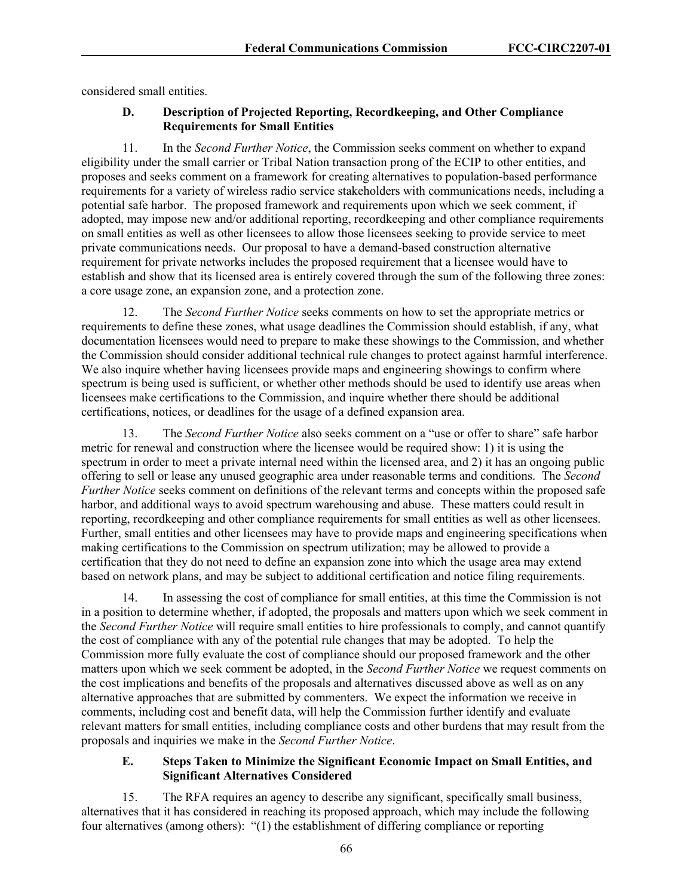considered small entities.

### **D. Description of Projected Reporting, Recordkeeping, and Other Compliance Requirements for Small Entities**

11. In the *Second Further Notice*, the Commission seeks comment on whether to expand eligibility under the small carrier or Tribal Nation transaction prong of the ECIP to other entities, and proposes and seeks comment on a framework for creating alternatives to population-based performance requirements for a variety of wireless radio service stakeholders with communications needs, including a potential safe harbor. The proposed framework and requirements upon which we seek comment, if adopted, may impose new and/or additional reporting, recordkeeping and other compliance requirements on small entities as well as other licensees to allow those licensees seeking to provide service to meet private communications needs. Our proposal to have a demand-based construction alternative requirement for private networks includes the proposed requirement that a licensee would have to establish and show that its licensed area is entirely covered through the sum of the following three zones: a core usage zone, an expansion zone, and a protection zone.

12. The *Second Further Notice* seeks comments on how to set the appropriate metrics or requirements to define these zones, what usage deadlines the Commission should establish, if any, what documentation licensees would need to prepare to make these showings to the Commission, and whether the Commission should consider additional technical rule changes to protect against harmful interference. We also inquire whether having licensees provide maps and engineering showings to confirm where spectrum is being used is sufficient, or whether other methods should be used to identify use areas when licensees make certifications to the Commission, and inquire whether there should be additional certifications, notices, or deadlines for the usage of a defined expansion area.

13. The *Second Further Notice* also seeks comment on a "use or offer to share" safe harbor metric for renewal and construction where the licensee would be required show: 1) it is using the spectrum in order to meet a private internal need within the licensed area, and 2) it has an ongoing public offering to sell or lease any unused geographic area under reasonable terms and conditions. The *Second Further Notice* seeks comment on definitions of the relevant terms and concepts within the proposed safe harbor, and additional ways to avoid spectrum warehousing and abuse. These matters could result in reporting, recordkeeping and other compliance requirements for small entities as well as other licensees. Further, small entities and other licensees may have to provide maps and engineering specifications when making certifications to the Commission on spectrum utilization; may be allowed to provide a certification that they do not need to define an expansion zone into which the usage area may extend based on network plans, and may be subject to additional certification and notice filing requirements.

14. In assessing the cost of compliance for small entities, at this time the Commission is not in a position to determine whether, if adopted, the proposals and matters upon which we seek comment in the *Second Further Notice* will require small entities to hire professionals to comply, and cannot quantify the cost of compliance with any of the potential rule changes that may be adopted. To help the Commission more fully evaluate the cost of compliance should our proposed framework and the other matters upon which we seek comment be adopted, in the *Second Further Notice* we request comments on the cost implications and benefits of the proposals and alternatives discussed above as well as on any alternative approaches that are submitted by commenters. We expect the information we receive in comments, including cost and benefit data, will help the Commission further identify and evaluate relevant matters for small entities, including compliance costs and other burdens that may result from the proposals and inquiries we make in the *Second Further Notice*.

### **E. Steps Taken to Minimize the Significant Economic Impact on Small Entities, and Significant Alternatives Considered**

15. The RFA requires an agency to describe any significant, specifically small business, alternatives that it has considered in reaching its proposed approach, which may include the following four alternatives (among others): "(1) the establishment of differing compliance or reporting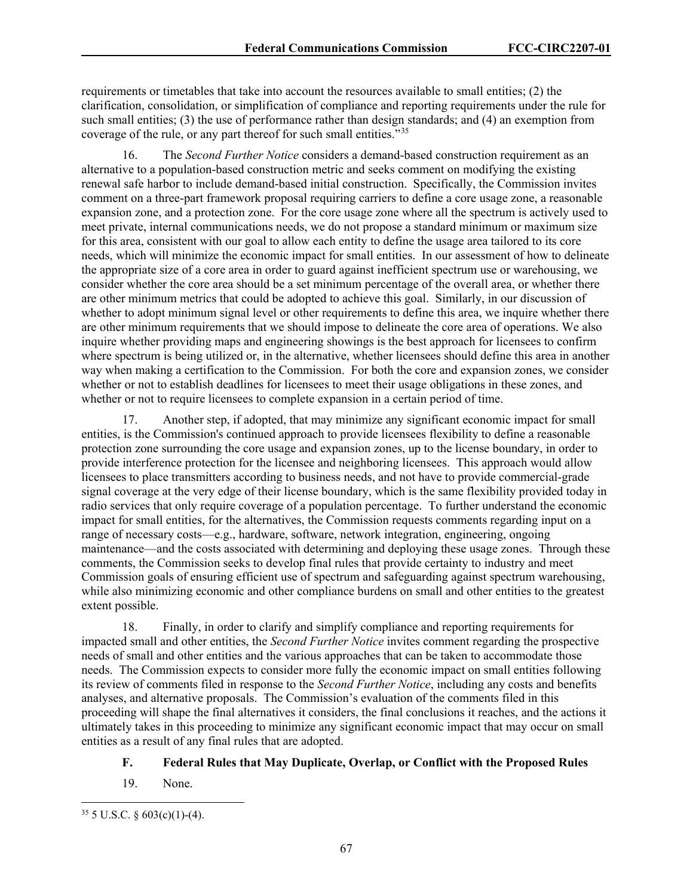requirements or timetables that take into account the resources available to small entities; (2) the clarification, consolidation, or simplification of compliance and reporting requirements under the rule for such small entities; (3) the use of performance rather than design standards; and (4) an exemption from coverage of the rule, or any part thereof for such small entities."[35](#page-67-0)

16. The *Second Further Notice* considers a demand-based construction requirement as an alternative to a population-based construction metric and seeks comment on modifying the existing renewal safe harbor to include demand-based initial construction. Specifically, the Commission invites comment on a three-part framework proposal requiring carriers to define a core usage zone, a reasonable expansion zone, and a protection zone. For the core usage zone where all the spectrum is actively used to meet private, internal communications needs, we do not propose a standard minimum or maximum size for this area, consistent with our goal to allow each entity to define the usage area tailored to its core needs, which will minimize the economic impact for small entities. In our assessment of how to delineate the appropriate size of a core area in order to guard against inefficient spectrum use or warehousing, we consider whether the core area should be a set minimum percentage of the overall area, or whether there are other minimum metrics that could be adopted to achieve this goal. Similarly, in our discussion of whether to adopt minimum signal level or other requirements to define this area, we inquire whether there are other minimum requirements that we should impose to delineate the core area of operations. We also inquire whether providing maps and engineering showings is the best approach for licensees to confirm where spectrum is being utilized or, in the alternative, whether licensees should define this area in another way when making a certification to the Commission. For both the core and expansion zones, we consider whether or not to establish deadlines for licensees to meet their usage obligations in these zones, and whether or not to require licensees to complete expansion in a certain period of time.

17. Another step, if adopted, that may minimize any significant economic impact for small entities, is the Commission's continued approach to provide licensees flexibility to define a reasonable protection zone surrounding the core usage and expansion zones, up to the license boundary, in order to provide interference protection for the licensee and neighboring licensees. This approach would allow licensees to place transmitters according to business needs, and not have to provide commercial-grade signal coverage at the very edge of their license boundary, which is the same flexibility provided today in radio services that only require coverage of a population percentage. To further understand the economic impact for small entities, for the alternatives, the Commission requests comments regarding input on a range of necessary costs—e.g., hardware, software, network integration, engineering, ongoing maintenance—and the costs associated with determining and deploying these usage zones. Through these comments, the Commission seeks to develop final rules that provide certainty to industry and meet Commission goals of ensuring efficient use of spectrum and safeguarding against spectrum warehousing, while also minimizing economic and other compliance burdens on small and other entities to the greatest extent possible.

18. Finally, in order to clarify and simplify compliance and reporting requirements for impacted small and other entities, the *Second Further Notice* invites comment regarding the prospective needs of small and other entities and the various approaches that can be taken to accommodate those needs. The Commission expects to consider more fully the economic impact on small entities following its review of comments filed in response to the *Second Further Notice*, including any costs and benefits analyses, and alternative proposals. The Commission's evaluation of the comments filed in this proceeding will shape the final alternatives it considers, the final conclusions it reaches, and the actions it ultimately takes in this proceeding to minimize any significant economic impact that may occur on small entities as a result of any final rules that are adopted.

## **F. Federal Rules that May Duplicate, Overlap, or Conflict with the Proposed Rules**

19. None.

<span id="page-67-0"></span> $35$  5 U.S.C. § 603(c)(1)-(4).